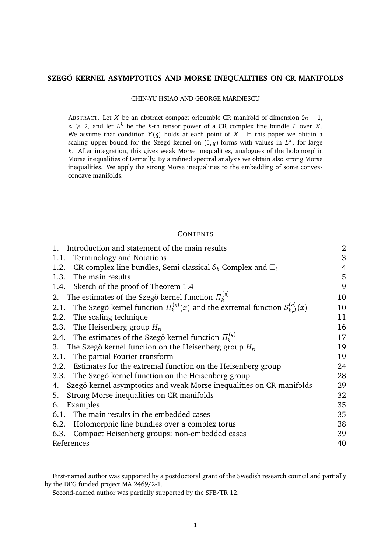# **SZEGO KERNEL ASYMPTOTICS AND MORSE INEQUALITIES ON CR MANIFOLDS ¨**

CHIN-YU HSIAO AND GEORGE MARINESCU

ABSTRACT. Let X be an abstract compact orientable CR manifold of dimension  $2n - 1$ ,  $n \geq 2$ , and let  $L^k$  be the k-th tensor power of a CR complex line bundle L over X. We assume that condition  $Y(q)$  holds at each point of X. In this paper we obtain a scaling upper-bound for the Szegö kernel on  $(0, q)$ -forms with values in  $L^k$ , for large  $k$ . After integration, this gives weak Morse inequalities, analogues of the holomorphic Morse inequalities of Demailly. By a refined spectral analysis we obtain also strong Morse inequalities. We apply the strong Morse inequalities to the embedding of some convexconcave manifolds.

## **CONTENTS**

| 1. Introduction and statement of the main results                                               | $\overline{2}$ |
|-------------------------------------------------------------------------------------------------|----------------|
| Terminology and Notations<br>1.1.                                                               | 3              |
| CR complex line bundles, Semi-classical $\partial_b$ -Complex and $\Box_b$<br>1.2.              | $\overline{4}$ |
| The main results<br>1.3.                                                                        | 5              |
| Sketch of the proof of Theorem 1.4<br>1.4.                                                      | 9              |
| 2. The estimates of the Szegö kernel function $\Pi_k^{(q)}$                                     | 10             |
| The Szegö kernel function $\Pi_k^{(q)}(x)$ and the extremal function $S_{k,J}^{(q)}(x)$<br>2.1. | 10             |
| 2.2. The scaling technique                                                                      | 11             |
| 2.3. The Heisenberg group $H_n$                                                                 | 16             |
| 2.4. The estimates of the Szegö kernel function $\Pi_k^{(q)}$                                   | 17             |
| 3. The Szegö kernel function on the Heisenberg group $H_n$                                      | 19             |
| The partial Fourier transform<br>3.1.                                                           | 19             |
| 3.2. Estimates for the extremal function on the Heisenberg group                                | 24             |
| 3.3. The Szegö kernel function on the Heisenberg group                                          | 28             |
| Szegö kernel asymptotics and weak Morse inequalities on CR manifolds<br>4.                      | 29             |
| Strong Morse inequalities on CR manifolds<br>5.                                                 | 32             |
| Examples<br>6.                                                                                  | 35             |
| 6.1. The main results in the embedded cases                                                     | 35             |
| 6.2. Holomorphic line bundles over a complex torus                                              | 38             |
| 6.3. Compact Heisenberg groups: non-embedded cases                                              | 39             |
| References                                                                                      | 40             |

First-named author was supported by a postdoctoral grant of the Swedish research council and partially by the DFG funded project MA 2469/2-1.

Second-named author was partially supported by the SFB/TR 12.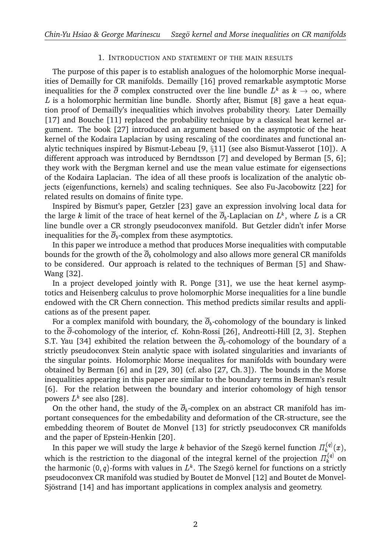## 1. INTRODUCTION AND STATEMENT OF THE MAIN RESULTS

The purpose of this paper is to establish analogues of the holomorphic Morse inequalities of Demailly for CR manifolds. Demailly [16] proved remarkable asymptotic Morse inequalities for the  $\overline{\partial}$  complex constructed over the line bundle  $L^k$  as  $k\,\rightarrow\,\infty,$  where L is a holomorphic hermitian line bundle. Shortly after, Bismut [8] gave a heat equation proof of Demailly's inequalities which involves probability theory. Later Demailly [17] and Bouche [11] replaced the probability technique by a classical heat kernel argument. The book [27] introduced an argument based on the asymptotic of the heat kernel of the Kodaira Laplacian by using rescaling of the coordinates and functional analytic techniques inspired by Bismut-Lebeau [9, §11] (see also Bismut-Vasserot [10]). A different approach was introduced by Berndtsson [7] and developed by Berman [5, 6]; they work with the Bergman kernel and use the mean value estimate for eigensections of the Kodaira Laplacian. The idea of all these proofs is localization of the analytic objects (eigenfunctions, kernels) and scaling techniques. See also Fu-Jacobowitz [22] for related results on domains of finite type.

Inspired by Bismut's paper, Getzler [23] gave an expression involving local data for the large  $k$  limit of the trace of heat kernel of the  $\overline\partial_b$ -Laplacian on  $L^k,$  where  $L$  is a CR line bundle over a CR strongly pseudoconvex manifold. But Getzler didn't infer Morse inequalities for the  $\overline{\partial}_b$ -complex from these asymptotics.

In this paper we introduce a method that produces Morse inequalities with computable bounds for the growth of the  $\overline{\partial}_b$  coholmology and also allows more general CR manifolds to be considered. Our approach is related to the techniques of Berman [5] and Shaw-Wang [32].

In a project developed jointly with R. Ponge [31], we use the heat kernel asymptotics and Heisenberg calculus to prove holomorphic Morse inequalities for a line bundle endowed with the CR Chern connection. This method predicts similar results and applications as of the present paper.

For a complex manifold with boundary, the  $\overline{\partial}_b$ -cohomology of the boundary is linked to the  $\overline{\partial}$ -cohomology of the interior, cf. Kohn-Rossi [26], Andreotti-Hill [2, 3]. Stephen S.T. Yau [34] exhibited the relation between the  $\overline{\partial}_b$ -cohomology of the boundary of a strictly pseudoconvex Stein analytic space with isolated singularities and invariants of the singular points. Holomorphic Morse inequalites for manifolds with boundary were obtained by Berman [6] and in [29, 30] (cf. also [27, Ch. 3]). The bounds in the Morse inequalities appearing in this paper are similar to the boundary terms in Berman's result [6]. For the relation between the boundary and interior cohomology of high tensor powers  $L^k$  see also [28].

On the other hand, the study of the  $\overline{\partial}_b$ -complex on an abstract CR manifold has important consequences for the embedability and deformation of the CR-structure, see the embedding theorem of Boutet de Monvel [13] for strictly pseudoconvex CR manifolds and the paper of Epstein-Henkin [20].

In this paper we will study the large  $k$  behavior of the Szegö kernel function  $\varPi^{(q)}_k$  $\binom{(q)}{k}(x),$ which is the restriction to the diagonal of the integral kernel of the projection  $\varPi^{(q)}_k$  on the harmonic (0, q)-forms with values in  $L^k$ . The Szegö kernel for functions on a strictly pseudoconvex CR manifold was studied by Boutet de Monvel [12] and Boutet de Monvel-Sjöstrand [14] and has important applications in complex analysis and geometry.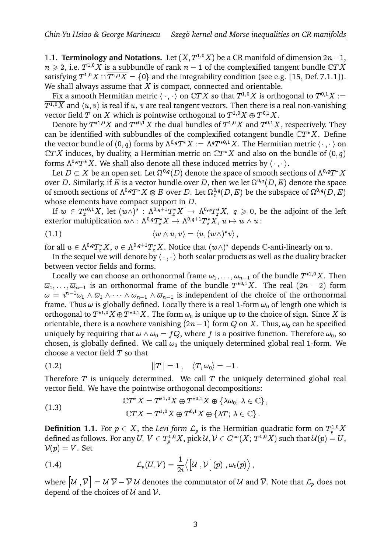1.1. **Terminology and Notations.** Let  $(X, T^{1,0}X)$  be a CR manifold of dimension  $2n-1$ ,  $n \geqslant 2$ , i.e.  $T^{1,0}X$  is a subbundle of rank  $n-1$  of the complexified tangent bundle  $\mathbb{C}TX$ satisfying  $T^{1,0}X \cap \overline{T^{1,0}X} = \{0\}$  and the integrability condition (see e.g. [15, Def. 7.1.1]). We shall always assume that  $X$  is compact, connected and orientable.

Fix a smooth Hermitian metric  $\langle\,\cdot\,,\cdot\,\rangle$  on  $\mathbb CTX$  so that  $T^{1,0}X$  is orthogonal to  $T^{0,1}X:=$  $\overline{T^{1,0}X}$  and  $\langle u, v \rangle$  is real if u, v are real tangent vectors. Then there is a real non-vanishing vector field  $T$  on  $X$  which is pointwise orthogonal to  $T^{1,0}X\oplus T^{0,1}X.$ 

Denote by  $T^{*1,0}X$  and  $T^{*0,1}X$  the dual bundles of  $T^{1,0}X$  and  $T^{0,1}X,$  respectively. They can be identified with subbundles of the complexified cotangent bundle  $\mathbb{C}T^*X$ . Define the vector bundle of  $(0,q)$  forms by  $\Lambda^{0,q}T^*X:=\Lambda^qT^{*0,1}X.$  The Hermitian metric  $\langle\,\cdot\,,\cdot\,\rangle$  on  $\mathbb{C}TX$  induces, by duality, a Hermitian metric on  $\mathbb{C}T^{*}X$  and also on the bundle of  $(0, q)$ forms  $\Lambda^{0,q}T^*X$ . We shall also denote all these induced metrics by  $\langle \cdot , \cdot \rangle$ .

Let  $D\subset X$  be an open set. Let  $\Omega^{0,q}(D)$  denote the space of smooth sections of  $\Lambda^{0,q}T^*X$ over D. Similarly, if E is a vector bundle over D, then we let  $\Omega^{0,q}(D,E)$  denote the space of smooth sections of  $\Lambda^{0,q}T^*X\otimes E$  over  $D.$  Let  $\Omega^{0,q}_c(D,E)$  be the subspace of  $\Omega^{0,q}(D,E)$ whose elements have compact support in  $D$ .

If  $w\, \in\, T^{*0,1}_z X,$  let  $(w\wedge)^*$  :  $\Lambda^{0,q+1}T^*_z X\, \to\, \Lambda^{0,q}T^*_z X,\; q\, \geqslant\, 0,$  be the adjoint of the left exterior multiplication  $w\wedge : \Lambda^{0,q}T_z^*X \to \Lambda^{0,q+1}T_z^*X, \, u\mapsto w\wedge u$  :

(1.1) 
$$
\langle w \wedge u, v \rangle = \langle u, (w \wedge)^* v \rangle,
$$

for all  $u\in \Lambda^{0,q}T^*_zX,$   $v\in \Lambda^{0,q+1}T^*_zX.$  Notice that  $(w\wedge)^*$  depends  $\mathbb C$ -anti-linearly on  $w.$ 

In the sequel we will denote by  $\langle \cdot, \cdot \rangle$  both scalar products as well as the duality bracket between vector fields and forms.

Locally we can choose an orthonormal frame  $\omega_1, \ldots, \omega_{n-1}$  of the bundle  $T^{*1,0}X$ . Then  $\overline{\omega}_1, \ldots, \overline{\omega}_{n-1}$  is an orthonormal frame of the bundle  $T^{*0,1}X$ . The real  $(2n - 2)$  form  $\omega = i^{n-1}\omega_1 \wedge \overline{\omega}_1 \wedge \cdots \wedge \omega_{n-1} \wedge \overline{\omega}_{n-1}$  is independent of the choice of the orthonormal frame. Thus  $\omega$  is globally defined. Locally there is a real 1-form  $\omega_0$  of length one which is orthogonal to  $T^{*1,0}X\oplus T^{*0,1}X.$  The form  $\omega_0$  is unique up to the choice of sign. Since  $X$  is orientable, there is a nowhere vanishing  $(2n-1)$  form  $Q$  on X. Thus,  $\omega_0$  can be specified uniquely by requiring that  $\omega \wedge \omega_0 = fQ$ , where f is a positive function. Therefore  $\omega_0$ , so chosen, is globally defined. We call  $\omega_0$  the uniquely determined global real 1-form. We choose a vector field  $T$  so that

$$
||T||=1, \quad \langle T,\omega_0\rangle=-1.
$$

Therefore  $T$  is uniquely determined. We call  $T$  the uniquely determined global real vector field. We have the pointwise orthogonal decompositions:

(1.3) 
$$
\mathbb{C}T^*X = T^{*1,0}X \oplus T^{*0,1}X \oplus {\lambda \omega_0}; \lambda \in \mathbb{C} \, ,
$$

$$
\mathbb{C}TX = T^{1,0}X \oplus T^{0,1}X \oplus {\lambda T}; \lambda \in \mathbb{C} \}.
$$

**Definition 1.1.** For  $p \in X$ , the *Levi form*  $\mathcal{L}_p$  *is the Hermitian quadratic form on*  $T^{1,0}_pX$ defined as follows. For any  $U, V \in T_p^{1,0}X$ , pick  $\mathcal{U}, \mathcal{V} \in C^\infty(X; T^{1,0}X)$  such that  $\mathcal{U}(p) = U$ ,  $\mathcal{V}(p)=V.$  Set

$$
\mathcal{L}_{p}(U,\overline{V}) = \frac{1}{2i} \langle \left[ \mathcal{U}, \overline{\mathcal{V}} \right] (p), \omega_{0}(p) \rangle,
$$
  
(1.4)  

$$
\mathcal{L}_{p}(U,\overline{V}) = \frac{1}{2i} \langle \left[ \mathcal{U}, \overline{\mathcal{V}} \right] (p), \omega_{0}(p) \rangle,
$$
  
where  $[\mathcal{U}, \overline{\mathcal{V}}] = \mathcal{U} \overline{\mathcal{V}} - \overline{\mathcal{V}} \mathcal{U}$  denotes the commutator of  $\mathcal{U}$  and  $\overline{\mathcal{V}}$ . Note that  $\mathcal{L}_{p}$  does not

depend of the choices of  $U$  and  $V$ .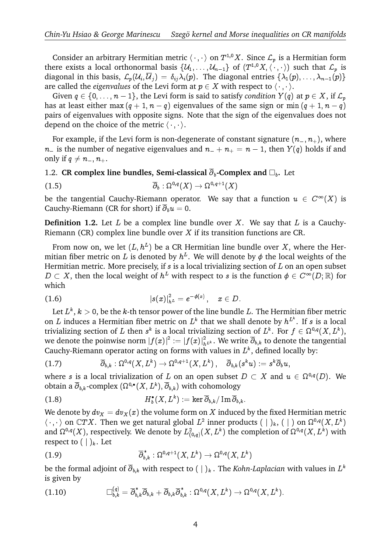Consider an arbitrary Hermitian metric  $\langle\,\cdot\,,\,\cdot\,\rangle$  on  $T^{1,0}X.$  Since  $\mathcal{L}_p$  is a Hermitian form there exists a local orthonormal basis  $\{U_1,\ldots,U_{n-1}\}$  of  $(T^{1,0}X,\langle\cdot,\cdot\rangle)$  such that  $\mathcal{L}_p$  is diagonal in this basis,  $\mathcal{L}_p(\mathcal{U}_i, \overline{\mathcal{U}}_j) = \delta_{ij} \lambda_i(p)$ . The diagonal entries  $\{\lambda_1(p), \dots, \lambda_{n-1}(p)\}$ are called the *eigenvalues* of the Levi form at  $p \in X$  with respect to  $\langle \cdot, \cdot \rangle$ .

Given  $q \in \{0, \ldots, n - 1\}$ , the Levi form is said to satisfy *condition*  $Y(q)$  at  $p \in X$ , if  $\mathcal{L}_p$ has at least either max  $(q + 1, n - q)$  eigenvalues of the same sign or min  $(q + 1, n - q)$ pairs of eigenvalues with opposite signs. Note that the sign of the eigenvalues does not depend on the choice of the metric  $\langle \cdot, \cdot \rangle$ .

For example, if the Levi form is non-degenerate of constant signature  $(n_-, n_+)$ , where  $n_{-}$  is the number of negative eigenvalues and  $n_{-} + n_{+} = n - 1$ , then  $Y(q)$  holds if and only if  $q \neq n_-, n_+$ .

## 1.2. **CR complex line bundles, Semi-classical**  $\overline{\partial}_b$ -**Complex and**  $\Box_b$ . Let

(1.5) 
$$
\overline{\partial}_b : \Omega^{0,q}(X) \to \Omega^{0,q+1}(X)
$$

be the tangential Cauchy-Riemann operator. We say that a function  $u\,\in\,C^\infty(X)$  is Cauchy-Riemann (CR for short) if  $\overline{\partial}_b u = 0$ .

**Definition 1.2.** Let  $L$  be a complex line bundle over  $X$ . We say that  $L$  is a Cauchy-Riemann (CR) complex line bundle over X if its transition functions are CR.

From now on, we let  $(L, h^L)$  be a CR Hermitian line bundle over X, where the Hermitian fiber metric on L is denoted by  $h^L$ . We will denote by  $\phi$  the local weights of the Hermitian metric. More precisely, if  $s$  is a local trivializing section of  $L$  on an open subset  $D\subset X$ , then the local weight of  $h^L$  with respect to s is the function  $\phi\in C^\infty(D;\mathbb R)$  for which

(1.6) 
$$
|s(x)|_{h^L}^2 = e^{-\phi(x)}, \quad x \in D.
$$

Let  $L^k,\,k>0,$  be the  $k$ -th tensor power of the line bundle  $L.$  The Hermitian fiber metric on  $L$  induces a Hermitian fiber metric on  $L^k$  that we shall denote by  $h^{L^k}$ . If  $s$  is a local trivializing section of  $L$  then  $s^k$  is a local trivializing section of  $L^k$ . For  $f\in \Omega^{0,q}(X,L^k),$ we denote the poinwise norm  $|f(x)|^2:=|f(x)|^2_{h^{L^k}}.$  We write  $\overline\partial_{b,k}$  to denote the tangential Cauchy-Riemann operator acting on forms with values in  $L^k$ , defined locally by:

$$
(1.7) \qquad \qquad \overline{\partial}_{b,k}:\Omega^{0,q}(X,L^k)\rightarrow \Omega^{0,q+1}(X,L^k)\,,\quad \overline{\partial}_{b,k}(s^ku):=s^k\overline{\partial}_bu,
$$

where  $s$  is a local trivialization of  $L$  on an open subset  $D\, \subset\, X$  and  $u\, \in\, \Omega^{0,q}(D).$  We obtain a  $\overline\partial_{b,k}$ -complex  $(\Omega^{0,\bullet}(X,L^k), \overline\partial_{b,k})$  with cohomology

(1.8) 
$$
H_b^{\bullet}(X,L^k) := \ker \overline{\partial}_{b,k}/\operatorname{Im} \overline{\partial}_{b,k}.
$$

We denote by  $dv_x = dv_x(x)$  the volume form on X induced by the fixed Hermitian metric  $\langle \cdot, \cdot \rangle$  on  $\mathbb CTX$ . Then we get natural global  $L^2$  inner products ( | )<sub>k</sub>, ( | ) on  $\Omega^{0,q}(X,L^k)$ and  $\Omega^{0,q}(X),$  respectively. We denote by  $L^2_{(0,q)}(X,L^k)$  the completion of  $\Omega^{0,q}(X,L^k)$  with respect to  $(| \rangle_k)$ . Let

(1.9) 
$$
\overline{\partial}_{b,k}^* : \Omega^{0,q+1}(X,L^k) \to \Omega^{0,q}(X,L^k)
$$

be the formal adjoint of  $\overline\partial_{b,k}$  with respect to (  $|\;)_k$  . The *Kohn-Laplacian w*ith values in  $L^k$ is given by

(1.10) 
$$
\Box_{b,k}^{(q)} = \overline{\partial}_{b,k}^* \overline{\partial}_{b,k} + \overline{\partial}_{b,k} \overline{\partial}_{b,k}^* : \Omega^{0,q}(X,L^k) \to \Omega^{0,q}(X,L^k).
$$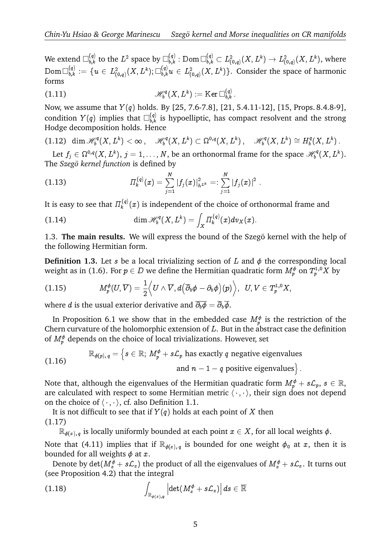We extend  $\Box_{b,k}^{(q)}$  to the  $L^2$  space by  $\Box_{b,k}^{(q)}$  :  ${\rm Dom\,}\Box_{b,k}^{(q)}\subset L^2_{(0,q)}(X,L^k)\to L^2_{(0,q)}(X,L^k),$  where  $\mathrm{Dom}\,\Box_{b,k}^{(q)}\,:=\,\{u\,\in\,L^2_{(0,q)}(X,L^k);\Box_{b,k}^{(q)} u\,\in\,L^2_{(0,q)}(X,L^k)\}.$  Consider the space of harmonic forms

(1.11) 
$$
\mathscr{H}_{b}^{q}(X,L^{k}) := \text{Ker} \, \Box_{b,k}^{(q)}.
$$

Now, we assume that  $Y(q)$  holds. By [25, 7.6-7.8], [21, 5.4.11-12], [15, Props. 8.4.8-9], condition  $Y(q)$  implies that  $\square_{b,k}^{(q)}$  is hypoelliptic, has compact resolvent and the strong Hodge decomposition holds. Hence

$$
(1.12) \quad \dim \mathscr{H}^q_b(X,L^k) < \infty\,, \quad \mathscr{H}^q_b(X,L^k) \subset \Omega^{0,q}(X,L^k)\,, \quad \mathscr{H}^q_b(X,L^k) \cong H^q_b(X,L^k)\,.
$$

Let  $f_j\in \Omega^{0,q}(X,L^k),\,j=1,\ldots,N,$  be an orthonormal frame for the space  $\mathscr{H}^q_b$ , ..., *N*, be an orthonormal frame for the space  $\mathcal{H}_b^q(X, L^k)$ .<br>
lefined by<br>  $(x) = \sum_{k=1}^{N} |f_j(x)|_{h^{L^k}}^2 =: \sum_{k=1}^{N} |f_j(x)|^2$ . The *Szegö kernel function* is defined by

:

(1.13) 
$$
\Pi_k^{(q)}(x) = \sum_{j=1}^N |f_j(x)|_{h^{L^k}}^2 =: \sum_{j=1}^N |f_j(x)|^2
$$
  
It is easy to see that  $\Pi_k^{(q)}(x)$  is independent of the choice of or  
(1.14) 
$$
\dim \mathcal{H}_b^{(q)}(X, L^k) = \int \Pi_k^{(q)}(x) dv_X(x).
$$

It is easy to see that  $\varPi^{(q)}_k$  $\mathcal{L}_{k}^{(q)}(x)$  is independent of the choice of orthonormal frame and

(1.14) 
$$
\dim \mathscr{H}_{b}^{q}(X, L^{k}) = \int_{X} \Pi_{k}^{(q)}(x) d v_{X}(x).
$$

1.3. **The main results.** We will express the bound of the Szegö kernel with the help of the following Hermitian form.

**Definition 1.3.** Let s be a local trivializing section of  $L$  and  $\phi$  the corresponding local weight as in (1.6). For  $p\in D$  we define the Hermitian quadratic form  $M_p^{\phi}$  on  $T_p^{1,0}X$  by  $\sim$  1 (  $\sim$   $\sim$  1  $\sim$  1  $\sim$  1  $\sim$  0  $\sim$  0  $\sim$  1  $\sim$  0  $\sim$  0  $\sim$  0  $\sim$ l trivializi $e$  define t $U \wedge \overline{V} , d \big($ 

$$
(1.15) \tM_p^{\phi}(U,\overline{V})=\frac{1}{2}\Big\langle U\wedge \overline{V},d\Big(\overline{\partial}{}_b\phi-\partial_b\phi\Big)(p)\Big\rangle,\;\;U,V\in T^{1,0}_pX,
$$

where *d* is the usual exterior derivative and  $\overline{\partial_b \phi} = \overline{\partial}_b \overline{\phi}$ .

In Proposition 6.1 we show that in the embedded case  $M^\phi_p$  is the restriction of the Chern curvature of the holomorphic extension of  $L$ . But in the abstract case the definition

of 
$$
M_p^{\phi}
$$
 depends on the choice of local trivializations. However, set

\n
$$
\mathbb{R}_{\phi(p),q} = \left\{ s \in \mathbb{R}; \, M_p^{\phi} + s\mathcal{L}_p \text{ has exactly } q \text{ negative eigenvalues} \right\}.
$$
\n(1.16)

\n
$$
\text{and } n - 1 - q \text{ positive eigenvalues} \}
$$

Note that, although the eigenvalues of the Hermitian quadratic form  $M^\phi_p + s\mathcal{L}_p, \, s \in \mathbb{R},$ are calculated with respect to some Hermitian metric  $\langle \cdot, \cdot \rangle$ , their sign does not depend on the choice of  $\langle \cdot, \cdot \rangle$ , cf. also Definition 1.1.

It is not difficult to see that if  $Y(q)$  holds at each point of X then (1.17)

 $\mathbb{R}_{\phi(x), q}$  is locally uniformly bounded at each point  $x \in X$ , for all local weights  $\phi$ .

Note that (4.11) implies that if  $\mathbb{R}_{\phi(x),q}$  is bounded for one weight  $\phi_0$  at x, then it is bounded for all weights  $\phi$  at  $x$ .

Denote by  $\det(M_x^{\phi}+s{\cal L}_x)$  the product of all the eigenvalues of  $M_x^{\phi}+s{\cal L}_x.$  It turns out (see Proposition 4.2) that the integral bounded for all weights  $\phi$  at *x*.<br>Denote by det( $M_x^{\phi} + s\mathcal{L}_x$ ) the prodore (see Proposition 4.2) that the integral<br>(1.18)  $\ddot{ }$ 

(1.18) 
$$
\int_{\mathbb{R}_{\phi(x),q}} \left| \det(M_x^{\phi} + s\mathcal{L}_x) \right| ds \in \overline{\mathbb{R}}
$$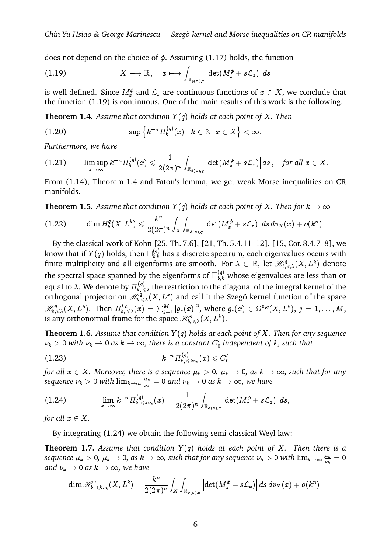Ϊ

Ϊ

does not depend on the choice of  $\phi$ . Assuming (1.17) holds, the function

does not depend on the choice of 
$$
\phi
$$
. Assuming (1.17) holds, the fu  
(1.19)  $X \longrightarrow \mathbb{R}$ ,  $x \longmapsto \int_{\mathbb{R}_{\phi(x),q}} \left| \det(M_x^{\phi} + s \mathcal{L}_x) \right| ds$ 

is well-defined. Since  $M^\phi_x$  and  $\mathcal{L}_x$  are continuous functions of  $x\in X,$  we conclude that the function (1.19) is continuous. One of the main results of this work is the following.<br> **Theorem 1.4.** Assume that condition  $Y(q)$  holds at each point of  $X$ . Then<br>
(1.20)  $\sup \{k^{-n} \Pi_k^{(q)}(x) : k \in \mathbb{N}, x \in X\} < \infty$ .

**Theorem 1.4.** *Assume that condition* Y (q) *holds at each point of* X*. Then*

$$
\text{(1.20)} \qquad \qquad \sup \left\{ k^{-n} \varPi_k^{(q)}(x) : k \in \mathbb{N}, \, x \in X \right\} < \infty.
$$

*Furthermore, we have*

$$
(1.21) \qquad \limsup_{k\to\infty} k^{-n} \varPi_k^{(q)}(x)\leqslant \frac{1}{2(2\pi)^n}\int_{\mathbb{R}_{\phi(x),q}} \left|\det(M_x^{\phi}+s{\mathcal L}_x)\right|ds\,, \quad \text{for all }x\in X.
$$

From (1.14), Theorem 1.4 and Fatou's lemma, we get weak Morse inequalities on CR manifolds.

**Theorem 1.5.** Assume that condition  $Y(q)$  holds at each point of X. Then for  $k \to \infty$ a sa sa salawan na kara

$$
(1.22) \qquad \dim H_b^q(X,L^k) \leqslant \frac{k^n}{2(2\pi)^n} \int_X \int_{\mathbb{R}_{\phi(x),q}} \left| \det(M_x^\phi + s{\mathcal L}_x) \right| ds\, dv_X(x) + o(k^n) \,.
$$

By the classical work of Kohn [25, Th. 7.6], [21, Th. 5.4.11–12], [15, Cor. 8.4.7–8], we know that if  $Y(q)$  holds, then  $\Box_{b,k}^{(q)}$  has a discrete spectrum, each eigenvalues occurs with finite multiplicity and all eigenforms are smooth. For  $\lambda\in\mathbb R,$  let  $\mathscr H^q_{b,\leqslant\lambda}(X,L^k)$  denote the spectral space spanned by the eigenforms of  $\square_{b,k}^{(q)}$  whose eigenvalues are less than or equal to  $\lambda.$  We denote by  $\Pi_{k, \, \leqslant \lambda}^{(q)}$  the restriction to the diagonal of the integral kernel of the orthogonal projector on  $\mathscr{H}_{b,\leqslant\lambda}^{\dot{q}}(X,L^k)$  and call it the Szegö kernel function of the space equal to  $\lambda$ . We denote by  $\Pi_{k_1 \leq \lambda}^{(q)}$  the restriction to the diagonal of the integral kernel of the orthogonal projector on  $\mathcal{H}_{k_1 \leq \lambda}^{q} (X, L^k)$  and call it the Szegö kernel function of the space  $\mathcal{H}_{b,\$ is any orthonormal frame for the space  $\mathscr{H}^q_{b,\,\leqslant\lambda}(X,L^k).$ 

**Theorem 1.6.** *Assume that condition* Y (q) *holds at each point of* X*. Then for any sequence*  $\nu_k > 0$  with  $\nu_k \to 0$  as  $k \to \infty$ , there is a constant  $C_0'$  independent of  $k$ , such that

$$
(1.23) \t\t k^{-n} \varPi_{k,\leqslant k\nu_k}^{(q)}(x)\leqslant C_0'
$$

*for all*  $x \in X$ *. Moreover, there is a sequence*  $\mu_k > 0$ *,*  $\mu_k \to 0$ *, as*  $k \to \infty$ *, such that for any* sequence  $\nu_k > 0$  with  $\lim_{k\to\infty} \frac{\mu_k}{\nu_k}$  $\frac{\mu_k}{\nu_k} = 0$  and  $\nu_k \rightarrow 0$  as  $k \rightarrow \infty$ , we have  $\overline{\phantom{a}}$ 

$$
(1.24) \qquad \qquad \lim_{k\to\infty} k^{-n} \varPi_{k,\leq k\nu_k}^{(q)}(x) = \frac{1}{2(2\pi)^n} \int_{\mathbb{R}_{\phi(x),q}} \left| \det(M_x^{\phi} + s\mathcal{L}_x) \right| ds,
$$

*for all*  $x \in X$ *.* 

By integrating (1.24) we obtain the following semi-classical Weyl law:

**Theorem 1.7.** Assume that condition  $Y(q)$  holds at each point of  $X$ . Then there is a  $sequence\ \mu_k>0,\ \mu_k\to 0, \ as\ k\to \infty, \ such\ that\ for\ any\ sequence\ \nu_k>0\ with\ \lim_{k\to \infty}\frac{\mu_k}{\nu_k}$ For any sequence  $\nu_k > 0$  with  $\lim_{k\to\infty} \frac{\mu_k}{\nu_k} = 0$ *and*  $\nu_k \to 0$  *as*  $k \to \infty$ *, we have*  $\ddot{\phantom{0}}$ 

$$
\dim \mathscr{H}_{b,\leqslant k\nu_k}^q(X,L^k)=\frac{k^n}{2(2\pi)^n}\int_X\int_{\mathbb{R}_{\phi(x),q}}\left|\det(M_x^\phi+s{\cal L}_x)\right|ds\,dv_X(x)+o(k^n).
$$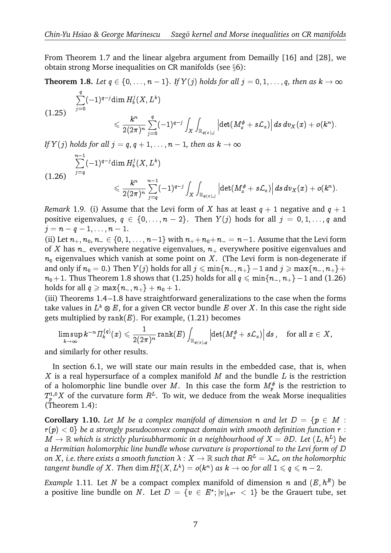From Theorem 1.7 and the linear algebra argument from Demailly [16] and [28], we obtain strong Morse inequalities on CR manifolds (see  $\S6$ ):

**Theorem 1.8.** Let  $q \in \{0, \ldots, n-1\}$ . If  $Y(j)$  holds for all  $j = 0, 1, \ldots, q$ , then as  $k \to \infty$ 

$$
\begin{aligned} \sum_{j=0}^q (-1)^{q-j} & \text{dim}\,H_b^j(X,L^k) \\ & \leqslant \frac{k^n}{2(2\pi)^n}\sum_{j=0}^q (-1)^{q-j} \int_X \int_{\mathbb{R}_{\phi(x),j}} \left| \det(M_x^{\phi}+s \mathcal{L}_x) \right| ds\, dv_X(x) + o(k^n). \end{aligned}
$$

*If*  $Y(j)$  holds for all  $j = q, q + 1, \ldots, n - 1$ , then as  $k \to \infty$  $olds\n<sub>n-1</sub>$ 

$$
\sum_{j=q}^{n-1}(-1)^{q-j}\text{dim}\,H_b^j(X,L^k)\\ \leqslant \frac{k^n}{\sqrt{N+1}}\sum_{j=1}^{n-1}(-1)^{q-j}\text{dim}\,H_b^j(X,L^k)
$$

$$
\leqslant \frac{k^n}{2(2\pi)^n}\sum_{j=q}^{n-1}(-1)^{q-j}\int_X\int_{\mathbb{R}_{\phi(x),j}}\left|\det(M_x^{\phi}+s{\cal L}_x)\right|ds\,dv_X(x)+o(k^n).
$$

*Remark* 1.9. (i) Assume that the Levi form of X has at least  $q + 1$  negative and  $q + 1$ positive eigenvalues,  $q \in \{0, \ldots, n-2\}$ . Then  $Y(j)$  hods for all  $j = 0, 1, \ldots, q$  and  $j = n - q - 1, \ldots, n - 1.$ 

(ii) Let  $n_+, n_0, n_-\in \{0, 1, \ldots, n-1\}$  with  $n_+ + n_0 + n_- = n-1$ . Assume that the Levi form of X has  $n_$  everywhere negative eigenvalues,  $n_+$  everywhere positive eigenvalues and  $n_0$  eigenvalues which vanish at some point on X. (The Levi form is non-degenerate if and only if  $n_0 = 0$ .) Then  $Y(j)$  holds for all  $j \leq \min\{n_-, n_+\}-1$  and  $j \geq \max\{n_-, n_+\}+\infty$  $n_0+1$ . Thus Theorem 1.8 shows that (1.25) holds for all  $q \leq \min\{n_-, n_+\}-1$  and (1.26) holds for all  $q \ge \max\{n_-, n_+\} + n_0 + 1$ .

(iii) Theorems 1.4 –1.8 have straightforward generalizations to the case when the forms Ztake values in  $L^k\otimes E$ , for a given CR vector bundle  $E$  over  $X.$  In this case the right side gets multiplied by  $rank(E)$ . For example, (1.21) becomes

$$
\limsup_{k\to\infty} k^{-n} \varPi_k^{(q)}(x)\leqslant \frac{1}{2(2\pi)^n}\operatorname{rank}(E)\int_{\mathbb{R}_{\phi(x),q}}\left|\det(M_x^\phi+s{\cal L}_x)\right|ds\,,\quad\text{for all }x\in X,
$$

and similarly for other results.

In section 6.1, we will state our main results in the embedded case, that is, when X is a real hypersurface of a complex manifold  $M$  and the bundle  $L$  is the restriction of a holomorphic line bundle over M. In this case the form  $M_p^{\phi}$  is the restriction to  $T^{1,0}_pX$  of the curvature form  $R^L.$  To wit, we deduce from the weak Morse inequalities (Theorem 1.4):

**Corollary 1.10.** Let M be a complex manifold of dimension n and let  $D = \{p \in M :$  $r(p) < 0$ } be a strongly pseudoconvex compact domain with smooth definition function  $r$ :  $M \to \mathbb{R}$  which is strictly plurisubharmonic in a neighbourhood of  $X = \partial D$ . Let  $(L, h^L)$  be *a Hermitian holomorphic line bundle whose curvature is proportional to the Levi form of* D *on* X, i.e. there exists a smooth function  $\lambda : X \to \mathbb{R}$  such that  $R^L = \lambda \mathcal{L}_r$  on the holomorphic *tangent bundle of* X*. Then* dim H q  $b^q_b(X,L^k)=o(k^n)$  as  $k\to\infty$  for all  $1\leqslant q\leqslant n-2.$ 

*Example* 1.11. Let N be a compact complex manifold of dimension n and  $(E, h^E)$  be a positive line bundle on  $N.$  Let  $D\,=\,\{v\,\in\,E^*;|v|_{h^{E^*}}\,<\,1\}$  be the Grauert tube, set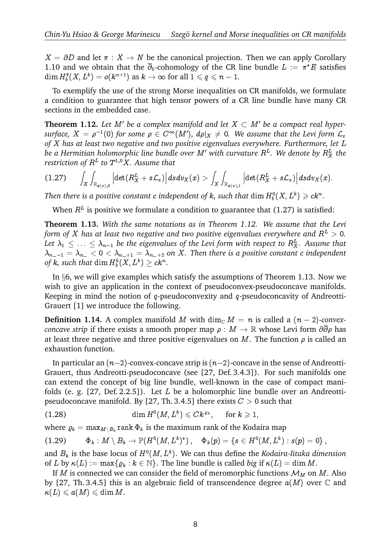$X = \partial D$  and let  $\pi : X \to N$  be the canonical projection. Then we can apply Corollary 1.10 and we obtain that the  $\partial_b$ -cohomology of the CR line bundle  $L := \pi^*E$  satisfies  $\dim H_b^q$  $b^q_b(X,L^k)=o(k^{n+1})$  as  $k\to\infty$  for all  $1\leqslant q\leqslant n-1.$ 

To exemplify the use of the strong Morse inequalities on CR manifolds, we formulate a condition to guarantee that high tensor powers of a CR line bundle have many CR sections in the embedded case.

**Theorem 1.12.** Let M' be a complex manifold and let  $X \subset M'$  be a compact real hyper- $\textit{surface, } X \, = \, \rho^{-1}(0) \textit{ for some } \, \rho \, \in \, C^\infty(M'), \ d\rho|_X \, \neq \, 0. \ \textit{ We assume that the Levi form } \mathcal{L}_x$ of X has at least two negative and two positive eigenvalues everywhere. Furthermore, let L be a Hermitian holomorphic line bundle over  $M'$  with curvature  $R^L$ . We denote by  $R_X^L$  the restriction of  $R^L$  to  $T^{1,0}X$ . Assume that of X has at<br>be a Hermit<br>restriction c<br>(1.27)

$$
(1.27)\qquad \int_X\int_{\mathbb{R}_{\phi(x),0}}\Big|\!\det(R_X^L+s{\mathcal L}_x)\Big|\,dsdv_X(x)> \int_X\int_{\mathbb{R}_{\phi(x),1}}\Big|\!\det(R_X^L+s{\mathcal L}_x)\Big|\,dsdv_X(x).
$$

Then there is a positive constant  $c$  independent of  $k$ , such that  $\dim H_b^0(X,L^k) \geqslant ck^n.$ 

When  $R^L$  is positive we formulate a condition to guarantee that (1.27) is satisfied:

**Theorem 1.13.** *With the same notations as in Theorem 1.12. We assume that the Levi form of* X has at least two negative and two positive eigenvalues everywhere and  $R^L > 0$ . Let  $\lambda_1\leq\ldots\leq\lambda_{n-1}$  be the eigenvalues of the Levi form with respect to  $R^L_X$ . Assume that  $\lambda_{n-1} = \lambda_{n-1} < 0 < \lambda_{n+1} = \lambda_{n+2}$  on X. Then there is a positive constant c independent of  $k$ , such that  $\dim H_b^0(X,L^k) \geq c k^n.$ 

In §6, we will give examples which satisfy the assumptions of Theorem 1.13. Now we wish to give an application in the context of pseudoconvex-pseudoconcave manifolds. Keeping in mind the notion of  $q$ -pseudoconvexity and  $q$ -pseudoconcavity of Andreotti-Grauert [1] we introduce the following.

**Definition 1.14.** A complex manifold M with  $\dim_{\mathbb{C}} M = n$  is called a  $(n-2)$ -convex*concave strip* if there exists a smooth proper map  $\rho : M \to \mathbb{R}$  whose Levi form  $\partial \overline{\partial} \rho$  has at least three negative and three positive eigenvalues on M. The function  $\rho$  is called an exhaustion function.

In particular an  $(n-2)$ -convex-concave strip is  $(n-2)$ -concave in the sense of Andreotti-Grauert, thus Andreotti-pseudoconcave (see [27, Def. 3.4.3]). For such manifolds one can extend the concept of big line bundle, well-known in the case of compact manifolds (e. g. [27, Def. 2.2.5]). Let  $L$  be a holomorphic line bundle over an Andreottipseudoconcave manifold. By [27, Th. 3.4.5] there exists  $C > 0$  such that

(1.28) 
$$
\dim H^0(M, L^k) \leqslant Ck^{\varrho_k}, \quad \text{ for } k \geqslant 1,
$$

where  $\varrho_k = \max_{M \setminus B_k} \text{rank}\, \Phi_k$  is the maximum rank of the Kodaira map

$$
(1.29) \qquad \Phi_k: M\setminus B_k\to {\mathbb P}(H^0(M,L^k)^*)\,,\quad \Phi_k(p)=\{s\in H^0(M,L^k): s(p)=0\}\,,
$$

and  $B_k$  is the base locus of  $H^0(M,L^k).$  We can thus define the *Kodaira-Iitaka dimension* of L by  $\kappa(L) := \max\{\rho_k : k \in \mathbb{N}\}\$ . The line bundle is called *big* if  $\kappa(L) = \dim M$ .

If M is connected we can consider the field of meromorphic functions  $\mathcal{M}_M$  on M. Also by [27, Th. 3.4.5] this is an algebraic field of transcendence degree  $a(M)$  over  $\mathbb C$  and  $\kappa(L) \leqslant a(M) \leqslant \dim M$ .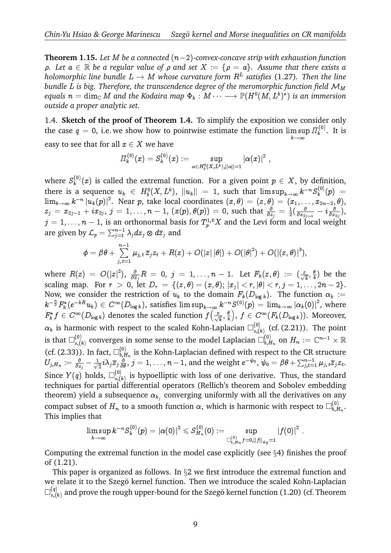**Theorem 1.15.** Let M be a connected  $(n-2)$ -convex-concave strip with exhaustion function  $\rho$ *. Let*  $a \in \mathbb{R}$  *be a regular value of*  $\rho$  *and set*  $X := \{\rho = a\}$ *. Assume that there exists a* holomorphic line bundle  $L \rightarrow M$  whose curvature form  $R^L$  satisfies (1.27). Then the line *bundle L is big. Therefore, the transcendence degree of the meromorphic function field*  $M_M$ equals  $n=\dim_\mathbb{C} M$  and the Kodaira map  $\Phi_k:M\dots\longrightarrow \mathbb{P}(H^0(M,L^k)^*)$  is an immersion *outside a proper analytic set.*

1.4. **Sketch of the proof of Theorem 1.4.** To simplify the exposition we consider only the case  $q\,=\,0,$  i.e. we show how to pointwise estimate the function lim $\,\mathrm{sup}$  $k\rightarrow\infty$  $\Pi_{\nu}^{(0)}$  $\mathbf{R}^{(0)}$ . It is easy to see that for all  $x \in X$  we have

$$
\varPi_{k}^{(0)}(x)=S_{k}^{(0)}(x):=\sup_{\alpha\in H_{b}^{0}(X,L^{k}),\|\alpha\|=1}\left|\alpha(x)\right|^{2}\,,
$$

where  $S_k^{(0)}$  $\chi_k^{(0)}(x)$  is called the extremal function. For a given point  $p \in X$ , by definition, there is a sequence  $u_k \in H_b^0(X, L^k)$ ,  $\|u_k\| = 1$ , such that  $\limsup_{k \to \infty} k^{-n} S_k^{(0)}$  $\binom{N^{(0)}}{k}(p) =$  $\lim_{k\to\infty} k^{-n}\left|u_k(p)\right|^2$ . Near  $p,$  take local coordinates  $(x,\theta)=(z,\theta)=(x_1,\ldots,x_{2n-2},\theta),$  $z_j\,=\,x_{2j-1}\,+\,ix_{2j},\ j\,=\,1,\ldots,\allowbreak n\,-\,1,\allowbreak\,\left(x(p),\theta(p)\right)\,=\,0,\allowbreak\,\text{such that}\,\,\tfrac{\partial}{\partial z_j}\,=\,\tfrac{1}{2}$  $\frac{1}{2}(\frac{\varepsilon}{\partial x_2}$  $\frac{\partial}{\partial x_{2j-1}} - i \frac{\partial}{\partial x}$  $\frac{\partial}{\partial x_{2j}}\big),$  $j=1,\ldots,n-1,$  is an orthonormal basis for  $T^{1,0}_pX$  and the Levi form and local weight are given by  $\mathcal{L}_p = \sum_{j=1}^{n-1} \lambda_j dz_j \otimes d\overline{z}_j$  and  $\langle \cdot \rangle$ n o:<br> $\frac{-1}{n-1}$ <br> $\frac{n-1}{n-1}$ 

$$
\phi=\beta\theta+\sum_{j,\,t=1}^{n-1}\mu_{j,\,t}\,\overline{z}_jz_t+R(z)+O(|z|\,|\theta|)+O(|\theta|^2)+O(|(z,\theta)|^3),
$$

where  $R(z) = O(|z|^2)$ ,  $\frac{\partial}{\partial \overline{z}}$  $\frac{\partial}{\partial \overline{z}_j}R~=~0,~j~=~1,\ldots,n~-~1. ~~~{\rm Let}~~F_k(z,\theta)~:=~(\frac{z}{\sqrt{k}},\frac{\theta}{k}$  $\frac{\theta}{k}$ ) be the scaling map. For  $r \ > \ 0,$  let  $D_r \ = \ \{(z, \theta) = (x, \theta); \, |x_j| < r, |\theta| < r, j = 1, \ldots, 2n-2\}.$ Now, we consider the restriction of  $u_k$  to the domain  $F_k(D_{\log k})$ . The function  $\alpha_k :=$  $k^{-\frac{n}{2}}F_k^*(e^{-kR}u_k)\in C^\infty(D_{\log k}),$  satisfies  $\limsup_{k\to\infty}k^{-n}S^{(0)}(p)=\lim_{k\to\infty}|\alpha_k(0)|^2,$  where  $F^*_kf\in C^\infty(D_{\log k})$  denotes the scaled function  $f\big(\frac{x}{\sqrt{k}},\frac{\theta}{k}\big)$ k ,  $f \in C^\infty(F_k(D_{\log k}))$ . Moreover,  $\alpha_k$  is harmonic with respect to the scaled Kohn-Laplacian  $\Box_{s,(k)}^{(0)}$  $_{s,(k)}^{(0)}$  (cf. (2.21)). The point is that  $\square_{s,(i)}^{(0)}$  $_{s,(k)}^{(0)}$  converges in some sense to the model Laplacian  $\square_{b,E}^{(0)}$  $\sum_{b,H_n}^{(0)}$  on  $H_n := \mathbb{C}^{n-1} \times \mathbb{R}$ (cf. (2.33)). In fact,  $\square_{b, L}^{(0)}$  $\epsilon_{b,H_n}^{(0)}$  is the Kohn-Laplacian defined with respect to the CR structure  $U_{j,H_n} \coloneqq \frac{\partial}{\partial z_j} - \frac{1}{\sqrt{2}}$  $\frac{1}{2}i\lambda_j\overline z_j\frac{\partial}{\partial\theta},\,j=1,\ldots,n-1,$  and the weight  $e^{-\psi_0},\,\psi_0=\beta\theta+\sum_{j,t=1}^{n-1}\mu_{j,t}\overline z_jz_t.$ Since  $Y(q)$  holds,  $\square_{s}^{(0)}$  $\mathcal{L}_{s,(k)}^{(0)}$  is hypoelliptic with loss of one derivative. Thus, the standard techniques for partial differential operators (Rellich's theorem and Sobolev embedding theorem) yield a subsequence  $\alpha_{k_j}$  converging uniformly with all the derivatives on any compact subset of  $H_n$  to a smooth function  $\alpha,$  which is harmonic with respect to  $\square_{b, E}^{(0)}$  $\vert_{b,H_n}^{\mathsf{(u)}}$ . This implies that

$$
\limsup_{k\to\infty} k^{-n}S_k^{(0)}(p) = |\alpha(0)|^2 \leqslant S_{H_n}^{(0)}(0) := \sup_{\square_{b,H_n}^{(0)} f = 0, \|f\|_{\psi_0} = 1} |f(0)|^2
$$

:

Computing the extremal function in the model case explicitly (see §4) finishes the proof of (1.21).

This paper is organized as follows. In  $\S 2$  we first introduce the extremal function and we relate it to the Szegö kernel function. Then we introduce the scaled Kohn-Laplacian  $\square^{(q)}$  $\mathcal{L}_{s,(k)}^{(q)}$  and prove the rough upper-bound for the Szegö kernel function (1.20) (cf. Theorem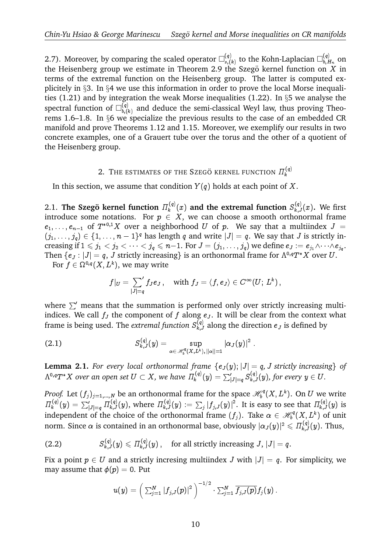2.7). Moreover, by comparing the scaled operator  $\square_{s}^{(q)}$  $\mathcal{L}_{s,(k)}^{(q)}$  to the Kohn-Laplacian  $\square_{b,E}^{(q)}$  $b, H_n$  on the Heisenberg group we estimate in Theorem 2.9 the Szegö kernel function on  $X$  in terms of the extremal function on the Heisenberg group. The latter is computed explicitely in §3. In §4 we use this information in order to prove the local Morse inequalities (1.21) and by integration the weak Morse inequalities (1.22). In §5 we analyse the spectral function of  $\square_{h(i)}^{(q)}$  $\mathcal{L}_{b,(k)}^{(q)}$  and deduce the semi-classical Weyl law, thus proving Theorems 1.6–1.8. In §6 we specialize the previous results to the case of an embedded CR manifold and prove Theorems 1.12 and 1.15. Moreover, we exemplify our results in two concrete examples, one of a Grauert tube over the torus and the other of a quotient of the Heisenberg group.

#### 2. THE ESTIMATES OF THE SZEGÖ KERNEL FUNCTION  $\Pi_k^{(q)}$ k

In this section, we assume that condition  $Y(q)$  holds at each point of X.

2.1. The Szegö kernel function  $\Pi_k^{(q)}$  $\mathcal{S}_k^{(q)}(x)$  and the extremal function  $\mathcal{S}_{k,J}^{(q)}(x)$ . We first introduce some notations. For  $p ~\in~ X,$  we can choose a smooth orthonormal frame  $e_1,\ldots,e_{n-1}$  of  $T^{*0,1}X$  over a neighborhood  $U$  of  $p$ . We say that a multiindex  $J$  =  $(j_1,\ldots,j_q)\in\{1,\ldots,n-1\}^q$  has length q and write  $|J|=q$ . We say that J is strictly increasing if  $1\leqslant j_1 < j_2 < \cdots < j_q \leqslant n-1.$  For  $J=(j_1,\ldots, j_q)$  we define  $e_J:=e_{j_1}\wedge\cdots\wedge e_{j_q}.$ Then  $\{e_J : |J| = q$ , J strictly increasing is an orthonormal frame for  $\Lambda^{0,q}T^*X$  over U.

For  $f\in \Omega^{0,q}(X,L^k),$  we may write

$$
f|_U=\sum_{|J|=q}{}'f_Je_J\,,\quad\text{with }f_J=\langle f,e_J\rangle\in C^\infty(U;\,L^k)\,,
$$

where  $\Sigma'$  means that the summation is performed only over strictly increasing multiindices. We call  $f_J$  the component of f along  $e_J$ . It will be clear from the context what frame is being used. The *extremal function*  $S_{k,J}^{(q)}$  along the direction  $e_J$  is defined by

(2.1) 
$$
S_{k,J}^{(q)}(y) = \sup_{\alpha \in \mathscr{H}_b^q(X,L^k), ||\alpha||=1} |\alpha_J(y)|^2.
$$

**Lemma 2.1.** For every local orthonormal frame  $\{e_J(y); |J| = q$ , J strictly increasing of  $\Lambda^{0,q}T^{*}X$  over an open set  $U\subset X,$  we have  $\varPi^{(q)}_k$  $\begin{array}{l} \displaystyle \lim_{\lambda, L^k), \, \|\alpha\|=1} \ \displaystyle \lim_{\lambda \to 0, \, \|\alpha\|=1} \ \displaystyle \lim_{\lambda \to 0} \left\{e_J(y); \, |J| = q, \, J \text{ strictly increasing} \right\}, \ \displaystyle \lim_{\lambda \to 0} \left\{g \right\}_{|J| = q} \, S_{k,J}^{(q)}(y), \, \text{for every } y \in U. \end{array}$ 

*Proof.* Let  $(f_j)_{j=1,\dots,N}$  be an orthonormal frame for the space  $\mathcal{H}_b^q$  $\mathcal{C}^q_{b}(X,L^k).$  On  $U$  we write  $\Pi_{\nu}^{(q)}$  $\begin{split} &\log_2\log T^*X \text{ over an open set } U\subset X\text{, we have} \ &\log\log T^*(f_j)_{j=1,\dots,N} \text{ be an orthonormal form} \ &\log\log T^{\{q\}}_{k}(y)=\sum_{|J|=q}^{|\{q\}}H^{(q)}_{k,J}(y), \text{ where } H^{(q)}_{k,J}(y). \end{split}$  $\mathcal{W}e$  have  $\varPi_k^{(q)}(y) = \sum_{|J|=q}' S_{k,J}^{(q)}(y),$  for every  $y \in U.$ <br>ormal frame for the space  $\mathscr{H}^q_b(X,L^k).$  On  $U$  we write independent of the choice of the orthonormal frame  $(f_j)$ . Take  $\alpha \in \mathcal{H}_{b}^{q}$  $\mathcal{C}^q_{b}(X,L^k)$  of unit norm. Since  $\alpha$  is contained in an orthonormal base, obviously  $|\alpha_J(y)|^2\leqslant \varPi_{k,J}^{(q)}(y).$  Thus,

(2.2) 
$$
S_{k,J}^{(q)}(y) \leqslant \Pi_{k,J}^{(q)}(y), \quad \text{for all strictly increasing } J, |J| = q.
$$

Fix a point  $p \in U$  and a strictly incresing multiindex  $J$  with  $|J| = q$ . For simplicity, we<br>may assume that  $\phi(p) = 0$ . Put<br> $u(y) = \left(\sum_{i=1}^{N} |f_{i,J}(p)|^2\right)^{-1/2} \cdot \sum_{i=1}^{N} \overline{f_{i,J}(p)} f_j(y)$ . may assume that  $\phi(p) = 0$ . Put

$$
u(y)=\left(\left.\textstyle\sum_{j=1}^N\left|f_{j,J}(p)\right|^2\right.\right)^{-1/2}\cdot\textstyle\sum_{j=1}^N\overline{f_{j,J}(p)}f_j(y)\,.
$$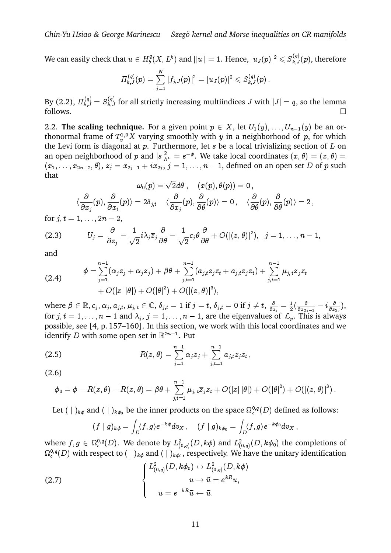We can easily check that  $u \in H_b^q$  $\mathcal{E}^q_b(X,L^k)$  and  $\|u\|=1.$  Hence,  $|u_J(p)|^2\leqslant S^{(q)}_{k,J}(p),$  therefore

$$
\begin{aligned} & \text{at } u \in H_b^q(X, L^k) \, \text{and} \, \|u\| = 1. \text{ Hence, } |u_J(p)| \\ & H_{k,J}^{(q)}(p) = \sum\limits_{j=1}^N |f_{j,J}(p)|^2 = |u_J(p)|^2 \leqslant S_{k,J}^{(q)}(p)\,. \end{aligned}
$$

By (2.2),  $\varPi_{k,J}^{(q)}=S_{k,J}^{(q)}$  for all strictly increasing multiindices  $J$  with  $|J|=q,$  so the lemma follows.  $\Box$ 

2.2. **The scaling technique.** For a given point  $p \in X$ , let  $U_1(y), \ldots, U_{n-1}(y)$  be an orthonormal frame of  $T^{1,0}_{y}X$  varying smoothly with  $y$  in a neighborhood of  $p$ , for which the Levi form is diagonal at  $p$ . Furthermore, let  $s$  be a local trivializing section of  $L$  on an open neighborhood of  $p$  and  $|s|^2_{h^L} = e^{-\phi}.$  We take local coordinates  $(x, \theta) = (z, \theta) =$  $(x_1,\ldots,x_{2n-2},\theta),\,z_j=x_{2j-1}+ix_{2j},\,j=1,\ldots,n-1,$  defined on an open set  $D$  of  $p$  such that

$$
\omega_0(p)=\sqrt{2}d\theta\;,\quad (x(p),\theta(p))=0\,,\\ \langle\frac{\partial}{\partial x_j}(p),\frac{\partial}{\partial x_t}(p)\rangle=2\delta_{j,t}\quad \langle\frac{\partial}{\partial x_j}(p),\frac{\partial}{\partial\theta}(p)\rangle=0\,,\quad \langle\frac{\partial}{\partial\theta}(p),\frac{\partial}{\partial\theta}(p)\rangle=2\,,
$$

for  $j, t = 1, \ldots, 2n - 2$ ,

(2.3) 
$$
U_j = \frac{\partial}{\partial z_j} - \frac{1}{\sqrt{2}} i \lambda_j \overline{z}_j \frac{\partial}{\partial \theta} - \frac{1}{\sqrt{2}} c_j \theta \frac{\partial}{\partial \theta} + O(|(z, \theta)|^2), \ \ j = 1, \dots, n-1,
$$
and

and

$$
\phi = \sum_{j=1}^{n-1} (\alpha_j z_j + \overline{\alpha}_j \overline{z}_j) + \beta \theta + \sum_{j,t=1}^{n-1} (\alpha_{j,t} z_j z_t + \overline{\alpha}_{j,t} \overline{z}_j \overline{z}_t) + \sum_{j,t=1}^{n-1} \mu_{j,t} \overline{z}_j z_t + O(|z| |\theta|) + O(|\theta|^2) + O(|(z, \theta)|^3),
$$

where  $\beta\in\mathbb{R},c_j,\alpha_j,a_{j,t},\mu_{j,t}\in\mathbb{C},\,\delta_{j,t}=1\text{ if }j=t,\,\delta_{j,t}=0\text{ if }j\neq t,\,\frac{\delta}{\partial x}$  $\frac{\partial}{\partial z_j}=\frac{1}{2}$  $\frac{1}{2}(\frac{\varepsilon}{\partial x_{2}}% ,t)$  $\frac{\partial}{\partial x_{2j-1}}-i\frac{\partial}{\partial x}$  $\frac{\partial}{\partial x_{2j}}\big),$ for  $j, t = 1, \ldots, n-1$  and  $\lambda_j, j = 1, \ldots, n-1,$  are the eigenvalues of  $\mathcal{L}_p$ . This is always possible, see [4, p. 157–160]. In this section, we work with this local coordinates and we<br>identify *D* with some open set in  $\mathbb{R}^{2n-1}$ . Put<br> $\frac{n-1}{n-1}$   $\frac{n-1}{n-1}$ identify D with some open set in  $\mathbb{R}^{2n-1}$ . Put

(2.5) 
$$
R(z,\theta) = \sum_{j=1}^{n-1} \alpha_j z_j + \sum_{j,t=1}^{n-1} a_{j,t} z_j z_t,
$$
  
(2.6)

(2.6)

$$
\phi_0 = \phi - R(z,\theta) - \overline{R(z,\theta)} = \beta \theta + \sum_{j,t=1}^{n-1} \mu_{j,\,t} \overline{z}_j z_t + O(|z|\,|\theta|) + O(|\theta|^2) + O(|(z,\theta)|^3) \,.
$$

Let  $(\,\,|\,\,)_{k\phi}$  and  $(\,\,|\,\,)_{k\phi_0}$  be the inner products on the space  $\Omega^{0,q}_c(D)$  defined as follows:

$$
(f\mid g)_{k\phi}=\int_D \langle f,g\rangle e^{-k\phi}dv_X\,,\quad (f\mid g)_{k\phi_0}=\int_D \langle f,g\rangle e^{-k\phi_0}dv_X\,,
$$

where  $f,g\in\Omega^{0,q}_c(D).$  We denote by  $L^2_{(0,q)}(D,k\phi)$  and  $L^2_{(0,q)}(D,k\phi_0)$  the completions of  $\Omega^{0,q}_c(D)$  with respect to  $(\;|\;)_k{}_\phi$  and  $(\;|\;)_k{}_{\phi_0},$  respectively. We have the unitary identification er

(2.7)  
\n
$$
\begin{cases}\nL^2_{(0,q)}(D, k\phi_0) \leftrightarrow L^2_{(0,q)}(D, k\phi) \\
u \to \tilde{u} = e^{kR}u, \\
u = e^{-kR}\tilde{u} \leftarrow \tilde{u}.\n\end{cases}
$$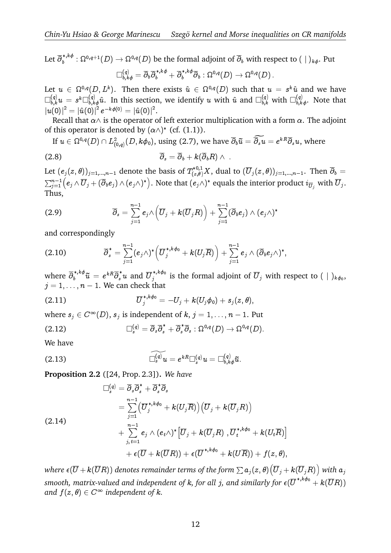Let  $\overline\partial^{*,k\phi}_b:\Omega^{0,q+1}(D)\to\Omega^{0,q}(D)$  be the formal adjoint of  $\overline\partial_b$  with respect to  $(\;|\;)_k{}_\phi.$  Put  $\Box_{b,k\phi}^{(q)}=\overline\partial_b\overline\partial^{*,k\phi}_b+\overline\partial^{*,k\phi}_b\overline\partial_b:\Omega^{0,q}(D)\to\Omega^{0,q}(D)\,.$ 

Let  $u \, \in \, \Omega^{0,q}(D,L^k).$  Then there exists  $\hat{u} \, \in \, \Omega^{0,q}(D)$  such that  $u \, = \, s^k \hat{u}$  and we have  $\Box_{b,k}^{(q)}u = s^k \Box_{b,k\phi}^{(q)}\hat u.$  In this section, we identify  $u$  with  $\hat u$  and  $\Box_{b,k}^{(q)}$  with  $\Box_{b,k\phi}^{(q)}.$  Note that  $\left|u(0)\right|^2 = \left|\hat{u}(0)\right|^2 e^{-k\phi(0)} = \left|\hat{u}(0)\right|^2.$ 

Recall that  $\alpha\wedge$  is the operator of left exterior multiplication with a form  $\alpha.$  The adjoint of this operator is denoted by  $(\alpha \wedge)^*$  (cf.  $(1.1)$ ).  $\begin{aligned} \n\psi &= |\mathbf{u}(0)| \cdot \n\end{aligned}$ <br>
(D) perator of left exterior multiplication with a sted by  $(\alpha \wedge)^*$  (cf. (1.1)).<br>
(D,  $k\phi_0$ ), using (2.7), we have  $\overline{\partial}_b \tilde{u} = \widehat{\partial_s u} = e$ 

If 
$$
u \in \Omega^{0,q}(D) \cap L^2_{(0,q)}(D, k\phi_0)
$$
, using (2.7), we have  $\overline{\partial}_b \tilde{u} = \overline{\partial}_s u = e^{kR} \overline{\partial}_s u$ , where  
(2.8) 
$$
\overline{\partial}_s = \overline{\partial}_b + k(\overline{\partial}_b R) \wedge .
$$

Let  $(e_j(z,\theta))_{j=1,...,n-1}$  denote the basis of  $T^{*0,1}_{(z,\theta)}X,$  dual to  $(\overline{U}_j(z,\theta))_{j=1,...,n-1}.$  Then  $\overline{\partial}_b=$  $\lim_{j=1}^{n-1} (e_j \wedge \overline{U}_j + (\overline{\partial}_b e_j) \wedge (e_j \wedge)^*)$ . Note that  $(e_j \wedge)^*$  equals the interior product  $i_{\overline{U}_j}$  with  $\overline{U}_j$ .<br>  $\lim_{n \to +\infty} (e_j e_j) \wedge (e_j e_j e_j)$ .  $\mathbf{e}$ .8)<br>et  $(e_j)$ <br> $\sum_{j=1}^{n-1}$ Thus,

(2.9) 
$$
\overline{\partial}_s = \sum_{j=1}^{n-1} e_j \wedge \left( \overline{U}_j + k(\overline{U}_j R) \right) + \sum_{j=1}^{n-1} (\overline{\partial}_b e_j) \wedge (e_j \wedge)^*
$$

and correspondingly

$$
j=1
$$
\nand correspondingly\n
$$
\overline{\partial}_{s}^{*} = \sum_{j=1}^{n-1} (e_{j}\wedge)^{*} \left( \overline{U}_{j}^{*,k\phi_{0}} + k(U_{j}\overline{R}) \right) + \sum_{j=1}^{n-1} e_{j} \wedge (\overline{\partial}_{b}e_{j}\wedge)^{*},
$$
\nwhere  $\overline{\partial}_{b}^{*,k\phi_{0}} \overline{u} = e^{kR}\overline{\partial}_{s}^{*}u$  and  $\overline{U}_{j}^{*,k\phi_{0}}$  is the formal adjoint of  $\overline{U}_{j}$  with respect to ( | )<sub>k\phi\_{0}</sub>,

 $j = 1, \ldots, n - 1$ . We can check that

(2.11) 
$$
\overline{U}_{j}^{*,k\phi_{0}} = -U_{j} + k(U_{j}\phi_{0}) + s_{j}(z,\theta),
$$

where  $s_j \in C^{\infty}(D)$ ,  $s_j$  is independent of  $k,$   $j = 1, \ldots, n - 1$ . Put

(2.12) 
$$
\Box_s^{(q)} = \overline{\partial}_s \overline{\partial}_s^* + \overline{\partial}_s^* \overline{\partial}_s : \Omega^{0,q}(D) \to \Omega^{0,q}(D).
$$

We have

We have  
\n
$$
\widehat{\Box_s^{(q)}}u = e^{kR} \Box_s^{(q)}u = \Box_{b,k\phi}^{(q)}\tilde{u}.
$$
\n(2.13)

**Proposition 2.2** ([24, Prop. 2.3]). We have  
\n
$$
\Box_s^{(q)} = \overline{\partial}_s \overline{\partial}_s^* + \overline{\partial}_s^* \overline{\partial}_s
$$
\n
$$
= \sum_{j=1}^{n-1} \left( \overline{U}_j^{*,k\phi_0} + k(U_j \overline{R}) \right) \left( \overline{U}_j + k(\overline{U}_j R) \right)
$$
\n(2.14)\n
$$
+ \sum_{j,t=1}^{n-1} e_j \wedge (e_t \wedge)^* \left[ \overline{U}_j + k(\overline{U}_j R) \right], \overline{U}_t^{*,k\phi_0} + k(U_t \overline{R}) \right]
$$
\n
$$
+ \epsilon (\overline{U} + k(\overline{U}R)) + \epsilon (\overline{U}^{*,k\phi_0} + k(U \overline{R})) + f(z, \theta),
$$
\nwhere  $\epsilon (\overline{U} + k(\overline{U}R))$  denotes remainder terms of the form  $\sum a_j(z, \theta) \left( \overline{U}_j + k(\overline{U}_j R) \right)$  with  $a_j$ 

smooth, matrix-valued and independent of  $k$ , for all  $j$ , and similarly for  $\epsilon(\overline{U}^{\ast,k\phi_0}+k(\overline{U}R))$ and  $f(z, \theta) \in C^{\infty}$  independent of  $k$ .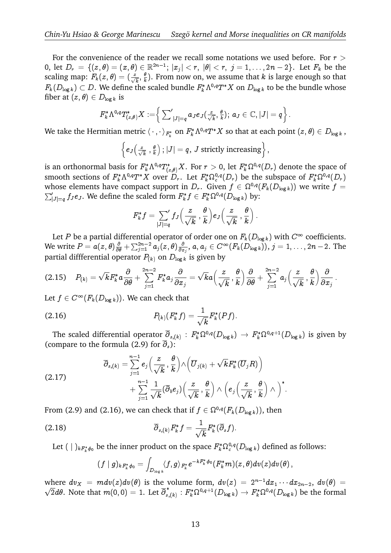For the convenience of the reader we recall some notations we used before. For  $r >$ 0, let  $D_r \,=\, \{(z,\theta) = (x,\theta) \in \mathbb{R}^{2n-1}; \, |x_j| < r, \,\, |\theta| < r, \,\, j=1,\ldots, 2n-2\}.$  Let  $F_k$  be the scaling map:  $F_k(z,\theta)=(\frac{z}{\sqrt{k}},\frac{\theta}{k}$  $\frac{\theta}{k}$ ). From now on, we assume that *k* is large enough so that  $F_k(D_{\log k})\subset D.$  We define the scaled bundle  $F_k^*\Lambda^{0,q}T^*X$  on  $D_{\log k}$  to be the bundle whose fiber at  $(z, \theta) \in D_{\log k}$  is  $\begin{split} \big(\begin{smallmatrix} \sqrt{k} \end{smallmatrix} \text{, } k \text{, } \bot \text{ form} \end{split}$  in the scaled left  $\big|_{(z,\theta)}^* X := \Big\{\sum_{i=1}^k \sum_{j=1}^k \Big\}$ 

$$
\begin{aligned} F_k^*\Lambda^{0,q}T_{(z,\theta)}^*X := & \Big\{ \left. \textstyle\sum_{|J|=q}^\prime a_J e_J(\frac{z}{\sqrt{k}},\frac{\theta}{k}); \ a_J \in \mathbb{C}, |J|=q \right\}. \\ \text{mitian metric} \left. \langle \,\cdot\,,\cdot\,\rangle_{F_k^*} \text{ on } F_k^*\Lambda^{0,q}T^*X \text{ so that at each point} \right. \\ & \Big\{ e_J(\frac{z}{\sqrt{k}},\frac{\theta}{k}): |J|=q,\ J \text{ strictly increasing} \Big\}\,, \end{aligned}
$$

We take the Hermitian metric  $\langle\,\cdot\,,\cdot\,\rangle_{F^*_k}$  on  $F^*_k\Lambda^{0,q}T^*X$  so that at each point  $(z,\theta)\in D_{\log k}$  ,

$$
\left\{e_{J}\left(\frac{z}{\sqrt{k}}\right),\frac{\theta}{k}\right\}; |J|=q, J \text{ strictly increasing}\right\},\
$$

is an orthonormal basis for  $F^*_k\Lambda^{0,q}T^*_{(z,\theta)}X.$  For  $r>0,$  let  $F^*_k\Omega^{0,q}(D_r)$  denote the space of smooth sections of  $F_k^*\Lambda^{0,q}T^*X$  over  $D_r.$  Let  $F_k^*\Omega_c^{0,q}(D_r)$  be the subspace of  $F_k^*\Omega^{0,q}(D_r)$ whose elements have compact support in  $D_r$ . Given  $f \in \Omega^0$ is an orthonormal basis for  $F_k^*\Lambda^{0,q}T_{(z,\theta)}^*X$ . For  $r > 0$ , let  $F_k^*\Omega^{0,q}(D_r)$  denote the space of  $F_k^*\Omega^{0,q}(D_r)$  smooth sections of  $F_k^*\Lambda^{0,q}T^*X$  over  $D_r$ . Let  $F_k^*\Omega^{0,q}(D_r)$  be the subspace of  $F_k^*\Omega^{0,q}(D_r)$  whose  $\int_{|J|=q}^{\prime}f_{J}e_{J}.$  We define the scaled form  $F_{k}^{*}f\in F_{k}^{*}\Omega^{0,q}(D_{\log k})$  by:

$$
F_k^* f = \sum_{|J|=q} f_J\left(\frac{z}{\sqrt{k}}, \frac{\theta}{k}\right) e_J\left(\frac{z}{\sqrt{k}}, \frac{\theta}{k}\right).
$$

Let  $P$  be a partial differential operator of order one on  $F_k(D_{\log k})$  with  $C^\infty$  coefficients. We write  $P=a(z,\theta)\frac{\partial}{\partial \theta}+\sum_{j=1}^{2n-2}a_j(z,\theta)\frac{\partial}{\partial z}$  $\frac{(-2)}{1}a_j(z,\theta) \frac{\partial}{\partial x_j}, a, a_j \in C^{\infty}(F_k(D_{\log k})), j = 1, \ldots, 2n-2$ . The<br>  $P_{(k)}$  on  $D_{\log k}$  is given by<br>  $\sum_{k=1}^{n-2} F_k^* a_j \frac{\partial}{\partial x_k} = \sqrt{k} a \left( \frac{z}{\sqrt{k}}, \frac{\theta}{\sqrt{k}} \right) \frac{\partial}{\partial x_k} + \sum_{k=1}^{n-2} a_j \left( \frac{z}{\sqrt{k}}, \frac{\theta}{\sqrt{k}} \right) \frac{\partial}{\partial x_k}$ partial diffferential operator  $P_{(k)}$  on  $D_{\log k}$  is given by

$$
(2.15) \tP_{(k)} = \sqrt{k} F_k^* a \frac{\partial}{\partial \theta} + \sum_{j=1}^{2n-2} F_k^* a_j \frac{\partial}{\partial x_j} = \sqrt{k} a \left( \frac{z}{\sqrt{k}}, \frac{\theta}{k} \right) \frac{\partial}{\partial \theta} + \sum_{j=1}^{2n-2} a_j \left( \frac{z}{\sqrt{k}}, \frac{\theta}{k} \right) \frac{\partial}{\partial x_j}.
$$

Let  $f\in C^\infty(F_k(D_{\log k})).$  We can check that

(2.16) 
$$
P_{(k)}(F_k^* f) = \frac{1}{\sqrt{k}} F_k^*(P f).
$$

The scaled differential operator  $\overline{\partial}_{s,(k)}$  :  $F_k^* \Omega^{0,q}(D_{\log k}) \to F_k^* \Omega^{0,q+1}(D_{\log k})$  is given by<br>ompare to the formula (2.9) for  $\overline{\partial}_s$ ):<br> $\overline{\partial}_s$  =  $\overline{\partial}_s$  =  $\overline{\partial}_s$  =  $\overline{\partial}_s$  =  $\overline{\partial}_s$  =  $\overline{\partial}_s$  =  $\overline{\partial$ (compare to the formula (2.9) for  $\overline{\partial}_s$ ):

:

(2.17) 
$$
\overline{\partial}_{s,(k)} = \sum_{j=1}^{n-1} e_j \left( \frac{z}{\sqrt{k}}, \frac{\theta}{k} \right) \wedge \left( \overline{U}_{j(k)} + \sqrt{k} F_k^*(\overline{U}_j R) \right) + \sum_{j=1}^{n-1} \frac{1}{\sqrt{k}} (\overline{\partial}_b e_j) \left( \frac{z}{\sqrt{k}}, \frac{\theta}{k} \right) \wedge \left( e_j \left( \frac{z}{\sqrt{k}}, \frac{\theta}{k} \right) \wedge \right)^*
$$

From (2.9) and (2.16), we can check that if  $f\in \Omega^{0,q}(F_k(D_{\log k})),$  then

(2.18) 
$$
\overline{\partial}_{s,(k)} F_k^* f = \frac{1}{\sqrt{k}} F_k^* (\overline{\partial}_s f).
$$

Let  $(\ |\ )_{kF_k^*\phi_0}$  be the inner product on the space  $F_k^*\Omega_c^{0,q}(D_{\log k})$  defined as follows:

$$
(f\mid g)_{kF_k^*\phi_0}=\int_{D_{\log k}}\langle f,g\rangle_{F_k^*}e^{-kF_k^*\phi_0}(F_k^*m)(z,\theta)dv(z)dv(\theta)\,,
$$

where  $dv_X = mdv(z)dv(\theta)$  is the volume form,  $dv(z) = 2^{n-1}dx_1 \cdots dx_{2n-2}$ ,  $dv(\theta) =$  $\overline{2}d\theta.$  Note that  $m(0,0)=1.$  Let  $\overline{\partial}_{s,(k)}^*: F_k^*\Omega^{0,q+1}(D_{\log k})\to F_k^*\Omega^{0,q}(D_{\log k})$  be the formal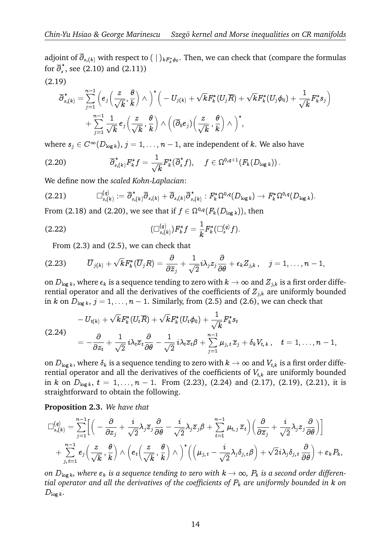adjoint of  $\partial_{s,(k)}$  with respect to  $(\;|~)_{kF^*_k\phi_0}.$  Then, we can check that (compare the formulas for  $\overline{\partial}_s^*$ , see (2.10) and (2.11))<br>
(2.19)<br>  $\overline{a}^* = \frac{n-1}{2}$  (2.14)  $\kappa$  ,  $\kappa$  ,  $\kappa$  $\frac{1}{\sqrt{2}}$ 

(2.19)

$$
\overline{\partial}^*_{s,(k)} = \sum_{j=1}^{n-1} \left( e_j \Big( \frac{z}{\sqrt{k}}, \frac{\theta}{k} \Big) \wedge \Big)^* \Big( -U_{j(k)} + \sqrt{k} F_k^*(U_j \overline{R}) + \sqrt{k} F_k^*(U_j \phi_0) + \frac{1}{\sqrt{k}} F_k^* s_j \Big) \right. \\ \left. + \sum_{j=1}^{n-1} \frac{1}{\sqrt{k}} \, e_j \Big( \frac{z}{\sqrt{k}}, \frac{\theta}{k} \Big) \wedge \Big( (\overline{\partial}_b e_j) \Big( \frac{z}{\sqrt{k}}, \frac{\theta}{k} \Big) \wedge \Big)^*, \right.
$$

where  $s_j \in C^\infty(D_{\log k}),\,j=1,\dots, n-1,$  are independent of  $k.$  We also have

$$
(2.20) \qquad \qquad \overline{\partial}_{s,(k)}^*F_k^*f=\frac{1}{\sqrt{k}}F_k^*(\overline{\partial}_s^*f), \quad \ f\in \Omega^{0,q+1}(F_k(D_{\log k}))\,.
$$

We define now the *scaled Kohn-Laplacian*:

$$
(2.21) \qquad \qquad \Box_{s,(k)}^{(q)} := \overline{\partial}_{s,(k)}^* \overline{\partial}_{s,(k)} + \overline{\partial}_{s,(k)} \overline{\partial}_{s,(k)}^* : F_k^* \Omega^{0,q}(D_{\log k}) \to F_k^* \Omega^{0,q}(D_{\log k}).
$$

From (2.18) and (2.20), we see that if  $f\in \Omega^{0,q}(F_k(D_{\log k})),$  then

(2.22) 
$$
(\Box_{s,(k)}^{(q)})F_k^*f=\frac{1}{k}F_k^*(\Box_s^{(q)}f).
$$

From (2.3) and (2.5), we can check that

$$
(2.23) \qquad \overline{U}_{j(k)}+\sqrt{k}F_k^*(\overline{U}_jR)=\frac{\partial}{\partial \overline{z}_j}+\frac{1}{\sqrt{2}}i\lambda_jz_j\frac{\partial}{\partial \theta}+\epsilon_kZ_{j,k}\,,\quad j=1,\ldots,n-1,
$$

on  $D_{\log k}$ , where  $\epsilon_k$  is a sequence tending to zero with  $k \to \infty$  and  $Z_{j,k}$  is a first order differential operator and all the derivatives of the coefficients of  $Z_{i,k}$  are uniformly bounded in k on  $D_{\log k}$ ,  $j = 1, ..., n - 1$ . Similarly, from (2.5) and (2.6), we can check that

$$
- U_{t(k)} + \sqrt{k} F_k^*(U_t \overline{R}) + \sqrt{k} F_k^*(U_t \phi_0) + \frac{1}{\sqrt{k}} F_k^* s_t
$$
  
(2.24)  

$$
= -\frac{\partial}{\partial z_t} + \frac{1}{\sqrt{2}} i \lambda_t \overline{z}_t \frac{\partial}{\partial \theta} - \frac{1}{\sqrt{2}} i \lambda_t \overline{z}_t \beta + \sum_{j=1}^{n-1} \mu_{j,t} \overline{z}_j + \delta_k V_{t,k}, \quad t = 1, ..., n-1,
$$

on  $D_{\log k}$ , where  $\delta_k$  is a sequence tending to zero with  $k \to \infty$  and  $V_{t,k}$  is a first order differential operator and all the derivatives of the coefficients of  $V_{t,k}$  are uniformly bounded in k on  $D_{\log k}$ ,  $t = 1, \ldots, n - 1$ . From (2.23), (2.24) and (2.17), (2.19), (2.21), it is straightforward to obtain the following.

**Proposition 2.3.** *We have that*  $\lim_{n-1}$ 

tranghtforward to obtain the following.

\nProposition 2.3. We have that

\n
$$
\Box_{s,(k)}^{(q)} = \sum_{j=1}^{n-1} \Biggl[ \Biggl( -\frac{\partial}{\partial z_j} + \frac{i}{\sqrt{2}} \lambda_j \overline{z}_j \frac{\partial}{\partial \theta} - \frac{i}{\sqrt{2}} \lambda_j \overline{z}_j \beta + \sum_{t=1}^{n-1} \mu_{t,j} \overline{z}_t \Biggr) \Biggl( \frac{\partial}{\partial \overline{z}_j} + \frac{i}{\sqrt{2}} \lambda_j z_j \frac{\partial}{\partial \theta} \Biggr) \Biggr] + \sum_{j,t=1}^{n-1} e_j \Biggl( \frac{z}{\sqrt{k}}, \frac{\theta}{k} \Biggr) \wedge \Biggl( e_t \Biggl( \frac{z}{\sqrt{k}}, \frac{\theta}{k} \Biggr) \wedge \Biggr)^* \Biggl( \Biggl( \mu_{j,t} - \frac{i}{\sqrt{2}} \lambda_j \delta_{j,t} \beta \Biggr) + \sqrt{2} i \lambda_j \delta_{j,t} \frac{\partial}{\partial \theta} \Biggr) + \varepsilon_k P_k,
$$

*on*  $D_{\log k}$ , where  $\varepsilon_k$  *is a sequence tending to zero with*  $k \to \infty$ ,  $P_k$  *is a second order differential operator and all the derivatives of the coefficients of* P<sup>k</sup> *are uniformly bounded in* k *on*  $D_{\log k}$ .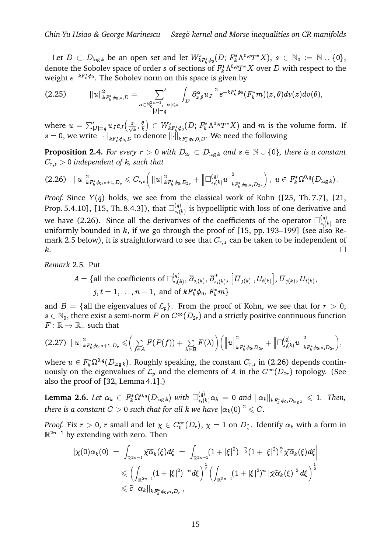Let  $D \subset D_{\log k}$  be an open set and let  $W_{k,F_k^*\phi_0}^s(D; F_k^*\Lambda^{0,q}T^*X), s \in \mathbb{N}_0 := \mathbb{N} \cup \{0\},$ denote the Sobolev space of order s of sections of  $F_k^* \Lambda^{0,q} T^* X$  over D with respect to the weight  $e^{-kF_k^*\phi_0}.$  The Sobolev norm on this space is given by

$$
(2.25) \qquad \quad \Vert u\Vert_{kF_k^*\phi_{0},s,D}^2=\sum_{\alpha\in\mathbb N_0^{2n-1}, \; |\alpha|\leqslant s}\int_{D}\Bigl|\partial_{x,\theta}^\alpha u_{J}\Bigr|^2\,e^{-kF_k^*\phi_{0}}(F_k^*m)(z,\theta)dv(z)dv(\theta),
$$

where  $u \, = \, \sum_{|J| = q}^{\prime} u_J e_J \bigl( \frac{z}{\sqrt{k}}, \frac{\theta}{k} \bigr)$ k  $\in W_{k,F_k^*\phi_0}^s(D; F_k^*\Lambda^{0,q}T^*X)$  and m is the volume form. If  $s=$  0, we write  $\lVert \cdot \rVert_{kF_k^* \phi_{0}, D}$  to denote  $\lVert \cdot \rVert_{kF_k^* \phi_{0},0, D}.$  We need the following

**Proposition 2.4.** *For every*  $r > 0$  *with*  $D_{2r} \subset D_{\log k}$  *and*  $s \in \mathbb{N} \cup \{0\}$ *, there is a constant*  $C_{r,s} > 0$  *independent of k, such that*<br>
(2.26)  $||u||_{kF_k^*\phi_0,s+1,D_r}^2 \leq C_{r,s} (||u||_{kF_k^*\phi_0,D_{2r}}^2 + ||\Box_{s,(k)}^{(q)}u$ Cr;s > 0 *independent of* k*, such that* n

$$
(2.26)\quad \|u\|_{kF_k^*\phi_0,s+1,D_r}^2\leqslant C_{r,s}\Big(\|u\|_{kF_k^*\phi_0,D_{2r}}^2+\left\|\Box_{s,(k)}^{(q)}u\right\|_{kF_k^*\phi_0,s,D_{2r}}^2\Big)\,,\,\,u\in F_k^*\Omega^{0,q}(D_{\log k})\,.
$$

*Proof.* Since  $Y(q)$  holds, we see from the classical work of Kohn ([25, Th. 7.7], [21, Prop. 5.4.10], [15, Th. 8.4.3]), that  $\square_{s,t}^{(q)}$  $\binom{q}{s,(k)}$  is hypoelliptic with loss of one derivative and we have (2.26). Since all the derivatives of the coefficients of the operator  $\square_{s}^{(q)}$  $\int_{s,(k)}^{(q)}$  are uniformly bounded in  $k$ , if we go through the proof of [15, pp. 193-199] (see also Remark 2.5 below), it is straightforward to see that  $C_{r,s}$  can be taken to be independent of  $k.$ 

*Remark* 2.5*.* Put

$$
A = \{ \text{all the coefficients of } \Box_{s,(k)}^{(q)}, \overline{\partial}_{s,(k)}, \overline{\partial}_{s,(k)}^*, \left[ \overline{U}_{j(k)}, U_{t(k)} \right], \overline{U}_{j(k)}, U_{t(k)},
$$
  

$$
j, t = 1, \ldots, n-1, \text{ and of } kF_k^* \phi_0, F_k^* m \}
$$

and  $B = \{\text{all the eigenvalues of } \mathcal{L}_p\}.$  From the proof of Kohn, we see that for  $r > 0$ ,  $s \in \mathbb{N}_0$ , there exist a semi-norm P on  $C^{\infty}(D_{2r})$  and a strictly positive continuous function<br>  $F: \mathbb{R} \to \mathbb{R}_+$  such that<br>
(2.27)  $||u||^2_{kF^*d_{0.8}+1,D_k} \leq (\sum F(P(f)) + \sum F(\lambda)) (||u||^2_{kF^*d_{0.8}+1,D_k} + ||\Box_{s.(k)}^{(q)}u||^2_{kF^$  $F: \mathbb{R} \to \mathbb{R}_+$  such that  $\frac{1}{1}$  $\frac{e}{e}$  $\frac{1}{u}$ 

$$
(2.27) \ \ \|u\|_{kF_k^*\phi_{0},s+1,D_r}^2\leqslant \bigg(\sum_{f\in A}F(P(f))+\sum_{\lambda\in B}F(\lambda)\bigg)\bigg(\|u\|_{kF_k^*\phi_{0},D_{2r}}^2+\left\|\Box_{s,(k)}^{(q)}u\right\|_{kF_k^*\phi_{0},s,D_{2r}}^2\bigg),
$$

where  $u\in F^*_k\Omega^{0,q}(D_{\log k}).$  Roughly speaking, the constant  $C_{r,s}$  in (2.26) depends continuously on the eigenvalues of  $\mathcal{L}_p$  and the elements of  $A$  in the  $C^\infty(D_{2r})$  topology. (See also the proof of [32, Lemma 4.1].)

 ${\bf Lemma \ 2.6.}$  Let  $\alpha_k\, \in\, F_k^*\Omega^{0,q}(D_{\log k})$  with  $\square_{s,(k)}^{(q)}\alpha_k\,=\,0$  and  $\|\alpha_k\|_{kF_k^*\phi_0,D_{\log k}}\,\leqslant\,1.$  Then, *there is a constant*  $C>0$  *such that for all*  $k$  *we have*  $|\alpha_k(0)|^2\leqslant C.$ 

*Proof.* Fix  $r > 0$ ,  $r$  small and let  $\chi \in C_0^\infty(D_r),$   $\chi = 1$  on  $D_{\frac{r}{2}}.$  Identify  $\alpha_k$  with a form in Prooj. Fix  $r > 0$ ,  $r$  small and let  $\chi \in \mathbb{R}^{2n-1}$  by extending with zero. Then<br> $|\chi(0)\alpha_k(0)| = \Big|\int_{-\infty}^{\infty} \overline{\chi} \alpha_k(\xi) d\xi\Big|$  $\overline{a}$ Il and let  $\chi \in C$  $\ddot{\phantom{0}}$ Zy  $\alpha_k$  with : $\frac{n}{2}\widehat{\chi\alpha_k}(\xi)d\xi$  $\overline{a}$  $\overline{\phantom{a}}$ 

$$
\begin{aligned} |\chi(0)\alpha_k(0)|=&\left|\int_{\mathbb{R}^{2n-1}}\widehat{\chi\alpha_k}(\xi)d\xi\right|=\left|\int_{\mathbb{R}^{2n-1}}(1+|\xi|^2)^{-\frac{n}{2}}(1+|\xi|^2)^{\frac{n}{2}}\widehat{\chi\alpha_k}(\xi)d\xi\right|\\ \leqslant&\left(\int_{\mathbb{R}^{2n-1}}(1+|\xi|^2)^{-n}d\xi\right)^{\frac{1}{2}}\left(\int_{\mathbb{R}^{2n-1}}(1+|\xi|^2)^n\left|\widehat{\chi\alpha_k}(\xi)\right|^2d\xi\right)^{\frac{1}{2}}\\ \leqslant&\widetilde{c}\left\|\alpha_k\right\|_{kF_k^*\phi_0,n,D_r}, \end{aligned}
$$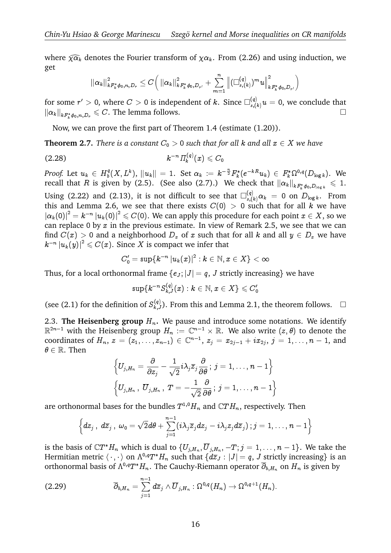Chin-Yu Hsiao & George Marinescu — Szegö kernel and Morse inequalities on CR manifolds<br>where  $\widehat{\chi\alpha_k}$  denotes the Fourier transform of  $\chi\alpha_k$ . From (2.26) and using induction, we get  $Fro$ a1

$$
\left\|\alpha_k\right\|_{k{F_k^* \phi_0,n,D_r}}^2 \le C\Big( \left\|\alpha_k\right\|_{k{F_k^* \phi_0,D_{r'}}}^2 + \sum_{m=1}^n \left\|(\Box^{(q)}_{s,(k)})^m u\right\|_{k{F_k^* \phi_0,D_{r'}}}^2 \Big)
$$

for some  $r'>0,$  where  $C>0$  is independent of  $k.$  Since  $\Box^{(q)}_{s,(k)}u=0,$  we conclude that  $\|\alpha_k\|_{k_{k}^{r*}\phi_0,n,D_r} \leqslant C.$  The lemma follows.

Now, we can prove the first part of Theorem 1.4 (estimate (1.20)).

**Theorem 2.7.** *There is a constant*  $C_0 > 0$  *such that for all k and all*  $x \in X$  *we have* 

(2.28) 
$$
k^{-n} \Pi_k^{(q)}(x) \leqslant C_0
$$

*Proof.* Let  $u_k \in H_b^q$  $\|b^{q}(X,L^{k}),\ \|u_{k}\|= \ 1. \ \ \text{Set} \ \alpha_{k} \ := \ k^{-\frac{n}{2}} F_{k}^{*}(e^{-kR}u_{k}) \ \in \ F_{k}^{*}\Omega^{0,q}(D_{\log k}). \ \ \text{We}$ recall that  $R$  is given by (2.5). (See also (2.7).) We check that  $\|\alpha_k\|_{kF_k^*\phi_0,D_{\log k}}\,\leqslant\,1.$ Using (2.22) and (2.13), it is not difficult to see that  $\Box^{(q)}_{s,(k)}\alpha_k\ =\ 0$  on  $D_{\log k}.$  From this and Lemma 2.6, we see that there exists  $C(0) > 0$  such that for all k we have  $\left|\alpha_k(0)\right|^2=k^{-n}\left|u_k(0)\right|^2\leqslant C(0).$  We can apply this procedure for each point  $x\in X,$  so we can replace 0 by  $x$  in the previous estimate. In view of Remark 2.5, we see that we can find  $C(x) > 0$  and a neighborhood  $D_x$  of x such that for all k and all  $y \in D_x$  we have  $|k^{-n}\left|u_{k}(y)\right|^{2}\leqslant C(x).$  Since  $X$  is compact we infer that

$$
C_0'=\sup\{k^{-n}\left|u_k(x)\right|^2: k\in\mathbb{N}, x\in X\}<\infty
$$

Thus, for a local orthonormal frame  $\{e_j; |J| = q$ , J strictly increasing we have

$$
\sup\{k^{-n}S_{k,J}^{(q)}(x):k\in\mathbb N,x\in X\}\leqslant C_0'
$$

(see (2.1) for the definition of  $S_{k,J}^{(q)}$ ). From this and Lemma 2.1, the theorem follows.  $\Box$ 

2.3. **The Heisenberg group**  $H_n$ . We pause and introduce some notations. We identify  $\mathbb{R}^{2n-1}$  with the Heisenberg group  $H_n\,:=\,\mathbb{C}^{n-1}\times\mathbb{R}.$  We also write  $(z,\theta)$  to denote the coordinates of  $H_n$ ,  $z = (z_1, \ldots, z_{n-1}) \in \mathbb{C}^{n-1}$ ,  $z_j = x_{2j-1} + i x_{2j}, \, j = 1, \ldots, n-1,$  and  $\theta \in \mathbb{R}$ . Then

$$
\left\{U_{j,H_n}=\frac{\partial}{\partial z_j}-\frac{1}{\sqrt{2}}i\lambda_j\overline{z}_j\frac{\partial}{\partial\theta}\,;\,j=1,\ldots,n-1\right\}\\ \left\{U_{j,H_n}\,,\;\overline{U}_{j,H_n}\,,\;T=-\frac{1}{\sqrt{2}}\frac{\partial}{\partial\theta}\,;\,j=1,\ldots,n-1\right\}
$$

are orthonormal bases for the bundles  $T^{1,0}H_n$  and  $\mathbb{C}TH_n$ , respectively. Then  $\lim_{n-1}$ 

$$
\left\{dz_j\,,\;d\overline{z}_j\,,\;\omega_0=\sqrt{2}d\theta+\sum_{j=1}^{n-1}(i\lambda_j\overline{z}_jdz_j-i\lambda_jz_jd\overline{z}_j)\,;j=1,\ldots,n-1\right\}
$$

is the basis of  $\mathbb{C}T^*H_n$  which is dual to  $\{U_{j,H_n}, \overline{U}_{j,H_n}, -T; j=1,\ldots,n-1\}.$  We take the Hermitian metric  $\langle\,\cdot\,,\cdot\,\rangle$  on  $\Lambda^{0,q}T^*H_n$  such that  $\{d\overline z_J:|J|=q, \,J$  strictly increasing} is an orthonormal basis of  $\Lambda^{0,q}T^*H_n.$  The Cauchy-Riemann operator  $\overline\partial_{b,H_n}$  on  $H_n$  is given by  $\overset{\scriptscriptstyle(}{H}_{n}.$  $\overset{\scriptscriptstyle(}{H}_{n-1}$ 

$$
(2.29) \qquad \qquad \overline{\partial}_{b,H_n} = \sum_{j=1}^{n-1} d\overline{z}_j \wedge \overline{U}_{j,H_n} : \Omega^{0,q}(H_n) \to \Omega^{0,q+1}(H_n).
$$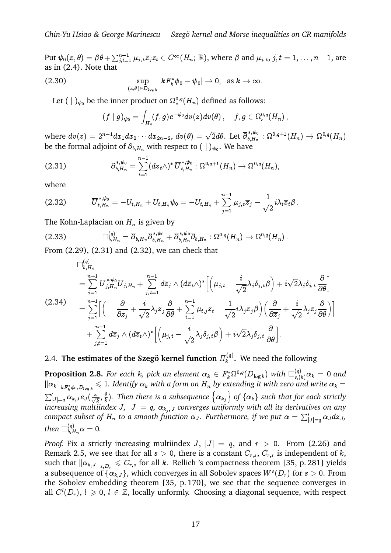Put  $\psi_0(z,\theta)=\beta\theta+\sum_{j,t=1}^{n-1}\mu_{j,t}\overline{z}_jz_t\in C^\infty(H_n;\,\mathbb{R}),$  where  $\beta$  and  $\mu_{j,t},\,j,t=1,\ldots,n-1,$  are as in (2.4). Note that

(2.30) 
$$
\sup_{(z,\theta)\in D_{\log k}}|kF_k^*\phi_0-\psi_0|\to 0, \text{ as } k\to\infty.
$$

Let  $(\;|\;)_{{\psi}_0}$  be the inner product on  $\Omega^{0,q}_c(H_n)$  defined as follows:

$$
(f\mid g)_{\psi_0}=\int_{H_n}\langle f,g\rangle e^{-\psi_0}dv(z)dv(\theta)\,,\quad \, f,g\in \Omega_c^{0,q}(H_n)\,,
$$

where  $dv(z)=2^{n-1}dx_1dx_2\cdots dx_{2n-2},\,dv(\theta)=\sqrt{2}d\theta.$  Let  $\overline\partial_{b,H_n}^{*,\psi_0}$  $\begin{split} \cdots dx_{2n-2},\, dv(\theta) = \sqrt{2}d\theta. \text{ Let } \overline{\partial}_{b,H_n}^{*,\psi_0} : \Omega^{0,q+1}(H_n) \to \Omega^{0,q}(H_n), \ &\text{with respect to } (\ | \ )_{\psi_0}. \text{ We have} \end{split}$ be the formal adjoint of  $\overline{\partial}_{b,H_n}$  with respect to  $(\;|\;)_{\psi_0}.$  We have

(2.31) 
$$
\overline{\partial}_{b,H_n}^{*,\psi_0} = \sum_{t=1}^{n-1} (d\overline{z}_t \wedge)^* \, \overline{U}_{t,H_n}^{*,\psi_0} : \Omega^{0,q+1}(H_n) \to \Omega^{0,q}(H_n),
$$
 where 
$$
= e^{i\psi_0} \qquad \qquad \frac{n-1}{2} \qquad 1
$$

where

$$
(2.32) \t\t \overline{U}_{t,H_n}^{*,\psi_0} = -U_{t,H_n} + U_{t,H_n}\psi_0 = -U_{t,H_n} + \sum_{j=1}^{n-1} \mu_{j,t}\overline{z}_j - \frac{1}{\sqrt{2}}i\lambda_t\overline{z}_t\beta.
$$

The Kohn-Laplacian on  $H_n$  is given by

$$
(2.33) \qquad \qquad \Box^{(q)}_{b,H_n} = \overline{\partial}_{b,H_n} \overline{\partial}_{b,H_n}^{*,\psi_0} + \overline{\partial}_{b,H_n}^{*,\psi_0} \overline{\partial}_{b,H_n} : \Omega^{0,q}(H_n) \to \Omega^{0,q}(H_n) \, .
$$

From (2.29), (2.31) and (2.32), we can check that  
\n
$$
\Box_{b,H_n}^{(q)}
$$
\n
$$
= \sum_{j=1}^{n-1} \overline{U}_{j,H_n}^{*,\psi_0} \overline{U}_{j,H_n} + \sum_{j,t=1}^{n-1} d\overline{z}_j \wedge (d\overline{z}_t \wedge)^* \Big[ \Big( \mu_{j,t} - \frac{i}{\sqrt{2}} \lambda_j \delta_{j,t} \beta \Big) + i \sqrt{2} \lambda_j \delta_{j,t} \frac{\partial}{\partial \theta} \Big]
$$
\n(2.34)\n
$$
= \sum_{j=1}^{n-1} \Big[ \Big( -\frac{\partial}{\partial z_j} + \frac{i}{\sqrt{2}} \lambda_j \overline{z}_j \frac{\partial}{\partial \theta} + \sum_{t=1}^{n-1} \mu_{t,j} \overline{z}_t - \frac{1}{\sqrt{2}} i \lambda_j \overline{z}_j \beta \Big) \Big( \frac{\partial}{\partial \overline{z}_j} + \frac{i}{\sqrt{2}} \lambda_j z_j \frac{\partial}{\partial \theta} \Big) \Big] + \sum_{j,t=1}^{n-1} d\overline{z}_j \wedge (d\overline{z}_t \wedge)^* \Big[ \Big( \mu_{j,t} - \frac{i}{\sqrt{2}} \lambda_j \delta_{j,t} \beta \Big) + i \sqrt{2} \lambda_j \delta_{j,t} \frac{\partial}{\partial \theta} \Big].
$$

#### 2.4. The estimates of the Szegö kernel function  $\Pi_k^{(q)}$  $\mathbf{k}^{(q)}$ . We need the following

 ${\bf Proposition \ 2.8.}$  *For each*  $k$ *, pick an element*  $\alpha_k\, \in\, F_k^*\Omega^{0,q}(D_{\log k})$  *with*  $\square_{s,(k)}^{(q)}\alpha_k\, =\, 0$  *and*  $\|\alpha_k\|_{kF_k^*\phi_0,D_{\log k}}\leqslant 1.$  Identify  $\alpha_k$  with a form on  $H_n$  by extending it with zero and write  $\alpha_k=0$ **Proposition 2.8.** For each  $k$ , pick an element  $\alpha_k \in F_k^*$ <br> $\|\alpha_k\|_{k F_k^* \phi_0, D_{\log k}} \leq 1$ . Identify  $\alpha_k$  with a form on  $H_n$  by exi<br> $\sum_{|J|=\sigma}^{\prime} \alpha_{k,J} e_J(\frac{z}{\sqrt{h}}, \frac{\theta}{k})$ . Then there is a subsequence  $\{\alpha_{k,j}\}$  $\int\limits_{|J|=q}^{\prime} \alpha_{k,J} e_{J}(\frac{z}{\sqrt{k}},\frac{\theta}{k}% )\leq\epsilon, \label{eq:2.14}%$  $\frac{\theta}{k}$ ). Then there is a subsequence  $\left\{\alpha_{k_{j}}\right\}$  of  $\left\{\alpha_{k}\right\}$  such that for each strictly *increasing multiindex J,*  $|J| = q$ ,  $\alpha_{k_j}$ , *J* converges uniformly with all its derivatives on any *compact subset of*  $H_n$  *to a smooth function*  $\alpha_J$ *. Furthermore, if we put*  $\alpha = \sum_{|J|=q}' \alpha_J d\overline{z}_J$ *,* rtu then  $\Box_{b,H_n}^{(q)}\alpha=0.$ 

*Proof.* Fix a strictly increasing multiindex J,  $|J| = q$ , and  $r > 0$ . From (2.26) and Remark 2.5, we see that for all  $s > 0$ , there is a constant  $C_{r,s}$ ,  $C_{r,s}$  is independent of k, such that  $\|\alpha_{k,J}\|_{s,D_r}\leqslant C_{r,s}$  for all k. Rellich 's compactness theorem [35, p. 281] yields a subsequence of  $\{\alpha_{k,J}\},$  which converges in all Sobolev spaces  $W^s(D_r)$  for  $s>0.$  From the Sobolev embedding theorem [35, p. 170], we see that the sequence converges in all  $C^l(D_r)$ ,  $l \geq 0$ ,  $l \in \mathbb{Z}$ , locally unformly. Choosing a diagonal sequence, with respect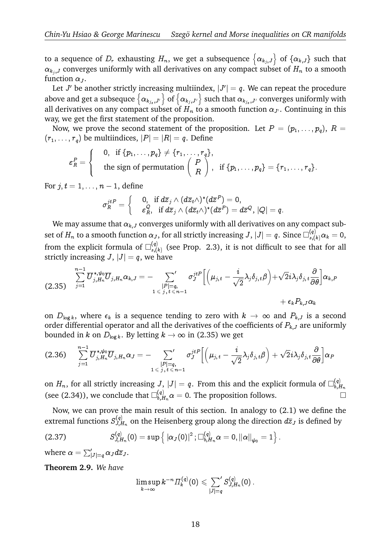Chin-Yu Hsiao & George Marinescu Szegö kernel and Morse inequalities on CR manifolds<br>to a sequence of  $D_r$  exhausting  $H_n$ , we get a subsequence  $\{\alpha_{k_j,J}\}$  of  $\{\alpha_{k,J}\}$  such that function  $\alpha_{J}$ .

 $\alpha_{k_j, J}$  converges uniformly with all derivatives on any compact subset of  $H_n$  to a smooth function  $\alpha_J$ .<br>Let  $J'$  be another strictly increasing multiindex,  $|J'| = q$ . We can repeat the procedure above and get a subseq Let  $J'$  be another strictly increasing multiindex,  $|J'|=q.$  We can repeat the procedure  $\alpha_{k_{j_s},J'}\Big\}$  of  $\big\{\alpha_{k_j,J'}\big\}$  such that  $\alpha_{k_{j_s},J'}$  converges uniformly with all derivatives on any compact subset of  $H_n$  to a smooth function  $\alpha_{J'}$ . Continuing in this way, we get the first statement of the proposition. 8

Now, we prove the second statement of the proposition. Let  $P = (p_1, \ldots, p_q),\, R =$  $(r_1,\ldots,r_q)$  be multiindices,  $|P|=|R|=q.$  Define

$$
r_q
$$
 be multiindices,  $|P| = |R| = q$ . Define  
\n
$$
\varepsilon_R^P = \begin{cases}\n0, & \text{if } \{p_1, \ldots, p_q\} \neq \{r_1, \ldots, r_q\}, \\
\text{the sign of permutation } \begin{pmatrix} P \\ R \end{pmatrix}, & \text{if } \{p_1, \ldots, p_q\} = \{r_1, \ldots, r_q\}.\n\end{cases}
$$

For  $j, t = 1, \ldots, n - 1$ , define

$$
\sigma^{j t P}_R=\left\{\begin{array}{cc}0, \ \ \textrm{if} \ d\overline{z}_j\wedge(d\overline{z}_t\wedge)^*(d\overline{z}^P)=0, \\ \ \ \varepsilon^Q_R, \ \ \textrm{if} \ d\overline{z}_j\wedge(d\overline{z}_t\wedge)^*(d\overline{z}^P)=d\overline{z}^Q, \ |Q|=q. \end{array}\right.
$$

We may assume that  $\alpha_{k,J}$  converges uniformly with all derivatives on any compact subset of  $H_n$  to a smooth function  $\alpha_J,$  for all strictly increasing  $J,$   $|J|=q.$  Since  $\Box^{(q)}_{s,(k)}\alpha_k=0,$ from the explicit formula of  $\square_{s,(l)}^{(q)}$ explicit formula of  $\square_{s,(k)}^{(q)}$  (see Prop. 2.3), it is not difficult to see that for all<br>ncreasing  $J, |J| = q$ , we have<br> $\sum_{i=1}^{n-1} \overline{U}_{j,H_n}^{*,\psi_0} \overline{U}_{j,H_n} \alpha_{k,J} = -\sum_{|D|=\sigma}^{\prime} \sigma_J^{jtP} \left[ \left( \mu_{j,t} - \frac{i}{\sqrt{2}} \lambda_j \delta_{j,t} \$ strictly increasing  $J$ ,  $|J| = q$ , we have

$$
\sum_{j=1}^{n-1}\overline{U}_{j,H_n}^{*,\psi_0}\overline{U}_{j,H_n}\alpha_{k,J}=-\sum_{\substack{|P|=q,\\1\leqslant j,t\leqslant n-1}}\sigma_{J}^{jtP}\Big[\Big(\mu_{j,t}-\frac{i}{\sqrt{2}}\lambda_j\delta_{j,t}\beta\Big)+\sqrt{2}i\lambda_j\delta_{j,t}\frac{\partial}{\partial\theta}\Big]\alpha_{k,P} \\qquad \qquad +\epsilon_kP_{k,J}\alpha_k
$$

on  $D_{\log k}$ , where  $\epsilon_k$  is a sequence tending to zero with  $k \to \infty$  and  $P_{k,J}$  is a second order differential operator and all the derivatives of the coefficients of  $P_{k,j}$  are uniformly<br>bounded in k on  $D_{\log k}$ . By letting  $k \to \infty$  in (2.35) we get<br>(2.36)  $\sum_{i=1}^{n-1} \overline{U}_{j,H_n}^{*,\psi_0} \overline{U}_{j,H_n} \alpha_J = -\sum_{|D|=\infty$ bounded in  $k$  on  $D_{\log k} .$  By letting  $k \to \infty$  in (2.35) we get erei $\frac{1}{n}$ in *k* 

$$
\text{(2.36)} \qquad \sum_{j=1}^{n-1} \overline{U}_{j,H_n}^{*,\psi_0} \overline{U}_{j,H_n} \alpha_J = - \sum_{\substack{|P| = q, \\ 1 \leqslant j, \, t \leqslant n-1}} \sigma_J^{jtP} \Big[ \Big( \mu_{j,t} - \frac{i}{\sqrt{2}} \lambda_j \delta_{j,t} \beta \Big) + \sqrt{2} i \lambda_j \delta_{j,t} \frac{\partial}{\partial \theta} \Big] \alpha_P
$$

on  $H_n,$  for all strictly increasing  $J,$   $|J|=q.$  From this and the explicit formula of  $\square_{b,E}^{(q)}$  $_{b,H_n}$ (see (2.34)), we conclude that  $\Box_{b,H_n}^{(q)} \alpha = 0$ . The proposition follows.

Now, we can prove the main result of this section. In analogy to (2.1) we define the extremal functions  $S_{J.E.}^{(q)}$  $U_{J,H_n}^{(q)}$  on the Heisenberg group along the direction  $d\overline{z}_J$  is defined by the main result of this section. In analogy to<br>
on the Heisenberg group along the directio<br>
(0) =  $\sup \left\{ |\alpha_J(0)|^2; \Box_{b,H_n}^{(q)} \alpha = 0, ||\alpha||_{\psi_0} = 1 \right\}$ n(

$$
(2.37) \tS_{J,H_n}^{(q)}(0) = \sup \left\{ \|\alpha_J(0)\|^2 \; ; \Box_{b,H_n}^{(q)} \alpha = 0, \|\alpha\|_{\psi_0} = 1 \right\}.
$$

where  $\alpha = \sum_{|J|=q}' \alpha_J d\overline{z}_J$ .

**Theorem 2.9.** *We have*

$$
\limsup_{k\rightarrow\infty}k^{-n}\varPi_k^{(q)}(0)\leqslant \textstyle\sum\limits_{|J|=q}^{\qquad\prime}S_{J,H_n}^{(q)}(0)\,.
$$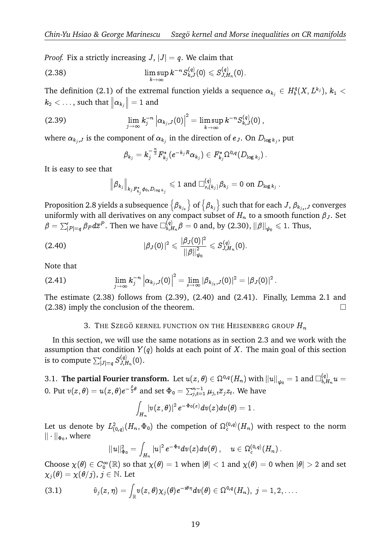*Proof.* Fix a strictly increasing  $J$ ,  $|J| = q$ . We claim that

(2.38) 
$$
\limsup_{k\to\infty} k^{-n} S_{k,J}^{(q)}(0) \leqslant S_{J,H_n}^{(q)}(0).
$$

The definition (2.1) of the extremal function yields a sequence  $\alpha_{k_j} \in H_b^q$ e in function yields a sequence  $\alpha_{k_j} \in H_b^q(X,L^{k_j}), \, k_1 < \frac{1}{2}$  $k_2<\ldots,$  such that  $\left\Vert \alpha_{k_j}\right\Vert =1$  and l,

(2.39) 
$$
\lim_{j \to \infty} k_j^{-n} \left| \alpha_{k_j, J}(0) \right|^2 = \limsup_{k \to \infty} k^{-n} S_{k, J}^{(q)}(0),
$$

where  $\alpha_{k_j,J}$  is the component of  $\alpha_{k_j}$  in the direction of  $e_J.$  On  $D_{\log k_j},$  put

$$
\beta_{k_j} = k_j^{-\frac{n}{2}} F_{k_j}^* (e^{-k_j R} \alpha_{k_j}) \in F_{k_j}^* \Omega^{0,q}(D_{\log k_j})\,.
$$

It is easy to see that

$$
\left\|\beta_{k_j}\right\|_{k_jF_{k_j}^*\phi_0,D_{\log k_j}}\leqslant 1\text{ and }\Box^{(q)}_{s,(k_j)}\beta_{k_j}=0\text{ on }D_{\log k_j}\,.
$$

 $\left\|\beta_{k_j}\right\|_{k_jF_{k_j}^*\phi_0,D_{\log k_j}}\leqslant 1\text{ an }$ Proposition 2.8 yields a subsequence  $\left\{\beta_{k_{j_s}}\right\}$  $\begin{aligned} &\text{d}\ \Box_{s,(k_j)}^{(q)}\beta_{k_j}=0\ \text{on}\ D_{\log k_j}\ . \end{aligned}$  of  $\left\{\beta_{k_j}\right\}$  such that for each  $J,\,\beta_{k_{j_s},J}$  converges uniformly with all derivatives on any compact subset of  $H_n$  to a smooth function  $\beta_J$ . Set  $\beta = \sum_{|P|=q}'\beta_P d\overline{z}^P.$  Then we have  $\Box_{b,E}^{(q)}$  $\theta_{b,H_n}^{(q)}\beta=0$  and, by (2.30),  $\|\beta\|_{\psi_0}\leqslant 1.$  Thus,

(2.40) 
$$
|\beta_J(0)|^2 \leqslant \frac{|\beta_J(0)|^2}{\|\beta\|_{\psi_0}^2} \leqslant S_{J,H_n}^{(q)}(0).
$$

Note that

(2.41) 
$$
\lim_{j\to\infty} k_j^{-n} |\alpha_{k_j,J}(0)|^2 = \lim_{s\to\infty} |\beta_{k_{js},J}(0)|^2 = |\beta_J(0)|^2.
$$

The estimate (2.38) follows from (2.39), (2.40) and (2.41). Finally, Lemma 2.1 and  $(2.38)$  imply the conclusion of the theorem.

## 3. THE SZEGÖ KERNEL FUNCTION ON THE HEISENBERG GROUP  $H_n$

In this section, we will use the same notations as in section 2.3 and we work with the assumption that condition  $Y(q)$  holds at each point of X. The main goal of this section In this section, we will<br>assumption that condition<br>is to compute  $\sum_{|J|=q}^{\prime} S_{J,E}^{(q)}$  $J_{J,H_n}^{(q)}(0).$ 

3.1. **The partial Fourier transform.** Let  $u(z, \theta) \in \Omega^{0,q}(H_n)$  with  $\|u\|_{\psi_0} = 1$  and  $\Box_{b, R}^{(q)}$  $\bm{\hat{a}}$ nsform. Let  $u(z, \theta) \in \Omega^{0,q}(H_n)$  with  $\|u\|_{\psi_0} = 1$  and  $\Box^{(q)}_{b, H_n} u = 0$ 0. Put  $v(z,\theta)=u(z,\theta)e^{-\frac{\beta}{2}\theta}$  and set  $\Phi_0=\sum_{j,t=1}^{n-1}\mu_{j,t}\overline{z}_jz_t.$  We have

$$
\int_{H_n} \! |v(z,\theta)|^2 \, e^{-\Phi_0(z)} dv(z) dv(\theta) = 1 \, .
$$

Let us denote by  $L^2_{(0,q)}(H_n,\Phi_0)$  the competion of  $\Omega^{(0,q)}_\mathrm{c}(H_n)$  with respect to the norm  $\|\cdot\|_{\Phi_0}$ , where

$$
\|u\|_{\Phi_0}^2=\int_{H_n} |u|^2 \, e^{-\Phi_0} dv(z) dv(\theta)\,, \quad u\in \Omega_c^{(0,q)}(H_n)\,.
$$

Choose  $\chi(\theta) \in C_0^{\infty}(\mathbb{R})$  so that  $\chi(\theta) = 1$  when  $|\theta| < 1$  and  $\chi(\theta) = 0$  when  $|\theta| > 2$  and set  $\chi_j(\theta) = \chi(\theta/j), j \in \mathbb{N}$ . Let <br>(3.1)  $\hat{v}_j(z, \eta) = \int v(z, \theta) \chi_j(\theta) e^{-i\theta \eta} dv(\theta) \in \Omega^{0,q}(H_n), j = 1, 2, \dots$  $\chi_i(\theta) = \chi(\theta/j), j \in \mathbb{N}$ . Let

$$
(3.1) \hspace{1cm} \hat{v}_j(z,\eta)=\int_{\mathbb{R}}v(z,\theta)\chi_j(\theta)e^{-i\theta\eta}dv(\theta)\in \Omega^{0,q}(H_n),\,\,j=1,2,\ldots.
$$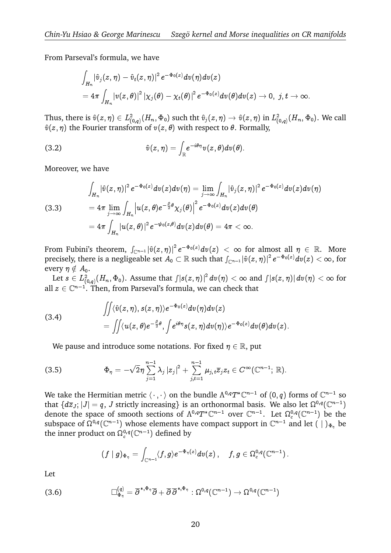From Parseval's formula, we have

$$
\begin{aligned} &\int_{H_n} \!\! \left| \hat{v}_j(z,\eta) - \hat{v}_t(z,\eta) \right|^2 e^{-\Phi_0(z)} dv(\eta) dv(z) \\ & = 4\pi \int_{H_n} \!\! \left| v(z,\theta) \right|^2 \left| \chi_j(\theta) - \chi_t(\theta) \right|^2 e^{-\Phi_0(z)} dv(\theta) dv(z) \to 0, \,\, j,t \to \infty. \end{aligned}
$$

Thus, there is  $\hat{v}(z, \eta) \in L^2_{(0,q)}(H_n, \Phi_0)$  such tht  $\hat{v}_j(z, \eta) \to \hat{v}(z, \eta)$  in  $L^2_{(0,q)}(H_n, \Phi_0)$ . We call  $\hat{v}(z, \eta)$  the Fourier transform of  $v(z, \theta)$  with respect to  $\theta$ . Formally,<br>
(3.2)  $\hat{v}(z, \eta) = \int e^{-i\theta \eta$  $\hat{v}(z, \eta)$  the Fourier transform of  $v(z, \theta)$  with respect to  $\theta$ . Formally,

(3.2) 
$$
\hat{v}(z,\eta) = \int_{\mathbb{R}} e^{-i\theta \eta} v(z,\theta) dv(\theta).
$$

Moreover, we have

Moreover, we have  
\n
$$
\int_{H_n} |\hat{v}(z,\eta)|^2 e^{-\Phi_0(z)} dv(z) dv(\eta) = \lim_{j \to \infty} \int_{H_n} |\hat{v}_j(z,\eta)|^2 e^{-\Phi_0(z)} dv(z) dv(\eta)
$$
\n(3.3)  
\n
$$
= 4\pi \lim_{j \to \infty} \int_{H_n} |u(z,\theta)e^{-\frac{\beta}{2}\theta} \chi_j(\theta)|^2 e^{-\Phi_0(z)} dv(z) dv(\theta)
$$
\n
$$
= 4\pi \int_{H_n} |u(z,\theta)|^2 e^{-\psi_0(z,\theta)} dv(z) dv(\theta) = 4\pi < \infty.
$$
\nFrom Fubini's theorem,  $\int_{\mathbb{C}^{n-1}} |\hat{v}(z,\eta)|^2 e^{-\Phi_0(z)} dv(z) < \infty$  for almost all  $\eta \in \mathbb{R}$ . More

From Fubini's theorem,  $\int_{\mathbb{C}^{n-1}} |\hat{v}(z,\eta)|^2 e^{-\Phi_0(z)} dv(z) < \infty$  for almost all  $\eta \in \mathbb{R}$ . More precisely, there is a negligeable set  $A_0 \subset \mathbb{R}$  such that  $\int_{\mathbb{C}^{n-1}} |\hat{v}(z,\eta)|^2 e^{-\Phi_0(z)} dv(z) < \infty$ , for every  $\eta \notin A_0$ . theorem,  $\int_{\mathbb{C}^{n-1}} |\hat{v}(z,\eta)|^2 e^{-\Phi_0(z)} dv(z) < \infty$  for alnot is a negligeable set  $A_0 \subset \mathbb{R}$  such that  $\int_{\mathbb{C}^{n-1}} |\hat{v}(z,\eta)|^2$ <br>( $H_n, \Phi_0$ ). Assume that  $\int |s(z,\eta)|^2 dv(\eta) < \infty$  and  $\int$ 

Let  $s\in L^2_{(0,q)}(H_n,\Phi_0).$  Assume that  $\int \! |s(z,\eta)|^2\, dv(\eta)<\infty$  and  $\int \! |s(z,\eta)|\, dv(\eta)<\infty$  for all  $z \in \mathbb{C}^{n-1}$ . Then, from Parseval's formula, we can check that

(3.4) 
$$
\begin{aligned}\n\iiint \langle \hat{v}(z,\eta), s(z,\eta) \rangle e^{-\Phi_0(z)} dv(\eta) dv(z) \\
= \iint \langle u(z,\theta) e^{-\frac{\beta}{2}\theta}, \int e^{i\theta \eta} s(z,\eta) dv(\eta) \rangle e^{-\Phi_0(z)} dv(\theta) dv(z).\n\end{aligned}
$$

We pause and introduce some notations. For fixed  $\eta \in \mathbb{R}$ , put<br> $\int_{0}^{\infty} \frac{n-1}{n}$ 

(3.5) 
$$
\Phi_{\eta} = -\sqrt{2}\eta \sum_{j=1}^{n-1} \lambda_j |z_j|^2 + \sum_{j,t=1}^{n-1} \mu_{j,t} \overline{z}_j z_t \in C^{\infty}(\mathbb{C}^{n-1}; \mathbb{R}).
$$

We take the Hermitian metric  $\langle\,\cdot\,,\cdot\,\rangle$  on the bundle  $\Lambda^{0,q}T^*\mathbb C^{n-1}$  of  $(0,q)$  forms of  $\mathbb C^{n-1}$  so that  $\{d\overline{z}_J; |J| = q, J$  strictly increasing} is an orthonormal basis. We also let  $\Omega^{0,q}(\mathbb C^{n-1})$ denote the space of smooth sections of  $\Lambda^{0,q}T^*\mathbb C^{n-1}$  over  $\mathbb C^{n-1}.$  Let  $\Omega^{0,q}_c(\mathbb C^{n-1})$  be the subspace of  $\Omega^{0,q}(\mathbb C^{n-1})$  whose elements have compact support in  $\mathbb C^{n-1}$  and let  $( )|_{\Phi_{\eta}}$  be the inner product on  $\Omega^{0,q}_c({\mathbb C}^{n-1})$  defined by

$$
(f\mid g)_{\Phi_\eta}=\int_{\mathbb{C}^{n-1}}\langle f,g\rangle e^{-\Phi_\eta(z)}dv(z)\,,\quad \, f,g\in\Omega_c^{0,q}(\mathbb{C}^{n-1})\,.
$$

Let

(3.6) 
$$
\Box_{\Phi_{\eta}}^{(q)} = \overline{\partial}^{\ast,\Phi_{\eta}} \overline{\partial} + \overline{\partial} \overline{\partial}^{\ast,\Phi_{\eta}} : \Omega^{0,q}(\mathbb{C}^{n-1}) \to \Omega^{0,q}(\mathbb{C}^{n-1})
$$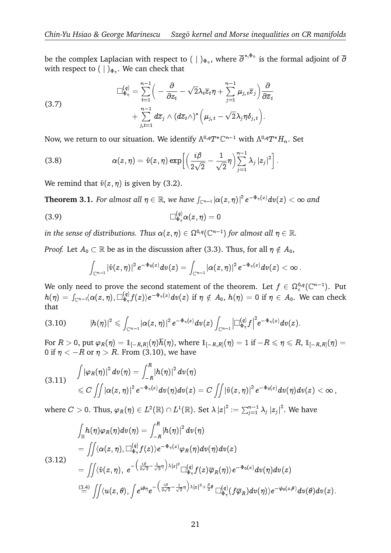be the complex Laplacian with respect to  $(|\ )_{\Phi_{\eta}}$ , where  $\overline{\partial}^{*,\Phi_{\eta}}$  is the formal adjoint of  $\overline{\partial}$ <br>with respect to  $(|\ )_{\Phi_{\eta}}$ . We can check that with respect to  $(\;|\;)_{{\Phi}_\eta}.$  We can check that nth<br>2011<br>21

(3.7) 
$$
\Box_{\Phi_{\eta}}^{(q)} = \sum_{t=1}^{n-1} \left( -\frac{\partial}{\partial z_t} - \sqrt{2} \lambda_t \overline{z}_t \eta + \sum_{j=1}^{n-1} \mu_{j,t} \overline{z}_j \right) \frac{\partial}{\partial \overline{z}_t} + \sum_{j,t=1}^{n-1} d\overline{z}_j \wedge (d\overline{z}_t \wedge)^* \left( \mu_{j,t} - \sqrt{2} \lambda_j \eta \delta_{j,t} \right).
$$

Now, we return to our situation. We identify  $\Lambda^{0,q}T^*\mathbb C^{n-1}$  with  $\Lambda^{0,q}T^*H_n.$  Set

Now, we return to our situation. We identify 
$$
\Lambda^{0,q}T^*\mathbb{C}^{n-1}
$$
 with  $\Lambda^{0,q}T^*$ .  
\n(3.8) 
$$
\alpha(z,\eta) = \hat{v}(z,\eta) \exp\left[\left(\frac{i\beta}{2\sqrt{2}} - \frac{1}{\sqrt{2}}\eta\right) \sum_{j=1}^{n-1} \lambda_j |z_j|^2\right].
$$

We remind that  $\hat{v}(z, \eta)$  is given by (3.2).

We remind that  $\hat{v}(z, \eta)$  is given by (3.2).<br> **Theorem 3.1.** *For almost all*  $\eta \in \mathbb{R}$ *, we have*  $\int_{\mathbb{C}^{n-1}} |\alpha(z, \eta)|^2 e^{-\Phi_{\eta}(z)} dv(z) < \infty$  *and* 

$$
\Box_{\Phi_{\eta}}^{(q)}\alpha(z,\eta)=0
$$

in the sense of distributions. Thus  $\alpha(z,\eta)\in \Omega^{0,q}(\mathbb C^{n-1})$  for almost all  $\eta\in \mathbb R.$ 

*Proof.* Let  $A_0 \subset \mathbb{R}$  be as in the discussion after (3.3). Thus, for all  $\eta \notin A_0$ ,

$$
\text{$\forall \text{ distributions. Thus $\alpha(z,\eta)\in \Omega^{\upsilon,q}(\mathbb{C}^{n-1})$ for almost all $\eta\in\mathbb{R}$}$. $\subset \mathbb{R}$ be as in the discussion after (3.3). Thus, for all $\eta\notin A_0$, $\int_{\mathbb{C}^{n-1}} |\hat{v}(z,\eta)|^2 \, e^{-\Phi_0(z)} dv(z) = \int_{\mathbb{C}^{n-1}} |\alpha(z,\eta)|^2 \, e^{-\Phi_\eta(z)} dv(z) < \infty$.}
$$

We only need to prove the second statement of the theorem. Let  $f \in \Omega^{0,q}_c(\mathbb C^{n-1}).$  Put We only<br> $h(\eta) = \int$  $\Gamma_{{\mathbb C}^{n-1}}\!\langle \alpha(z,\eta), \Box^{(q)}_{\Phi_\eta} \rangle$  $f_{\Phi_{\eta}}^{(q)} f(z)$ ) $e^{-\Phi_{\eta}(z)}dv(z)$  if  $\eta \notin A_0$ ,  $h(\eta) = 0$  if  $\eta \in A_0$ . We can check that  $\sum_{i=1}^{\infty}$  $\ddot{ }$ 

$$
(3.10) \qquad \quad |h(\eta)|^2\leqslant \int_{\mathbb C^{n-1}}\vert \alpha(z,\eta)\vert^2\,e^{-\Phi_\eta(z)}dv(z)\int_{\mathbb C^{n-1}}\left\vert \Box_{\Phi_\eta}^{(q)}f\right\vert^2e^{-\Phi_\eta(z)}dv(z).
$$

For  $R > 0$ , put  $\varphi_R(\eta) = 1_{[-R,R]}(\eta)\overline{h}(\eta)$ , where  $1_{[-R,R]}(\eta) = 1$  if  $-R \le \eta \le R$ ,  $1_{[-R,R]}(\eta) = 0$  if  $\eta < -R$  or  $\eta > R$ . From (3.10), we have<br>  $\int |\varphi_R(\eta)|^2 dv(\eta) = \int^R |h(\eta)|^2 dv(\eta)$ 0 if  $\eta < -R$  or  $\eta > R$ . From (3.10), we have

$$
(3.11) \qquad \int \left|\varphi_R(\eta)\right|^2 dv(\eta) = \int_{-R}^R |h(\eta)|^2 dv(\eta) \nonumber \\ \leqslant C \iint \left|\alpha(z,\eta)\right|^2 e^{-\Phi_\eta(z)} dv(\eta) dv(z) = C \iint \left|\hat{v}(z,\eta)\right|^2 e^{-\Phi_0(z)} dv(\eta) dv(z) < \infty \, ,
$$
\n
$$
\text{where } C > 0. \text{ Thus, } \varphi_R(\eta) \in L^2(\mathbb{R}) \cap L^1(\mathbb{R}). \text{ Set } \lambda |z|^2 := \sum_{j=1}^{n-1} \lambda_j |z_j|^2. \text{ We have}
$$

where 
$$
C > 0
$$
. Thus,  $\varphi_R(\eta) \in L^2(\mathbb{R}) \cap L^1(\mathbb{R})$ . Set  $\lambda |z|^2 := \sum_{j=1}^{n-1} \lambda_j |z_j|^2$ . We have  
\n
$$
\int_{\mathbb{R}} h(\eta) \varphi_R(\eta) dv(\eta) = \int_{-R}^{R} |h(\eta)|^2 dv(\eta)
$$
\n
$$
= \iint \langle \alpha(z, \eta), \Box_{\Phi_{\eta}}^{(q)} f(z) \rangle e^{-\Phi_{\eta}(z)} \varphi_R(\eta) dv(\eta) dv(z)
$$
\n(3.12)\n
$$
= \iint \langle \hat{v}(z, \eta), e^{-\left(\frac{i\beta}{2\sqrt{2}} - \frac{1}{\sqrt{2}}\eta\right)} \lambda |z|^2 \Box_{\Phi_{\eta}}^{(q)} f(z) \overline{\varphi}_R(\eta) \rangle e^{-\Phi_0(z)} dv(\eta) dv(z)
$$
\n
$$
\stackrel{(3.4)}{=} \iint \langle u(z, \theta), \int e^{i\theta \eta} e^{-\left(\frac{i\beta}{2\sqrt{2}} - \frac{1}{\sqrt{2}}\eta\right)} \lambda |z|^2 + \frac{\beta}{2} \theta \Box_{\Phi_{\eta}}^{(q)} (f \overline{\varphi}_R) dv(\eta) \rangle e^{-\psi_0(z, \theta)} dv(\theta) dv(z).
$$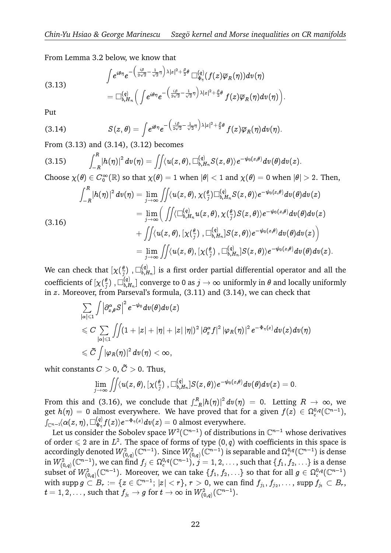From Lemma 3.2 below, we know that  $\overline{a}$ 

Z

(3.13)  

$$
\int e^{i\theta\eta}e^{-\left(\frac{i\beta}{2\sqrt{2}}-\frac{1}{\sqrt{2}}\eta\right)\lambda|z|^2+\frac{\beta}{2}\theta}\Box_{\Phi_{\eta}}^{(q)}(f(z)\overline{\varphi}_R(\eta))dv(\eta)
$$

$$
=\Box_{b,H_n}^{(q)}\left(\int e^{i\theta\eta}e^{-\left(\frac{i\beta}{2\sqrt{2}}-\frac{1}{\sqrt{2}}\eta\right)\lambda|z|^2+\frac{\beta}{2}\theta}f(z)\overline{\varphi}_R(\eta)dv(\eta)\right).
$$

Put

$$
= \Box_{b,H_n}^{(q)} \Big( \int e^{i\theta \eta} e^{-\left(\frac{i\beta}{2\sqrt{2}} - \frac{\eta}{\sqrt{2}}\eta\right)A|z|^2 + \frac{\pi}{2} \nu} f(z) \overline{\varphi}_R(\eta) dv(\eta) \Big)
$$
  
Put  
(3.14) 
$$
S(z,\theta) = \int e^{i\theta \eta} e^{-\left(\frac{i\beta}{2\sqrt{2}} - \frac{1}{\sqrt{2}}\eta\right)\lambda |z|^2 + \frac{\beta}{2} \theta} f(z) \overline{\varphi}_R(\eta) dv(\eta).
$$
From (3.13) and (3.14), (3.12) becomes  
(3.15) 
$$
\int^R |h(\eta)|^2 dv(\eta) = \int \Big| \langle u(z,\theta), \Box_{b,H_n}^{(q)} S(z,\theta) \rangle e^{-\psi_0(z,\theta)} dv(\theta) d\eta
$$

From (3.13) and (3.14), (3.12) becomes

$$
(3.15) \qquad \int_{-R}^{R} |h(\eta)|^2 \, dv(\eta) = \iint \langle u(z,\theta), \Box_{b,H_n}^{(q)} S(z,\theta) \rangle e^{-\psi_0(z,\theta)} dv(\theta) dv(z).
$$

Choose  $\chi(\theta)\in C_0^\infty(\mathbb{R})$  so that  $\chi(\theta)=1$  when  $|\theta|< 1$  and  $\chi(\theta)=0$  when  $|\theta|>2$ . Then,

(3.15) 
$$
\int_{-R} |h(\eta)|^2 dv(\eta) = \iint \langle u(z,\theta), \Box_{b,H_n}^{sq} S(z,\theta) \rangle e^{-\psi_0(z,\theta)} dv(\theta) dv(z).
$$
\nChoose  $\chi(\theta) \in C_0^{\infty}(\mathbb{R})$  so that  $\chi(\theta) = 1$  when  $|\theta| < 1$  and  $\chi(\theta) = 0$  when  $|\theta| > 2$ . The\n
$$
\int_{-R}^R |h(\eta)|^2 dv(\eta) = \lim_{j \to \infty} \iint \langle u(z,\theta), \chi(\frac{\theta}{j}) \Box_{b,H_n}^{(q)} S(z,\theta) \rangle e^{-\psi_0(z,\theta)} dv(\theta) dv(z)
$$
\n
$$
= \lim_{j \to \infty} \left( \iint \langle \Box_{b,H_n}^{(q)} u(z,\theta), \chi(\frac{\theta}{j}) S(z,\theta) \rangle e^{-\psi_0(z,\theta)} dv(\theta) dv(z) \right)
$$
\n(3.16) 
$$
+ \iint \langle u(z,\theta), [\chi(\frac{\theta}{j}), \Box_{b,H_n}^{(q)}] S(z,\theta) \rangle e^{-\psi_0(z,\theta)} dv(\theta) dv(z) \right)
$$
\n
$$
= \lim_{j \to \infty} \iint \langle u(z,\theta), [\chi(\frac{\theta}{j}), \Box_{b,H_n}^{(q)}] S(z,\theta) \rangle e^{-\psi_0(z,\theta)} dv(\theta) dv(z).
$$

We can check that  $[\chi(\frac{\theta}{i})]$  $\frac{\theta}{j})$  ,  $\Box_{b, L}^{(q)}$ that  $[\chi(\frac{\theta}{2})$  ,  $\square_{b,H_n}^{(q)}]$  is a first order partial differential operator and all the coefficients of  $[\chi(\frac{\theta}{i})]$  $\frac{\theta}{j})\; , \Box_{b,\hskip 0. 1}^{\left(q\right)}$ of  $[\chi(\frac{\theta}{i}), \Box_{b,H_n}^{(q)}]$  converge to 0 as  $j \to \infty$  uniformly in  $\theta$  and locally uniformly in  $z$ . Moreover, from Parseval's formula,  $(3.11)$  and  $(3.14)$ , we can check that י)<br>fr .<br>J

$$
\begin{aligned} \sum_{|\alpha|\leqslant 1}\int & \Big|\partial_{x,\theta}^\alpha S\Big|^2\,e^{-\psi_0}dv(\theta)dv(z)\\ &\leqslant C\,\sum_{|\alpha|\leqslant 1}\int & \int (1+|z|+|\eta|+|z|\,|\eta|)^2\,|\partial_x^\alpha f|^2\,|\varphi_R(\eta)|^2\,e^{-\Phi_\eta(z)}d v(z)dv(\eta)\\ &\leqslant \widetilde{C}\,\int & |\varphi_R(\eta)|^2\,dv(\eta)<\infty,\\ \text{which constants $C>0$, $\widetilde{C}>0$. Thus,}\end{aligned}
$$

$$
\begin{array}{l} \tilde{C}\displaystyle\int\limits_{j\to\infty}^{z}\int\limits_{\mathbb{R}}|\varphi_{R}(\eta)|^{2}\,dv(\eta)<\infty,\\[2mm] \tilde{C}>0,\,\widetilde{C}>0.\,\,\text{Thus},\\[2mm] \lim_{j\to\infty}\displaystyle\int\limits_{j\to\infty}^{z}\int\limits_{\mathbb{R}}\langle u(z,\theta),[\chi(\frac{\theta}{j})\ ,\Box_{b,H_{n}}^{(q)}]S(z,\theta)\rangle e^{-\psi_{0}(z,\theta)}dv(\theta)dv(z)=0.\end{array}
$$

wint constants  $C > 0$ ,  $C > 0$ . Thus,<br>  $\lim_{j \to \infty} \iint (u(z, \theta), [\chi(\frac{\theta}{j}), \Box_{b, H_n}^{(q)}] S(z, \theta)) e^{-\psi_0(z, \theta)} dv(\theta) dv(z) = 0.$ <br>
From this and (3.16), we conclude that  $\int_{-R}^{R} |h(\eta)|^2 dv(\eta) = 0$ . Letting  $R \to \infty$ , we get  $h(\eta) = 0$  almost everywhere. We have proved that for a given  $f(z) \in \Omega_c^{0,q}(\mathbb{C}^{n-1})$ ,  $\Gamma_{{\mathbb C}^n-1} \langle \alpha(z,\eta), \Box^{(q)}_{{\Phi_{\eta}}} \rangle$  $\langle \frac{d}{d\phi_\eta} f(z) \rangle e^{-\Phi_\eta(z)} dv(z) = 0 \text{ almost everywhere}.$ 

Let us consider the Sobolev space  $W^2(\mathbb C^{n-1})$  of distributions in  $\mathbb C^{n-1}$  whose derivatives of order  $\leq 2$  are in  $L^2$ . The space of forms of type  $(0, q)$  with coefficients in this space is accordingly denoted  $W_{(0,q)}^2(\mathbb C^{n-1}).$  Since  $W_{(0,q)}^2(\mathbb C^{n-1})$  is separable and  $\Omega^{0,q}_c(\mathbb C^{n-1})$  is dense in  $W^2_{(0,q)}(\mathbb C^{n-1}),$  we can find  $f_j\in \Omega^{0,q}_c(\mathbb C^{n-1}),$   $j=1,2,\ldots,$  such that  $\{f_1,f_2,\ldots\}$  is a dense subset of  $W^2_{(0,q)}(\mathbb C^{n-1})$ . Moreover, we can take  $\{f_1,f_2,\ldots\}$  so that for all  $g\in\Omega^{0,q}_c(\mathbb C^{n-1})$ with  $\mathrm{supp}\, g\stackrel{\sim}{\subset}B_r:=\{z\in\mathbb{C}^{n-1};\,|z|< r\},\,r>0,$  we can find  $f_{j_1},f_{j_2},\ldots,$   $\mathrm{supp}\, f_{j_t}\subset B_r,$  $t=1,2,\ldots,$  such that  $f_{j_t}\to g$  for  $t\to\infty$  in  $W^2_{(0,q)}(\mathbb C^{n-1}).$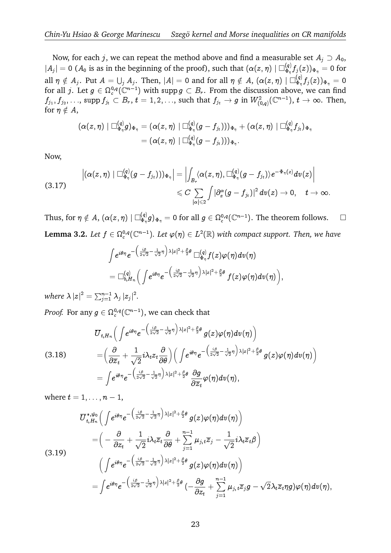Now, for each  $j$ , we can repeat the method above and find a measurable set  $A_j\supset A_0,$  $|A_j| = 0$  ( $A_0$  is as in the beginning of the proof), such that  $(\alpha(z, \eta) \mid \Box_{\Phi_n}^{(q)})$  $(\frac{\mathbf{q}}{\mathbf{\Phi}_\eta} f_j(z))_{\mathbf{\Phi}_\eta} = 0$  for all  $\eta\notin A_j.$  Put  $A=\bigcup_j A_j.$  Then,  $|A|=0$  and for all  $\eta\notin A,$   $(\alpha(z,\eta)\mid \Box_{\Phi_\eta}^{(q)})$  $(\frac{\mathbf{q}}{\mathbf{\Phi}_\eta}f_j(z))_{\mathbf{\Phi}_\eta}=0$ for all j. Let  $g \in \Omega_c^{0,q}(\mathbb{C}^{n-1})$  with supp  $g \subset B_r$ . From the discussion above, we can find  $f_{j_1},f_{j_2},\ldots$ ,  $\mathrm{supp\,} f_{j_t}\subset B_r,\,t=1,2,\ldots$ , such that  $f_{j_t}\to g$  in  $W^2_{(0,q)}(\mathbb C^{n-1}),\,t\to\infty.$  Then, for  $\eta \notin A$ ,

$$
\begin{aligned} \left( \alpha(z,\eta) \mid \Box^{(q)}_{\Phi_\eta} g \right)_{\Phi_\eta} &= (\alpha(z,\eta) \mid \Box^{(q)}_{\Phi_\eta} (g-f_{j_t})) )_{\Phi_\eta} + (\alpha(z,\eta) \mid \Box^{(q)}_{\Phi_\eta} f_{j_t})_{\Phi_\eta} \\ &= (\alpha(z,\eta) \mid \Box^{(q)}_{\Phi_\eta} (g-f_{j_t})) )_{\Phi_\eta}. \end{aligned}
$$

Now,

$$
\begin{array}{ll} \left|(\alpha(z,\eta)\mid \Box_{\Phi_\eta}^{(q)}(g-f_{j_t})) )_{\Phi_\eta} \right| = \left| \int_{B_r} \langle \alpha(z,\eta), \Box_{\Phi_\eta}^{(q)}(g-f_{j_t}) \rangle e^{-\Phi_\eta(z)} d v(z) \right| \\ \quad \leqslant C \sum_{|\alpha| \leqslant 2} \int \left| \partial_x^\alpha (g-f_{j_t}) \right|^2 d v(z) \to 0, \quad t \to \infty. \end{array}
$$

Thus, for  $\eta \notin A$ ,  $(\alpha(z, \eta) \mid \Box_{\Phi_n}^{(q)})$  $g(z,\eta)\mid \Box_{\Phi_\eta}^{(q)}g)_{\Phi_\eta}=0\text{ for all }g\in \Omega_c^{0,q}(\mathbb C^{n-1}).\text{ The theorem follows.}\quad \Box$ **Lemma 3.2.** Let  $f \in \Omega_c^{0,q}(\mathbb{C}^{n-1})$ . Let  $\varphi(\eta) \in L^2(\mathbb{R})$  with compact support. Then, we have

$$
\begin{array}{l}\displaystyle \int\! e^{\,i\theta\eta}e^{-\left(\frac{i\beta}{2\sqrt{2}}-\frac{1}{\sqrt{2}}\eta\right)\lambda |z|^2+\frac{\beta}{2}\theta}\,\Box_{\Phi_\eta}^{(q)}f(z)\varphi(\eta) d\upsilon(\eta)}\\ \displaystyle=\Box_{b,H_n}^{(q)}\Big(\int\! e^{\,i\theta\eta}e^{-\left(\frac{i\beta}{2\sqrt{2}}-\frac{1}{\sqrt{2}}\eta\right)\lambda |z|^2+\frac{\beta}{2}\theta}\,f(z)\varphi(\eta) d\upsilon(\eta)\Big),\end{array}
$$

where  $\lambda |z|^2 = \sum_{j=1}^{n-1} \lambda_j |z_j|^2$ .

*Proof.* For any  $g \in \Omega^{0,q}_c(\mathbb C^{n-1}),$  we can check that g<br>D

(3.18) 
$$
\overline{U}_{t,H_n}\left(\int e^{i\theta\eta}e^{-\left(\frac{i\beta}{2\sqrt{2}}-\frac{1}{\sqrt{2}}\eta\right)\lambda|z|^2+\frac{\beta}{2}\theta}g(z)\varphi(\eta)dv(\eta)\right) = \left(\frac{\partial}{\partial\overline{z}_t}+\frac{1}{\sqrt{2}}i\lambda_t z_t\frac{\partial}{\partial\theta}\right)\left(\int e^{i\theta\eta}e^{-\left(\frac{i\beta}{2\sqrt{2}}-\frac{1}{\sqrt{2}}\eta\right)\lambda|z|^2+\frac{\beta}{2}\theta}g(z)\varphi(\eta)dv(\eta)\right) = \int e^{i\theta\eta}e^{-\left(\frac{i\beta}{2\sqrt{2}}-\frac{1}{\sqrt{2}}\eta\right)\lambda|z|^2+\frac{\beta}{2}\theta}\frac{\partial g}{\partial\overline{z}_t}\varphi(\eta)dv(\eta),
$$

where  $t = 1, \ldots, n - 1$ , י<br>n

$$
\overline{U}_{t,H_n}^{*,\psi_0} \Big( \int e^{i\theta \eta} e^{-\left(\frac{i\beta}{2\sqrt{2}} - \frac{1}{\sqrt{2}}\eta\right) \lambda |z|^2 + \frac{\beta}{2}\theta} g(z) \varphi(\eta) dv(\eta) \Big) \n= \Big( -\frac{\partial}{\partial z_t} + \frac{1}{\sqrt{2}} i \lambda_t \overline{z}_t \frac{\partial}{\partial \theta} + \sum_{j=1}^{n-1} \mu_{j,t} \overline{z}_j - \frac{1}{\sqrt{2}} i \lambda_t \overline{z}_t \beta \Big) \n(3.19) \Big( \int e^{i\theta \eta} e^{-\left(\frac{i\beta}{2\sqrt{2}} - \frac{1}{\sqrt{2}}\eta\right) \lambda |z|^2 + \frac{\beta}{2}\theta} g(z) \varphi(\eta) dv(\eta) \Big) \n= \int e^{i\theta \eta} e^{-\left(\frac{i\beta}{2\sqrt{2}} - \frac{1}{\sqrt{2}}\eta\right) \lambda |z|^2 + \frac{\beta}{2}\theta} \left( -\frac{\partial g}{\partial z_t} + \sum_{j=1}^{n-1} \mu_{j,t} \overline{z}_j g - \sqrt{2} \lambda_t \overline{z}_t \eta g \right) \varphi(\eta) dv(\eta) ,
$$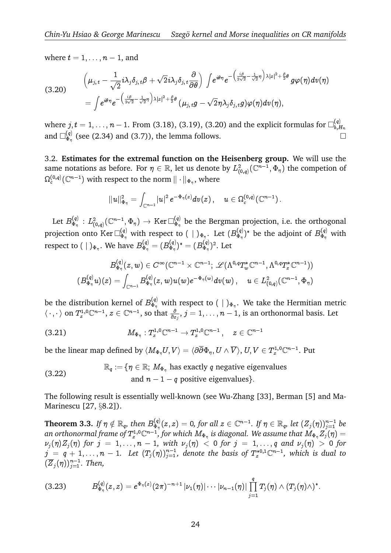where  $t = 1, \ldots, n - 1$ , and

where 
$$
t = 1, ..., n - 1
$$
, and  
\n
$$
\left(\mu_{j,t} - \frac{1}{\sqrt{2}} i \lambda_j \delta_{j,t} \beta + \sqrt{2} i \lambda_j \delta_{j,t} \frac{\partial}{\partial \theta}\right) \int e^{i\theta \eta} e^{-\left(\frac{i\beta}{2\sqrt{2}} - \frac{1}{\sqrt{2}} \eta\right) \lambda |z|^2 + \frac{\beta}{2} \theta} g\varphi(\eta) d\nu(\eta)
$$
\n
$$
= \int e^{i\theta \eta} e^{-\left(\frac{i\beta}{2\sqrt{2}} - \frac{1}{\sqrt{2}} \eta\right) \lambda |z|^2 + \frac{\beta}{2} \theta} (\mu_{j,t} g - \sqrt{2} \eta \lambda_j \delta_{j,t} g) \varphi(\eta) d\nu(\eta),
$$

where  $j, t = 1, \ldots, n-1.$  From (3.18), (3.19), (3.20) and the explicit formulas for  $\Box_{b, E}^{(q)}$  $_{b,H_n}$ and  $\Box_{\Phi_n}^{(q)}$  $\mathcal{L}_{\Phi_{\eta}}^{(q)}$  (see (2.34) and (3.7)), the lemma follows.

3.2. **Estimates for the extremal function on the Heisenberg group.** We will use the same notations as before. For  $\eta\in\mathbb R,$  let us denote by  $L^2_{(0,q)}(\mathbb C^{n-1},\Phi_\eta)$  the competion of  $\Omega_c^{(0,q)}({\mathbb C}^{n-1})$  with respect to the norm  $\|\cdot\|_{\Phi_{\eta}},$  where

$$
\|u\|_{\Phi_{\eta}}^2=\int_{\mathbb{C}^{n-1}}|u|^2\,e^{-\Phi_{\eta}(z)}d v(z)\,,\quad u\in\Omega_c^{(0,q)}(\mathbb{C}^{n-1})\,.
$$

Let  $B_{\Phi_n}^{(q)}$  $\mathcal{L}_{\Phi_\eta}^{(q)}\,:\,L^2_{(0,q)}(\mathbb{C}^{n-1},\Phi_\eta)\,\to\,\text{Ker}\,\square_{\Phi_\eta}^{(q)}$  $\frac{dQ}{dr}$  be the Bergman projection, i.e. the orthogonal projection onto Ker $\Box_{\Phi_\eta}^{(q)}$  with respect to  $(\ \ | \ )_{\Phi_\eta}.$  Let  $(B_{\Phi_\eta}^{(q)}$  $(\mathcal{A}, \mathcal{B}_{\Phi_\eta})^*$  be the adjoint of  $B_{\Phi_\eta}^{(q)}$  with respect to (  $|$  )<sub> $\Phi_\eta.$ </sub>. We have  $B_{\Phi_\eta}^{(q)}=(B_{\Phi_\eta}^{(q)})$  $(\stackrel{(q)}{\Phi_\eta})^*=(B_{\Phi_\eta}^{(q)})$ 

$$
( \mid )_{\Phi_{\eta}}. \text{ We have } B_{\Phi_{\eta}}^{(q)} = ( B_{\Phi_{\eta}}^{(q)})^* = ( B_{\Phi_{\eta}}^{(q)})^2. \text{ Let }
$$
  

$$
B_{\Phi_{\eta}}^{(q)}(z,w) \in C^{\infty}(\mathbb{C}^{n-1} \times \mathbb{C}^{n-1}; \mathscr{L}(\Lambda^{0,q}T_w^*\mathbb{C}^{n-1},\Lambda^{0,q}T_z^*\mathbb{C}^{n-1}))
$$
  

$$
( B_{\Phi_{\eta}}^{(q)}u)(z) = \int_{\mathbb{C}^{n-1}} B_{\Phi_{\eta}}^{(q)}(z,w)u(w) e^{-\Phi_{\eta}(w)} dv(w) , \quad u \in L^2_{(0,q)}(\mathbb{C}^{n-1},\Phi_{\eta})
$$

be the distribution kernel of  $B_{\Phi_\eta}^{(q)}$  with respect to ( | ) $_{\Phi_\eta}.$  We take the Hermitian metric  $\langle\,\cdot\,,\cdot\,\rangle$  on  $T^{1,0}_{z}\mathbb{C}^{n-1},$   $z\in\mathbb{C}^{n-1},$  so that  $\frac{\partial}{\partial z_j},$   $j=1,\ldots,n-1,$  is an orthonormal basis. Let

 $(3.21)$  $\colon T^{1,0}_z\mathbb{C}^{n-1}\to T^{1,0}_z\mathbb{C}^{n-1}\,,\quad z\in\mathbb{C}^{n-1}$ 

be the linear map defined by  $\langle M_{\Phi_\eta}U,V\rangle=\langle\partial\overline{\partial}\Phi_\eta, U\wedge\overline{V}\rangle, \, U,V\in T^{1,0}_z{\mathbb C}^{n-1}.$  Put

(3.22) 
$$
\mathbb{R}_q := \{ \eta \in \mathbb{R}; M_{\Phi_{\eta}} \text{ has exactly } q \text{ negative eigenvalues} \}
$$
  
and  $n - 1 - q \text{ positive eigenvalues} \}.$ 

The following result is essentially well-known (see Wu-Zhang [33], Berman [5] and Ma-Marinescu [27, §8.2]).

Theorem 3.3. If  $\eta \notin \mathbb{R}_q$ , then  $B_{\Phi_n}^{(q)}$  $J^{(q)}_{\Phi_\eta}(z,z)=0$ , for all  $z\in\mathbb{C}^{n-1}.$  If  $\eta\in\mathbb{R}_q$ , let  $(Z_j(\eta))_{j=1}^{n-1}$  be an orthonormal frame of  $T^{1,0}_z\mathbb C^{n-1}$  , for which  $M_{\Phi_\eta}$  is diagonal. We assume that  $M_{\Phi_\eta}Z_j(\eta)=$  $\nu_j(\eta)Z_j(\eta)$  for  $j = 1, \ldots, n - 1$ , with  $\nu_j(\eta) < 0$  for  $j = 1, \ldots, q$  and  $\nu_j(\eta) > 0$  for  $j~=~q~+~1,\ldots,n~-~1.$  Let  $(T_j(\eta))_{j=1}^{n-1},$  denote the basis of  $T_z^{*0,1}\mathbb{C}^{n-1},$  which is dual to  $(\overline{Z}_j(\eta))_{j=1}^{n-1}$ *. Then,* 

$$
(3.23) \hspace{1cm} B_{\Phi_{\eta}}^{(q)}(z,z) = e^{\Phi_{\eta}(z)} (2\pi)^{-n+1} \left| \nu_1(\eta) \right| \cdots \left| \nu_{n-1}(\eta) \right| \prod_{j=1}^q T_j(\eta) \wedge (T_j(\eta) \wedge )^*.
$$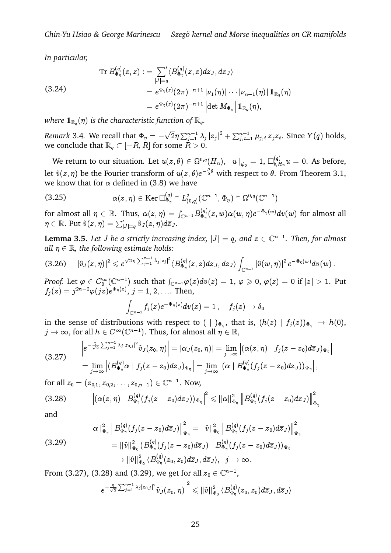*In particular,*

In particular,

\n
$$
\operatorname{Tr} B_{\Phi_{\eta}}^{(q)}(z, z) := \sum_{|J|=q}^{'} \langle B_{\Phi_{\eta}}^{(q)}(z, z) d\overline{z}_{J}, d\overline{z}_{J} \rangle
$$
\n
$$
(3.24)
$$
\n
$$
= e^{\Phi_{\eta}(z)} (2\pi)^{-n+1} |\nu_{1}(\eta)| \cdots |\nu_{n-1}(\eta)| 1_{\mathbb{R}_{q}}(\eta)
$$
\n
$$
= e^{\Phi_{\eta}(z)} (2\pi)^{-n+1} \left| \det M_{\Phi_{\eta}} \right| 1_{\mathbb{R}_{q}}(\eta),
$$

where  $1_{\mathbb{R}_q}(\eta)$  is the characteristic function of  $\mathbb{R}_q$ .

*Remark* 3.4. We recall that  $\Phi_\eta=$ p  $\overline{2}\eta\sum_{j=1}^{n-1}\lambda_j\left|z_j\right|^2+\sum_{j,\,t=1}^{n-1}\mu_{j,\,t}\,\overline{z}_jz_t.$  Since  $Y(q)$  holds, we conclude that  $\mathbb{R}_q \subset [-R, R]$  for some  $R > 0$ .

We return to our situation. Let  $u(z,\theta)\in \Omega^{0,q}(H_n),$   $\|u\|_{\psi_0}=1,$   $\Box_{b,F}^{(q)}$  $b_{n}^{(q)} u_{n} = 0$ . As before, let  $\hat{v}(z, \eta)$  be the Fourier transform of  $u(z, \theta) e^{-\frac{\beta}{2} \theta}$  with respect to  $\theta.$  From Theorem 3.1, we know that for  $\alpha$  defined in (3.8) we have

we know that for 
$$
\alpha
$$
 defined in (3.8) we have  
\n(3.25) 
$$
\alpha(z,\eta) \in \text{Ker } \Box_{\Phi_{\eta}}^{(q)} \cap L^2_{(0,q)}(\mathbb{C}^{n-1},\Phi_{\eta}) \cap \Omega^{0,q}(\mathbb{C}^{n-1})
$$
\nfor almost all  $\eta \in \mathbb{R}$ . Thus,  $\alpha(z,\eta) = \int_{\mathbb{C}^{n-1}} B_{\Phi_{\eta}}^{(q)}(z,w) \alpha(w,\eta) e^{-\Phi_{\eta}(w)} d\eta$ 

 $\mathbb{E}^{(q)}_{\Phi_\eta}(z,w) \alpha(w,\eta) e^{-\Phi_\eta(w)}dv(w)$  for almost all (3.25)  $\alpha(z)$ <br>for almost all  $\eta \in \mathbb{R}$ . T<br> $\eta \in \mathbb{R}$ . Put  $\hat{v}(z, \eta) = \sum_{i=1}^{n}$  $\eta \in \mathbb{R}$ . Put  $\hat{v}(z, \eta) = \sum_{|J| = q}^{\prime} \hat{v}_J(z, \eta) d\overline{z}_J$ .

**Lemma 3.5.** Let J be a strictly increasing index,  $|J| = q$ , and  $z \in \mathbb{C}^{n-1}$ . Then, for almost *all*  $\eta \in \mathbb{R}$ *, the following estimate holds:* 

(3.26) 
$$
|\hat{v}_J(z,\eta)|^2 \leq e^{\sqrt{2}\eta \sum_{j=1}^{n-1} \lambda_j |z_j|^2} \langle B_{\Phi_{\eta}}^{(q)}(z,z) d\overline{z}_J, d\overline{z}_J \rangle \int_{\mathbb{C}^{n-1}} |\hat{v}(w,\eta)|^2 e^{-\Phi_0(w)} dv(w).
$$
  
*Proof.* Let  $\varphi \in C_0^{\infty}(\mathbb{C}^{n-1})$  such that  $\int_{\mathbb{C}^{n-1}} \varphi(z) dv(z) = 1, \varphi \geq 0, \varphi(z) = 0$  if  $|z| > 1$ . Put

 $f_j(z)=j^{2n-2}\varphi(jz)e^{\Phi_{\eta}(z)},$   $j=1,2,\ldots$  Then,

$$
\int_{{\mathbb C}^{n-1}}f_j(z)e^{-\Phi_{\eta}(z)}dv(z)=1\,,\quad \, f_j(z)\to \delta_0
$$

in the sense of distributions with respect to  $(\bigcup_{\Phi_{\eta}})$ , that is,  $(h(z) | f_j(z))_{\Phi_{\eta}} \to h(0)$ ,  $j\rightarrow\infty,$  for all  $h\in C^\infty(\mathbb C^{n-1}).$  Thus, for almost all  $\eta\in\mathbb R,$ distributions with r  $\overline{a}$  $\overline{r}$ 

$$
(3.27) \quad \begin{aligned} \left|e^{-\frac{\eta}{\sqrt{2}}\sum_{j=1}^{n-1}\lambda_j|z_{0,j}|^2}\hat{v}_J(z_0,\eta)\right|&=|\alpha_J(z_0,\eta)|=\lim_{j\to\infty}\left|(\alpha(z,\eta)\mid f_j(z-z_0)d\overline{z}_J)_{\Phi_{\eta}}\right|\\&=\lim_{j\to\infty}\left|(B_{\Phi_{\eta}}^{(q)}\alpha\mid f_j(z-z_0)d\overline{z}_J)_{\Phi_{\eta}}\right|=\lim_{j\to\infty}\left|(\alpha\mid B_{\Phi_{\eta}}^{(q)}(f_j(z-z_0)d\overline{z}_J) )_{\Phi_{\eta}}\right|,\end{aligned}
$$

for all  $z_0 = (z_{0,1}, z_{0,2}, \ldots, z_{0,n-1}) \in \mathbb{C}^{n-1}$ . Now,

$$
(3.28) \qquad \left|\left(\alpha(z,\eta)\mid B^{(q)}_{\Phi_\eta}(f_j(z-z_0)d\overline{z}_J)\right)_{\Phi_\eta}\right|^2\leqslant \|\alpha\|_{\Phi_\eta}^2\left\|B^{(q)}_{\Phi_\eta}(f_j(z-z_0)d\overline{z}_J)\right\|_{\Phi_\eta}^2
$$

and

$$
\begin{aligned}\n &\|\alpha\|_{\Phi_{\eta}}^2 \left\|B_{\Phi_{\eta}}^{(q)}(f_j(z-z_0)d\overline{z}_J)\right\|_{\Phi_{\eta}}^2 = \|\hat{v}\|_{\Phi_0}^2 \left\|B_{\Phi_{\eta}}^{(q)}(f_j(z-z_0)d\overline{z}_J)\right\|_{\Phi_{\eta}}^2 \\
 &\quad = \|\hat{v}\|_{\Phi_0}^2 \left(B_{\Phi_{\eta}}^{(q)}(f_j(z-z_0)d\overline{z}_J) \mid B_{\Phi_{\eta}}^{(q)}(f_j(z-z_0)d\overline{z}_J)\right)_{\Phi_{\eta}} \\
 &\quad \longrightarrow \|\hat{v}\|_{\Phi_0}^2 \left\langle B_{\Phi_{\eta}}^{(q)}(z_0,z_0)d\overline{z}_J,d\overline{z}_J\right\rangle, \ \ j\rightarrow\infty.\n\end{aligned}
$$

From (3.27), (3.28) and (3.29), we get for all  $z_0 \in \mathbb{C}^{n-1}$ ,

$$
\left|e^{-\frac{\eta}{\sqrt{2}}\sum_{j=1}^{n-1}\lambda_j|z_{0,j}|^2}\hat{v}_{J}(z_0,\eta)\right|^2\leqslant \|\hat{v}\|_{\Phi_0}^2\,\langle B^{(q)}_{\Phi_\eta}(z_0,z_0)d\overline{z}_{J},d\overline{z}_{J}\rangle
$$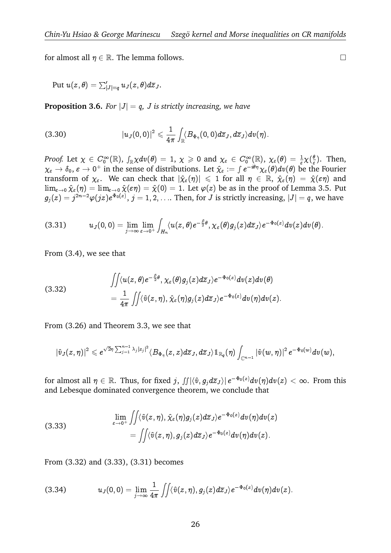for almost all  $\eta \in \mathbb{R}$ . The lemma follows.

r almost all  $\eta \in \mathbb{R}.$  The lemma fo ${\rm Put} \ u(z,\theta) = \sum_{|J|=q}' u_J(z,\theta) d\overline{z}_J.$ 

**Proposition 3.6.** For  $|J| = q$ , J is strictly increasing, we have

(3.30) 
$$
\left|u_{J}(0,0)\right|^{2} \leqslant \frac{1}{4\pi}\int_{\mathbb{R}}\langle B_{\Phi_{\eta}}(0,0)d\overline{z}_{J},d\overline{z}_{J}\rangle dv(\eta).
$$

*Proof.* Let  $\chi\,\in\, C_0^\infty({\mathbb R}),\ \int_{{\mathbb R}}\chi dv(\theta)\,=\,1,\ \chi\,\geqslant\,0$  and  $\chi_\varepsilon\,\in\, C_0^\infty({\mathbb R}),\ \chi_\varepsilon(\theta)\,=\, \frac{1}{\varepsilon}\chi(\frac{\theta}{\varepsilon})$  $\frac{\theta}{\varepsilon}$ ). Then, Proof. Let  $\chi \in C_0^{\infty}(\mathbb{R})$ ,  $\int_{\mathbb{R}} \chi dv(\theta) = 1$ ,  $\chi \ge 0$  and  $\chi_{\varepsilon} \in C_0^{\infty}(\mathbb{R})$ ,  $\chi_{\varepsilon}(\theta) = \frac{1}{\varepsilon} \chi(\frac{\theta}{\varepsilon})$ . Then,  $\chi_{\varepsilon} \to \delta_0$ ,  $\varepsilon \to 0^+$  in the sense of distributions. Let  $\hat{\chi}_{\varepsilon} := \int e^{$ transform of  $\chi_{\varepsilon}$ . We can check that  $|\hat{\chi}_{\varepsilon}(\eta)| \leq 1$  for all  $\eta \in \mathbb{R}$ ,  $\hat{\chi}_{\varepsilon}(\eta) = \hat{\chi}(\varepsilon \eta)$  and  $\lim_{\varepsilon \to 0} \hat{\chi}_{\varepsilon}(\eta) = \lim_{\varepsilon \to 0} \hat{\chi}(\varepsilon \eta) = \hat{\chi}(0) = 1$ . Let  $\varphi(z)$  be as in the proof of Lemma 3.5. Put  $g_j(z)=j^{2n-2}\varphi(jz)e^{\Phi_0(z)},\,j=1,2,\ldots.$  Then, for  $J$  is strictly increasing,  $|J|=q,$  we have

$$
(3.31) \t u_J(0,0)=\lim_{j\to\infty}\lim_{\varepsilon\to 0^+}\int_{H_n}\langle u(z,\theta)e^{-\frac{\beta}{2}\theta},\chi_{\varepsilon}(\theta)g_j(z)d\overline{z}_J\rangle e^{-\Phi_0(z)}dv(z)dv(\theta).
$$

From (3.4), we see that

(3.32) 
$$
\begin{aligned}\n\iint \langle u(z,\theta)e^{-\frac{\beta}{2}\theta}, \chi_{\varepsilon}(\theta)g_j(z)d\overline{z}_J\rangle e^{-\Phi_0(z)}dv(z)dv(\theta) \\
= \frac{1}{4\pi} \iint \langle \hat{v}(z,\eta), \hat{\chi}_{\varepsilon}(\eta)g_j(z)d\overline{z}_J\rangle e^{-\Phi_0(z)}dv(\eta)dv(z).\n\end{aligned}
$$

From (3.26) and Theorem 3.3, we see that

$$
|\hat{v}_J(z,\eta)|^2\leqslant e^{\sqrt{2}\eta\sum_{j=1}^{n-1}\lambda_j|z_j|^2}\langle B_{\Phi_\eta}(z,z)d\overline{z}_J,d\overline{z}_J\rangle 1\!\!1_{\mathbb{R}_q}(\eta)\int_{\mathbb{C}^{n-1}}|\hat{v}(w,\eta)|^2\,e^{-\Phi_0(w)}dv(w),
$$

for almost all  $\eta\in\mathbb R.$  Thus, for fixed  $j$ ,  $\int\int\int\int\langle\hat v,g_jd\overline z_J\rangle|\,e^{-\Phi_0(z)}dv(\eta)dv(z)<\infty.$  From this and Lebesque dominated convergence theorem, we conclude that

(3.33) 
$$
\lim_{\varepsilon \to 0^+} \iint \langle \hat{v}(z,\eta), \hat{\chi}_{\varepsilon}(\eta)g_j(z) d\overline{z}_J \rangle e^{-\Phi_0(z)} dv(\eta) dv(z) \n= \iint \langle \hat{v}(z,\eta), g_j(z) d\overline{z}_J \rangle e^{-\Phi_0(z)} dv(\eta) dv(z).
$$

From  $(3.32)$  and  $(3.33)$ ,  $(3.31)$  becomes

(3.34) 
$$
u_J(0,0)=\lim_{j\to\infty}\frac{1}{4\pi}\iint \langle \hat{v}(z,\eta),g_j(z)d\overline{z}_J\rangle e^{-\Phi_0(z)}dv(\eta)dv(z).
$$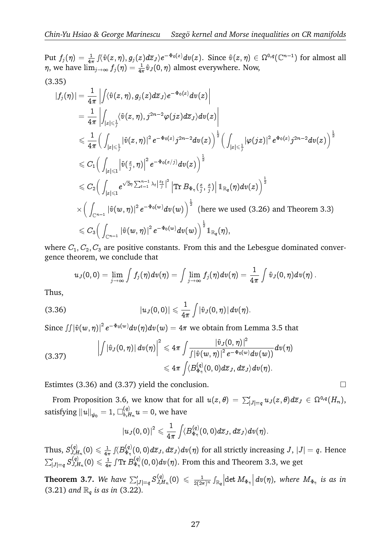Put  $f_j(\eta) = \frac{1}{4\pi} \int \langle \hat{v}(z,\eta), g_j(z) d\overline{z}_J \rangle e^{-\Phi_0(z)} dv(z)$ . Since  $\hat{v}(z,\eta) \in \Omega^{0,q}(\mathbb{C}^{n-1})$  for almost all  $\eta$ , we have  $\lim_{j\to\infty} f_j(\eta) = \frac{1}{4\pi} \hat{v}_J(0,\eta)$  almost everywhere. Now,  $\overline{a}$ (3.35)

$$
\begin{aligned} |f_j(\eta)|&=\frac{1}{4\pi}\left|\int&\langle\hat{v}(z,\eta),g_j(z)d\overline{z}_J\rangle e^{-\Phi_0(z)}dv(z)\right|\\&=\frac{1}{4\pi}\left|\int_{|z|\leqslant\frac{1}{j}}&\langle\hat{v}(z,\eta),j^{2n-2}\varphi(jz)d\overline{z}_J\rangle dv(z)\right|\\&\leqslant\frac{1}{4\pi}\Big(\int_{|z|\leqslant\frac{1}{j}}|\hat{v}(z,\eta)|^2\,e^{-\Phi_0(z)}j^{2n-2}dv(z)\Big)^\frac{1}{2}\Big(\int_{|z|\leqslant\frac{1}{j}}|\varphi(jz)|^2\,e^{\Phi_0(z)}j^{2n-2}dv(z)\Big)^\frac{1}{2}\\&\leqslant C_1\Big(\int_{|z|\leqslant 1}\left|\hat{v}(\frac{z}{j},\eta)\right|^2\,e^{-\Phi_0(z/j)}dv(z)\Big)^\frac{1}{2}\\&\leqslant C_2\Big(\int_{|z|\leqslant 1}\left|e^{\sqrt{2}\eta\sum_{t=1}^{n-1}\lambda_t\left|\frac{z_t}{j}\right|^2}\right|\text{Tr }B_{\Phi_\eta}\big(\frac{z}{j},\frac{z}{j}\big)\right|\mathbbm{1}_{\mathbb{R}_q}(\eta)dv(z)\Big)^\frac{1}{2}\\&\times\Big(\int_{\mathbb{C}^{n-1}}|\hat{v}(w,\eta)|^2\,e^{-\Phi_0(w)}dv(w)\Big)^\frac{1}{2}\;\text{(here we used (3.26) and Theorem 3.3)}\\&\leqslant C_3\Big(\int_{\mathbb{C}^{n-1}}|\hat{v}(w,\eta)|^2\,e^{-\Phi_0(w)}dv(w)\Big)^\frac{1}{2}\mathbbm{1}_{\mathbb{R}_q}(\eta),\end{aligned}
$$

where  $C_1, C_2, C_3$  are positive constants. From this and the Lebesgue dominated convergence theorem, we conclude that  $u_1, C_2, C_3$  are positive constants. From this and the Leber<br>eorem, we conclude that<br> $u_J(0, 0) = \lim_{j \to \infty} \int f_j(\eta) dv(\eta) = \int \lim_{j \to \infty} f_j(\eta) dv(\eta) = \frac{1}{4\pi} \int$ 

$$
u_J(0,0)=\lim_{j\to\infty}\int f_j(\eta)dv(\eta)=\int\lim_{j\to\infty}f_j(\eta)dv(\eta)=\frac{1}{4\pi}\int \hat{v}_J(0,\eta)dv(\eta)\,.
$$

Thus,

(3.36)  
\n
$$
|u_J(0,0)| \leq \frac{1}{4\pi} \int |\hat{v}_J(0,\eta)| dv(\eta).
$$
\nSince  $\iint |\hat{v}(w,\eta)|^2 e^{-\Phi_0(w)} dv(\eta) dv(w) = 4\pi$  we obtain from Lemma 3.5 that

(3.37) 
$$
\left|\int |\hat{v}_J(0,\eta)| dv(\eta)\right|^2 \leqslant 4\pi \int \frac{|\hat{v}_J(0,\eta)|^2}{\int |\hat{v}(w,\eta)|^2 e^{-\Phi_0(w)} dv(w))} dv(\eta) \leqslant 4\pi \int \langle B_{\Phi_{\eta}}^{(q)}(0,0) d\overline{z}_J, d\overline{z}_J \rangle dv(\eta).
$$

Estimtes (3.36) and (3.37) yield the conclusion.  $\Box$ 

 $\leq 4\pi \int \langle B_{\Phi_{\eta}}(0,0)az_{J}, a z_{J} \rangle dv(\eta).$ <br>
timtes (3.36) and (3.37) yield the conclusion.  $\square$ <br>
From Proposition 3.6, we know that for all  $u(z,\theta) = \sum_{|J|=q}' u_{J}(z,\theta) d\overline{z}_{J} \in \Omega^{0,q}(H_{n}),$ satisfying  $\|u\|_{\psi_0} = 1$ ,  $\Box_{b,E}^{(q)}$  $\chi_{b,H_n}^{(q)}u=0,$  we have

$$
|u_J(0,0)|^2\leqslant \frac{1}{4\pi}\int\!\langle B^{(q)}_{\Phi_{\eta}}(0,0)d\overline{z}_J,d\overline{z}_J\rangle dv(\eta).
$$

Thus,  $S_{J.F.}^{(q)}$  $\frac{1}{J_{\cdot}H_n}(0)\leqslant \frac{1}{4\pi}$  $\frac{1}{4\pi}\int\langle B_{\Phi_{\eta}}^{(q)}$  $\int_{\Phi_\eta}^{(q)}(0,0) d\overline{z}_J, d\overline{z}_J\rangle dv(\eta)$  for all strictly increasing  $J,$   $|J|=q.$  Hence  $\int\limits_{|J|=q} S^{(q)}_{J,L}$  $\frac{1}{J,H_n}(0)\leqslant\frac{1}{4\pi}$  $\frac{1}{4\pi} \int \! \mathrm{Tr}\, B^{(q)}_{\Phi_\eta}$  $\mathcal{L}_{\Phi_\eta}^{(q)}(0,0)dv(\eta).$  From this and Theorem 3.3, we get Thus,  $S_{J,H_n}^{(q)}(0) \leq \frac{1}{4\pi} \int \langle B_{\Phi_\eta}^{(q)}(0,0) d\overline{z}_J, d\overline{z}_J \rangle dv(\eta)$  for all strictly if  $\sum_{|J|=q}^{\prime} S_{J,H_n}^{(q)}(0) \leq \frac{1}{4\pi} \int \text{Tr } B_{\Phi_\eta}^{(q)}(0,0) dv(\eta)$ . From this and Theore<br>**Theorem 3.7.** We have  $\sum_{|J|=q}^{\prime$ 

 $\int\limits_{|J|=q} S^{(q)}_{J,L}$  $\frac{J_{J,H_n}(0)}{J_{J,H_n}(0)} \leqslant \frac{1}{2(2\pi)^{3}}$  $\frac{1}{2(2\pi)^n}\int_{\mathbb{R}_q}\left|\det M_{\Phi_\eta}\right|dv(\eta),$  where  $M_{\Phi_\eta}$  is as in (3.21) and  $\mathbb{R}_q$  *is as in* (3.22).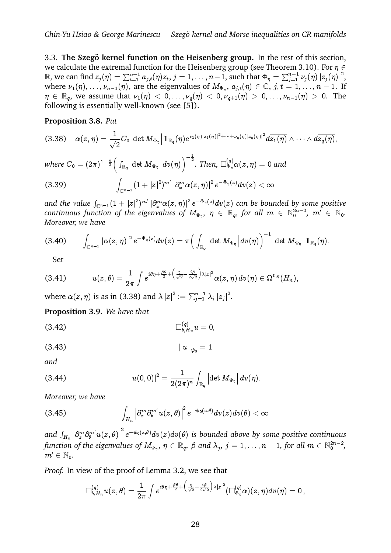3.3. **The Szegö kernel function on the Heisenberg group.** In the rest of this section, we calculate the extremal function for the Heisenberg group (see Theorem 3.10). For  $\eta \in$ 3.3. **The Szegö kernel function on the Heisenberg group.** In the rest of this section, we calculate the extremal function for the Heisenberg group (see Theorem 3.10). For  $\eta \in \mathbb{R}$ , we can find  $z_j(\eta) = \sum_{t=1}^{n-1} a_{j,t}$ where  $\nu_1(\eta), \ldots, \nu_{n-1}(\eta)$ , are the eigenvalues of  $M_{\Phi_{\eta}}, a_{j,t}(\eta) \in \mathbb{C}, j, t = 1, \ldots, n-1$ . If  $\eta \in \mathbb{R}_{q}$ , we assume that  $\nu_1(\eta) < 0, \ldots, \nu_q(\eta) < 0, \nu_{q+1}(\eta) > 0, \ldots, \nu_{n-1}(\eta) > 0$ . The following is essentially well-known (see [5]). 

## **Proposition 3.8.** *Put*

$$
(3.38)\quad \alpha(z,\eta)=\frac{1}{\sqrt{2}}C_0\left|\det M_{\Phi_{\eta}}\right|1_{\mathbb{R}_q}(\eta)e^{\nu_1(\eta)|z_1(\eta)|^2+\cdots+\nu_q(\eta)|z_q(\eta)|^2}d\overline{z_1(\eta)}\wedge\cdots\wedge d\overline{z_q(\eta)},
$$

where  $C_0=(2\pi)^{1-\frac{n}{2}}$  $\int_{\mathbb{R}_q}\left|\det M_{\Phi_{\eta}}\right|dv(\eta)$  $^{-\frac{1}{2}}$ . Then,  $\Box_{\Phi_\eta}^{(q)} \alpha(z,\eta)=0$  and where  $C_0 = (2\pi)^{1-\frac{n}{2}} \Big($  . (3.39)

(3.39) 
$$
\int_{\mathbb{C}^{n-1}} (1+|z|^2)^{m'} |\partial_x^m \alpha(z,\eta)|^2 e^{-\Phi_{\eta}(z)} dv(z) < \infty
$$
  
and the value  $\int_{\mathbb{C}^{n-1}} (1+|z|^2)^{m'} |\partial_x^m \alpha(z,\eta)|^2 e^{-\Phi_{\eta}(z)} dv(z)$  can be bounded by some positive

*continuous function of the eigenvalues of*  $M_{\Phi_{\eta}}, \eta \in \mathbb{R}_{q}$ , for all  $m \in \mathbb{N}_{0}^{2n-2}$ ,  $m' \in \mathbb{N}_{0}$ .<br> *Moreover*, we have<br>
(3.40)  $\int |\alpha(z,\eta)|^{2} e^{-\Phi_{\eta}(z)} dv(z) = \pi \Big( \int |\det M_{\Phi_{\eta}}| dv(\eta) \Big)^{-1} |\det M_{\Phi_{\eta}}| 1_{\mathbb{R}_{q}}(\eta)$ *Moreover, we have* ,<br>I<sub>¢</sub>  $\frac{1}{2}$  $\begin{bmatrix} 1 \\ m \end{bmatrix}$ <br> $(1, -1)$ I<br>I

$$
(3.40) \qquad \int_{\mathbb{C}^{n-1}}\left|\alpha(z,\eta)\right|^2e^{-\Phi_{\eta}(z)}dv(z)=\pi\Big(\int_{\mathbb{R}_{q}}\left|\det M_{\Phi_{\eta}}\right|dv(\eta)\Big)^{-1}\left|\det M_{\Phi_{\eta}}\right|1\!\!1_{\mathbb{R}_{q}}(\eta).
$$

Set

(3.41) 
$$
u(z,\theta)=\frac{1}{2\pi}\int e^{i\theta\eta+\frac{\beta\theta}{2}+\left(\frac{\eta}{\sqrt{2}}-\frac{i\beta}{2\sqrt{2}}\right)\lambda|z|^2}\alpha(z,\eta)\,dv(\eta)\in\Omega^{0,q}(H_n),
$$
 where  $\alpha(z,\eta)$  is as in (3.38) and  $\lambda |z|^2:=\sum_{j=1}^{n-1}\lambda_j |z_j|^2$ .

**Proposition 3.9.** *We have that*

(3.42) 
$$
\Box_{b,H_n}^{(q)} u = 0,
$$

$$
(3.43) \t\t\t ||u||_{\psi_0} = 1
$$

*and*

(3.44)  
\n
$$
|u(0,0)|^2 = \frac{1}{2(2\pi)^n} \int_{\mathbb{R}_q} |\det M_{\Phi_{\eta}}| dv(\eta).
$$
\nMoreover, we have\n
$$
\int |\partial_x^m \partial_{\theta}^{m'} u(z,\theta)|^2 e^{-\psi_0(z,\theta)} dv(z) dv(\theta) <
$$

*Moreover, we have*

(3.45) 
$$
\int_{H_n} \left| \partial_x^m \partial_{\theta}^{m'} u(z, \theta) \right|^2 e^{-\psi_0(z, \theta)} dv(z) dv(\theta) < \infty
$$
  
and  $\int_{H_n} \left| \partial_x^m \partial_{\theta}^{m'} u(z, \theta) \right|^2 e^{-\psi_0(z, \theta)} dv(z) dv(\theta)$  is bounded above by so

 $\partial_x^m \partial_\theta^{m'} u(z,\theta)\Big|$  $e^{-\psi_0(z,\theta)}dv(z)dv(\theta)$  is bounded above by some positive continuous function of the eigenvalues of  $M_{\Phi_\eta},~\eta\in\mathbb{R}_q,~\beta$  and  $\lambda_j,~j=1,\ldots,n-1,$  for all  $m\in\mathbb{N}_0^{2n-2},$  $m' \in \mathbb{N}_0$ .

*Proof.* In view of the proof of Lemma 3.2, we see that

$$
\Box^{(q)}_{b,H_n}u(z,\theta)=\frac{1}{2\pi}\int e^{i\theta\eta+\frac{\beta\theta}{2}+\left(\frac{\eta}{\sqrt{2}}-\frac{i\beta}{2\sqrt{2}}\right)\lambda|z|^2}(\Box^{(q)}_{\Phi_\eta}\alpha)(z,\eta)dv(\eta)=0\,,
$$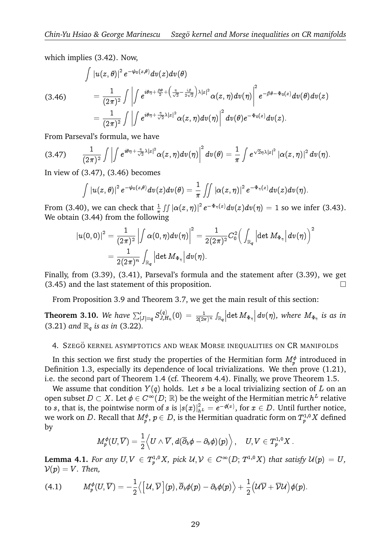which implies  $(3.42)$ . Now,

(3.46) 
$$
\int |u(z,\theta)|^2 e^{-\psi_0(z,\theta)} dv(z) dv(\theta)
$$

$$
= \frac{1}{(2\pi)^2} \int \left| \int e^{i\theta \eta + \frac{\beta \theta}{2} + \left(\frac{\eta}{\sqrt{2}} - \frac{i\beta}{2\sqrt{2}}\right) \lambda |z|^2} \alpha(z,\eta) dv(\eta) \right|^2 e^{-\beta \theta - \Phi_0(z)} dv(\theta) dv(z)
$$

$$
= \frac{1}{(2\pi)^2} \int \left| \int e^{i\theta \eta + \frac{\eta}{\sqrt{2}} \lambda |z|^2} \alpha(z,\eta) dv(\eta) \right|^2 dv(\theta) e^{-\Phi_0(z)} dv(z).
$$
From Parseval's formula, we have

From Parseval's formula, we have  $\overline{a}$ 

$$
(3.47) \qquad \frac{1}{(2\pi)^2}\int \left|\int e^{i\theta\eta+\frac{\eta}{\sqrt{2}}\lambda\left|z\right|^2}\alpha(z,\eta)dv(\eta)\right|^2dv(\theta)=\frac{1}{\pi}\int e^{\sqrt{2}\eta\lambda\left|z\right|^2}\left|\alpha(z,\eta)\right|^2dv(\eta).
$$

In view of (3.47), (3.46) becomes

$$
\int |u(z,\theta)|^2 e^{-\psi_0(z,\theta)} dv(z) dv(\theta) = \frac{1}{\pi} \iint |\alpha(z,\eta)|^2 e^{-\Phi_\eta(z)} dv(z) dv(\eta).
$$

From (3.40), we can check that  $\frac{1}{\pi} \iint |\alpha(z, \eta)|^2 e^{-\Phi_{\eta}(z)} dv(z) dv(\eta) = 1$  so we infer (3.43). We obtain (3.44) from the following that  $\frac{1}{\pi} \iint |\alpha(z, z)|$  $(z)dv(y)$  $\big)$ c  $\ddot{\mathbf{c}}$ 

$$
\begin{aligned} |u(0,0)|^2&=\frac{1}{(2\pi)^2}\left|\int \alpha(0,\eta)dv(\eta)\right|^2=\frac{1}{2(2\pi)^2}C_0^2\Big(\int_{\mathbb{R}_q}\left|\det M_{\Phi_\eta}\right|dv(\eta)\Big)^2\\&=\frac{1}{2(2\pi)^n}\int_{\mathbb{R}_q}\left|\det M_{\Phi_\eta}\right|dv(\eta).\end{aligned}
$$

Finally, from (3.39), (3.41), Parseval's formula and the statement after (3.39), we get  $(3.45)$  and the last statement of this proposition.

From Proposition 3.9 and Theorem 3.7, we get the main result of this section:

(3.45) and the last statement or this<br>From Proposition 3.9 and Theore:<br>**Theorem 3.10.** *We have*  $\sum_{|J|=q}^{'} S_{J,E}^{(q)}$  $J_{J,H_n}^{(q)}(0)\,=\, \frac{1}{2(2\pi)^n}\int_{\mathbb R_q}\Bigl|\det M_{\Phi_\eta}\Bigr|\,dv(\eta),$  where  $M_{\Phi_\eta}$  is as in (3.21) *and*  $\mathbb{R}_q$  *is as in* (3.22).

### 4. SZEGÖ KERNEL ASYMPTOTICS AND WEAK MORSE INEQUALITIES ON CR MANIFOLDS

In this section we first study the properties of the Hermitian form  $M^\phi_p$  introduced in Definition 1.3, especially its dependence of local trivializations. We then prove (1.21), i.e. the second part of Theorem 1.4 (cf. Theorem 4.4). Finally, we prove Theorem 1.5.

We assume that condition  $Y(q)$  holds. Let s be a local trivializing section of L on an open subset  $D\subset X.$  Let  $\phi\in C^\infty(D;\, {\mathbb R})$  be the weight of the Hermitian metric  $h^L$  relative to  $s$ , that is, the pointwise norm of  $s$  is  $|s(x)|^2_{h^L}=e^{-\phi(x)},$  for  $x\in D.$  Until further notice, we work on  $D.$  Recall that  $M^\phi_p,$   $p\in D,$  is the Hermitian quadratic form on  $T^{1,0}_pX$  defined by

$$
M_p^\phi(U,\overline V)=\frac{1}{2}\Big\langle U\wedge \overline V,d(\overline \partial_b\phi-\partial_b\phi)(p)\Big\rangle\,,\quad U,V\in T^{1,0}_pX\,.
$$

**Lemma 4.1.** *For any*  $U, V \in T_p^{1,0}X$ , *pick*  $U, V \in C^\infty(D; T^{1,0}X)$  *that satisfy*  $U(p) = U$ ,<br>  $V(p) = V$ . *Then*,<br>
(4.1)  $M_p^{\phi}(U, \overline{V}) = -\frac{1}{2} \langle [U, \overline{V}] (p), \overline{\partial}_b \phi(p) - \partial_b \phi(p) \rangle + \frac{1}{2} (U\overline{V} + \overline{V}U) \phi(p)$ .  $V(p) = V$ *. Then,* 

$$
(4.1) \hspace{1cm} M_p^{\phi}(U,\overline{V})=-\frac{1}{2}\big\langle \left[\,{\cal U},\overline{{\cal V}}\,\right](p),\overline{\partial}_b\phi(p)-\partial_b\phi(p)\big\rangle+\frac{1}{2}\big({\cal U}\overline{{\cal V}}+\overline{{\cal V}}{\cal U}\big)\phi(p).
$$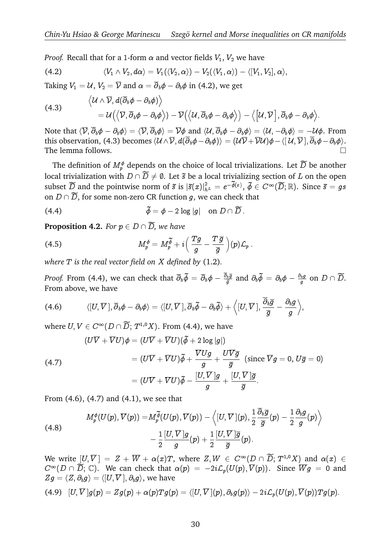*Proof.* Recall that for a 1-form  $\alpha$  and vector fields  $V_1$ ,  $V_2$  we have

(4.2) 
$$
\langle V_1 \wedge V_2, d\alpha \rangle = V_1(\langle V_2, \alpha \rangle) - V_2(\langle V_1, \alpha \rangle) - \langle [V_1, V_2], \alpha \rangle,
$$

Taking  $V_1=\mathcal{U},\,V_2=\overline{\mathcal{V}}$  and  $\alpha=\overline{\partial}_b\phi-\partial_b\phi$  in (4.2), we get

(4.3) 
$$
\langle U \wedge \overline{V}, d(\overline{\partial}_b \phi - \partial_b \phi) \rangle = U(\langle \overline{V}, \overline{\partial}_b \phi - \partial_b \phi \rangle) - \overline{V}(\langle U, \overline{\partial}_b \phi - \partial_b \phi \rangle) - \langle [U, \overline{V}], \overline{\partial}_b \phi - \partial_b \phi \rangle.
$$

Note that  $\langle \overline{\mathcal{V}}, \overline{\partial}_b \phi - \partial_b \phi \rangle = \langle \overline{\mathcal{V}}, \overline{\partial}_b \phi \rangle = \overline{\mathcal{V}} \phi$  and  $\langle \mathcal{U}, \overline{\partial}_b \phi - \partial_b \phi \rangle = \langle \mathcal{U}, -\partial_b \phi \rangle = -\mathcal{U} \phi$ . From this observation, (4.3) becomes  $\langle U \wedge \overline{V}, d(\overline{\partial}_b \phi - \partial_b \phi) \rangle = (U\overline{V} + \overline{V}U)\phi - \langle [U, \overline{V}], \overline{\partial}_b \phi - \partial_b \phi \rangle.$ The lemma follows. is observation, (4.3) becomes  $\langle \mathcal{U} \wedge \overline{\mathcal{V}}, d(\overline{\partial}_b \phi - \partial_b \phi) \rangle = (\mathcal{U} \overline{\mathcal{V}} + \overline{\mathcal{V}} \mathcal{U}) \phi - \langle [\mathcal{U}, \overline{\mathcal{V}}], \overline{\partial}_b \phi - \partial_b \phi \rangle$ .<br>
The definition of  $M_p^{\phi}$  depends on the choice of local trivializations. Le

The lemma follows.<br>The definition of  $M_p^{\phi}$  depends on the choice of local trivializations. Let  $\widetilde{D}$  be another<br>local trivialization with  $D \cap \widetilde{D} \neq \emptyset$ . Let  $\tilde{s}$  be a local trivializing section of  $L$  on th The definition of  $M_p^{\phi}$  depends on the choice of local trivializations. Let  $\widetilde{D}$  be another local trivialization with  $D \cap \widetilde{D} \neq \emptyset$ . Let  $\widetilde{s}$  be a local trivializing section of  $L$  on the open subset  $\widet$  $\frac{2}{h^{\,L}}\,=\,e^{-\widetilde{\phi}(x)},\ \widetilde{\phi}\,\in\,C$ local trivialization with  $D \cap \overline{D} \neq \emptyset$ . Let  $\overline{s}$  be a local trivializing<br>subset  $\overline{D}$  and the pointwise norm of  $\overline{s}$  is  $|\overline{s}(x)|_{h^L}^2 = e^{-\widetilde{\phi}(x)}$ ,  $\widetilde{\phi} \in$ <br>on  $D \cap \overline{D}$ , for some non-zero CR function subset  $\widetilde{D}$  and the pointwise norm of  $\tilde{s}$  is  $|\tilde{s}(x)|_{h^L}^2 = e^{-\tilde{\phi}(x)}$ ,<br>on  $D \cap \widetilde{D}$ , for some non-zero CR function  $g$ , we can check<br>(4.4)  $\tilde{\phi} = \phi - 2 \log |g|$  on  $D \cap \widetilde{D}$ .

(4.4)

\n
$$
\tilde{\phi} = \phi - 2 \log |g| \quad \text{on } D \cap \widetilde{D}.
$$
\nProposition 4.2. For  $p \in D \cap \widetilde{D}$ , we have

**Proposition 4.2.** For 
$$
p \in D \cap \overline{D}
$$
, we have  
\n
$$
M_p^{\phi} = M_p^{\widetilde{\phi}} + i \left( \frac{Tg}{g} - \frac{T\overline{g}}{\overline{g}} \right) (p) \mathcal{L}_p.
$$

*where* T *is the real vector field on* X *defined by* (1.2)*.*

*Proof.* From (4.4), we can check that  $\overline{\partial}_b \widetilde{\phi} = \overline{\partial}_b \phi - \frac{\partial_b \overline{g}}{\overline{g}}$  $\frac{\partial_b \overline{g}}{\overline{g}}$  and  $\partial_b \widetilde{\phi}\,=\,\partial_b \phi\,-\,\frac{\partial_b g}{g}$ by (1.2).<br>  $\overline{\partial}_b \phi - \frac{\overline{\partial}_b \overline{g}}{\overline{g}}$  and  $\partial_b \widetilde{\phi} = \partial_b \phi - \frac{\partial_b g}{g}$  on  $D \cap \widetilde{D}$ . From above, we have  $\overline{1}$   $\overline{1}$   $\overline{1}$   $\overline{0}$   $\overline{1}$   $\overline{0}$   $\overline{1}$   $\overline{0}$ 

(4.6) 
$$
\langle [U, \overline{V}], \overline{\partial}_b \phi - \partial_b \phi \rangle = \langle [U, \overline{V}], \overline{\partial}_b \widetilde{\phi} - \partial_b \widetilde{\phi} \rangle + \langle [U, \overline{V}], \frac{\overline{\partial}_b \overline{g}}{\overline{g}} - \frac{\partial_b g}{g} \rangle,
$$
  
where  $U, V \in C^{\infty}(D \cap \widetilde{D}; T^{1,0}X)$ . From (4.4), we have

 $\theta \in C^{\infty}(D \cap \widetilde{D}; T^{1,0}X)$ . From (4.4), we hat<br>  $(U\overline{V} + \overline{V}U)\phi = (U\overline{V} + \overline{V}U)(\widetilde{\phi} + 2 \log|g|)$ 

(4.7)  
\n
$$
(U\overline{V} + \overline{V}U)\phi = (U\overline{V} + \overline{V}U)(\tilde{\phi} + 2 \log|g|)
$$
\n
$$
= (U\overline{V} + \overline{V}U)\tilde{\phi} + \frac{\overline{V}Ug}{g} + \frac{U\overline{V}\overline{g}}{\overline{g}} \text{ (since } \overline{V}g = 0, U\overline{g} = 0)
$$
\n
$$
= (U\overline{V} + \overline{V}U)\tilde{\phi} - \frac{[U,\overline{V}]g}{g} + \frac{[U,\overline{V}]\overline{g}}{\overline{g}}.
$$

From (4.6), (4.7) and (4.1), we see that

From (4.6), (4.7) and (4.1), we see that  
\n
$$
M_p^{\phi}(U(p), \overline{V}(p)) = M_p^{\widetilde{\phi}}(U(p), \overline{V}(p)) - \left\langle [U, \overline{V}] (p), \frac{1}{2} \frac{\partial_{b} \overline{g}}{\overline{g}} (p) - \frac{1}{2} \frac{\partial_{b} g}{g} (p) \right\rangle
$$
\n(4.8)  
\n
$$
- \frac{1}{2} \frac{[U, \overline{V}] g}{g} (p) + \frac{1}{2} \frac{[U, \overline{V}] \overline{g}}{\overline{g}} (p).
$$
\nWe write  $[U, \overline{V}] = Z + \overline{W} + \alpha(x)T$ , where  $Z, W \in C^{\infty}(D \cap \widetilde{D}; T^{1,0}X)$  and  $\alpha(x) \in$ 

 $C^{\infty}(D \cap \overline{D}; \mathbb{C})$ . We can check that  $\alpha(p) = -2i\mathcal{L}_p(U(p), \overline{V}(p))$ . Since  $\overline{W}g = 0$  and  $\begin{aligned} \n-\frac{1}{2} \frac{1}{g} \frac{1}{g} \frac{1}{g} \frac{1}{g} \frac{1}{g} \end{aligned}$ <br>  $\begin{aligned} \n\text{Let } & \left[U,\overline{V}\right] = Z + \overline{W} + \alpha(x)T, \text{ where } & \left[Z,W \in C^{\infty}(D \cap \widetilde{D}; T^{1,0}X) \text{ and } \alpha(x) \in C^{\infty}(D \cap \widetilde{D}; \mathbb{C}). \end{aligned}$ <br>  $\begin{aligned} \n\text{Let } & \mathcal{D}(\overline{D},\mathbb{C}) \in \mathbb{C}^{\infty}($  $Zg = \langle Z, \partial_b g \rangle = \langle [U, \overline{V}], \partial_b g \rangle$ , we have

$$
(4.9)~~[U,\overline{V}]g(p)=Zg(p)+\alpha(p)Tg(p)=\langle[U,\overline{V}](p),\partial_bg(p)\rangle-2i\mathcal{L}_p(U(p),\overline{V}(p))Tg(p).
$$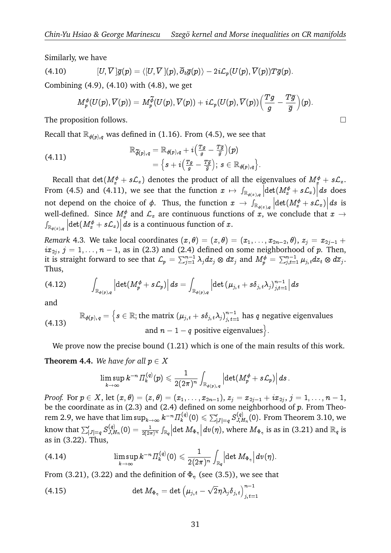Similarly, we have

(4.10) 
$$
[U,\overline{V}]\overline{g}(p)=\langle [U,\overline{V}](p),\overline{\partial}_b\overline{g}(p)\rangle-2i\mathcal{L}_p(U(p),\overline{V}(p))T\overline{g}(p).
$$

Combining (4.9), (4.10) with (4.8), we get

$$
[U, \overline{V}] \overline{g}(p) = \langle [U, \overline{V}](p), \overline{\partial}_b \overline{g}(p) \rangle - 2i \mathcal{L}_p(U(p), \overline{V}(p)) T \overline{g}(p).
$$
  
ng (4.9), (4.10) with (4.8), we get  

$$
M_p^{\phi}(U(p), \overline{V}(p)) = M_p^{\widetilde{\phi}}(U(p), \overline{V}(p)) + i \mathcal{L}_p(U(p), \overline{V}(p)) \left( \frac{Tg}{g} - \frac{T\overline{g}}{\overline{g}} \right)(p).
$$

The proposition follows.  $\Box$ 

Recall that 
$$
\mathbb{R}_{\phi(p),q}
$$
 was defined in (1.16). From (4.5), we see that  
\n
$$
\mathbb{R}_{\widetilde{\phi}(p),q} = \mathbb{R}_{\phi(p),q} + i \left( \frac{Tg}{g} - \frac{T\overline{g}}{\overline{g}} \right)(p)
$$
\n
$$
= \left\{ s + i \left( \frac{Tg}{g} - \frac{T\overline{g}}{\overline{g}} \right) ; \ s \in \mathbb{R}_{\phi(p),q} \right\}.
$$

Recall that  $\det(M_x^{\phi}+s\mathcal{L}_x)$  denotes the product of all the eigenvalues of  $M_x^{\phi}+s\mathcal{L}_x.$ From (4.5) and (4.11), we see that the function  $x \mapsto \int_{\mathbb{R}_{\phi(x),q}} \left| \det(M_x^{\phi} + s \mathcal{L}_x) \right| ds$  does not depend on the choice of  $\phi$ . Thus, the function  $x ~\to ~ \int_{\mathbb{R}_{\phi(x),q}} \left|\det(M_x^\phi + s{\cal L}_x)\right| ds$  is extraction extending eigenvalues of  $M_x^{\phi}$  + well-defined. Since  $M^\phi_x$  and  $\mathcal{L}_x$  are continuous functions of  $x,$  we conclude that  $x$   $\rightarrow$  $\int_{\mathbb{R}_{\phi(x),q}}\left|\det(M_{x}^{\phi}+s{\cal L}_{x})\right|ds$  is a continuous function of  $x.$ 

*Remark* 4.3. We take local coordinates  $(x, \theta) = (z, \theta) = (x_1, \ldots, x_{2n-2}, \theta), z_i = x_{2i-1} +$  $ix_{2j}, j = 1, \ldots, n-1$ , as in (2.3) and (2.4) defined on some neighborhood of  $p$ . Then, it is straight forward to see that  $\mathcal{L}_p=\sum_{j=1}^{n-1}\lambda_jdz_j\otimes d\overline z_j$  and  $M_p^\phi=\sum_{j,t=1}^{n-1}\mu_{j,\,t}dz_t\otimes d\overline z_j.$ Thus,  $i x_{2j}, j = 1, ..., n - 1$ <br>it is straight forward<br>Thus,<br>(4.12)  $\int$  $\overline{\phantom{a}}$ 4) defir $\frac{-1}{-1}\, \lambda_j dz$ 1<br>ว<br>,

$$
(4.12) \qquad \int_{\mathbb{R}_{\phi(p),q}} \left| \det(M_p^{\phi} + s\mathcal{L}_p) \right| ds = \int_{\mathbb{R}_{\phi(p),q}} \left| \det \left( \mu_{j,t} + s\delta_{j,t} \lambda_j \right)_{j,t=1}^{n-1} \right| ds
$$

and

and  
\n
$$
\mathbb{R}_{\phi(p),q} = \left\{ s \in \mathbb{R}; \text{the matrix } (\mu_{j,t} + s\delta_{j,t}\lambda_j)_{j,t=1}^{n-1} \text{ has } q \text{ negative eigenvalues} \right\}
$$
\n
$$
\text{and } n-1-q \text{ positive eigenvalues} \left\}.
$$

We prove now the precise bound  $(1.21)$  which is one of the main results of this work.

## **Theorem 4.4.** We have for all  $p \in X$

$$
\limsup_{k\to\infty} k^{-n} \varPi_k^{(q)}(p)\leqslant \frac{1}{2(2\pi)^n}\int_{\mathbb{R}_{\phi(p),\,q}} \Big|\!\det(M_p^{\phi}+s\mathcal{L}_p)\Big|\,ds\,.
$$

*Proof.* For  $p \in X$ , let  $(x, \theta) = (z, \theta) = (x_1, \ldots, x_{2n-1}),$   $z_j = x_{2j-1} + ix_{2j}, j = 1, \ldots, n-1,$ be the coordinate as in  $(2.3)$  and  $(2.4)$  defined on some neighborhood of  $p$ . From Theorem 2.9, we have that  $\limsup_{k\to\infty} k^{-n} \varPi_k^{(q)}$  $\mathcal{S}^{(q)}_{k}(0) \leqslant \sum_{|J|=q}^{\prime} \mathcal{S}^{(q)}_{J,L}$  $J_{J,H_n}^{(q)}(0)$ . From Theorem 3.10, we Prooj. For  $p \in \mathbb{R}$ <br>be the coordi<br>rem 2.9, we l<br>know that  $\sum_1^p$  $\int\limits_{|J|=q} S^{(q)}_{J,L}$  $J_{J,H_n}(0) = \frac{1}{2(2\pi)^n} \int_{\mathbb{R}_q} \left| \det M_{\Phi_{\eta}} \right| dv(\eta)$ , where  $M_{\Phi_{\eta}}$  is as in (3.21) and  $\mathbb{R}_q$  is as in (3.22). Thus, V.

(4.14) 
$$
\limsup_{k \to \infty} k^{-n} \Pi_k^{(q)}(0) \leq \frac{1}{2(2\pi)^n} \int_{\mathbb{R}_q} \left| \det M_{\Phi_{\eta}} \right| dv(\eta).
$$
  
From (3.21), (3.22) and the definition of  $\Phi_{\eta}$  (see (3.5)), we see that  
(4.15) 
$$
\det M_{\Phi_{\eta}} = \det \left( \mu_{j,t} - \sqrt{2} \eta \lambda_j \delta_{j,t} \right)_{\substack{t=1 \ t \neq j}}^{n-1}
$$

From (3.21), (3.22) and the definition of  $\Phi_{\eta}$  (see (3.5)), we see that

(4.15) 
$$
\det M_{\Phi_{\eta}} = \det \left( \mu_{j,t} - \sqrt{2} \eta \lambda_j \delta_{j,t} \right)_{j,t=1}^{n-1}
$$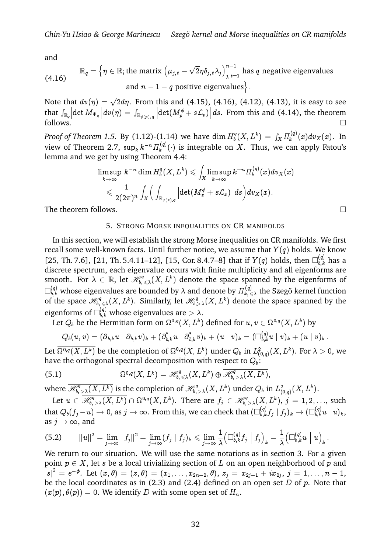and

and  
\n
$$
\mathbb{R}_{q} = \left\{ \eta \in \mathbb{R}; \text{the matrix } \left( \mu_{j,t} - \sqrt{2} \eta \delta_{j,t} \lambda_{j} \right)_{j,t=1}^{n-1} \text{ has } q \text{ negative eigenvalues} \right\}
$$
\n
$$
\text{(4.16)} \quad \text{and } n - 1 - q \text{ positive eigenvalues} \left\}.
$$

Note that  $dv(\eta) = \sqrt{2}d\eta$ . From this and (4.15), (4.16), (4.12), (4.13), it is easy to see and  $n - 1 - q$  positive eigenvalues).<br>
Note that  $dv(\eta) = \sqrt{2}d\eta$ . From this and (4.15), (4.16), (4.12), (4.13), it is easy to see<br>
that  $\int_{\mathbb{R}_q} |\det M_{\Phi_{\eta}}| dv(\eta) = \int_{\mathbb{R}_{\phi(p), q}} |\det (M_p^{\phi} + s\mathcal{L}_p)| ds$ . From this and (4.14),  $\Box$  follows.  $\sin \theta$ <br> $) = \int$ 

*Proof of Theorem 1.5.* By (1.12)-(1.14) we have  $\dim H_b^q$  $\delta^q_{\;b}(X,L^k)\,=\,\int_X \varPi^{(q)}_k$  $f_k^{(q)}(x)dv_X(x)$ . In view of Theorem 2.7,  $\sup_k k^{-n} \varPi_k^{(q)}$  $\mathcal{L}_{k}^{(q)}(\cdot)$  is integrable on X. Thus, we can apply Fatou's lemma and we get by using Theorem 4.4: Z $\ddot{a}$ 

$$
\begin{aligned} & \text{get by using Theorem 4.4:} \\ & \limsup_{k \to \infty} \, k^{-n} \dim H_b^q(X,L^k) \leqslant \int_X \limsup_{k \to \infty} k^{-n} \, \Pi_k^{(q)}(x) dv_X(x) \\ & \leqslant \frac{1}{2 (2 \pi)^n} \int_X \Big( \int_{\mathbb{R}_{\phi(x),q}} \Big| \mathrm{det}(M_x^{\phi} + s \mathcal{L}_x) \Big| \, ds \Big) dv_X(x). \end{aligned}
$$

The theorem follows.  $\Box$ 

### 5. STRONG MORSE INEQUALITIES ON CR MANIFOLDS

In this section, we will establish the strong Morse inequalities on CR manifolds. We first recall some well-known facts. Until further notice, we assume that  $Y(q)$  holds. We know [25, Th. 7.6], [21, Th. 5.4.11–12], [15, Cor. 8.4.7–8] that if  $Y(q)$  holds, then  $\square_{b,k}^{(q)}$  has a discrete spectrum, each eigenvalue occurs with finite multiplicity and all eigenforms are smooth. For  $\lambda \in \mathbb{R}$ , let  $\mathscr{H}_{b,\leqslant \lambda}^q(X,L^k)$  denote the space spanned by the eigenforms of  $\Box_{b,k}^{(q)}$  whose eigenvalues are bounded by  $\lambda$  and denote by  $\Pi_{k,\,\leqslant\lambda}^{(q)}$  the Szegö kernel function of the space  $\mathscr{H}_{b,\leq\lambda}^q(X,L^k)$ . Similarly, let  $\mathscr{H}_{b,\geq\lambda}^q(X,L^k)$  denote the space spanned by the eigenforms of  $\square_{b,k}^{(q)}$  whose eigenvalues are  $>\lambda.$ 

Let  $Q_b$  be the Hermitian form on  $\Omega^{0,q}(X,L^k)$  defined for  $u,v\in \Omega^{0,q}(X,L^k)$  by

$$
Q_b(u,v)=(\overline{\partial}_{b,k}u\mid \overline{\partial}_{b,k}v)_k+(\overline{\partial}_{b,k}^*u\mid \overline{\partial}_{b,k}^*v)_k+(u\mid v)_k=(\Box_{b,k}^{(q)}u\mid v)_k+(u\mid v)_k\,.
$$

Let  $\overline{\Omega^{0,q}(X,L^k)}$  be the completion of  $\Omega^{0,q}(X,L^k)$  under  $Q_b$  in  $L^2_{(0,q)}(X,L^k).$  For  $\lambda>0,$  we have the orthogonal spectral decomposition with respect to  $Q_b$ :

(5.1) 
$$
\overline{\Omega^{0,q}(X,L^k)}=\mathscr{H}_{b,\leqslant\lambda}^q(X,L^k)\oplus\overline{\mathscr{H}_{b,\geqslant\lambda}^q(X,L^k)},
$$

where  $\overline{\mathscr{H}^q_{b,\,\geq\,\lambda}(X,L^k)}$  is the completion of  $\mathscr{H}^q_{b,\,\geq\,\lambda}(X,L^k)$  under  $Q_b$  in  $L^2_{(0,q)}(X,L^k).$ 

Let  $u \in \overline{\mathscr{H}^q_{b,\,\geq\,\lambda}(X,L^k)} \cap \Omega^{0,q}(X,L^k).$  There are  $f_j \in \mathscr{H}^q_{b,\,\geq\,\lambda}(X,L^k),\,j=1,2,...,$  such that  $Q_b(f_j-u)\to 0,$  as  $j\to\infty.$  From this, we can check that  $(\Box_{b,k}^{(q)}f_j\mid f_j)_k\to (\Box_{b,k}^{(q)}u\mid u)_k,$ as  $j \rightarrow \infty$ , and  $\frac{1}{2}$   $\frac{1}{2}$   $\frac{1}{2}$   $\frac{1}{2}$   $\frac{1}{2}$   $\frac{1}{2}$   $\frac{1}{2}$   $\frac{1}{2}$   $\frac{1}{2}$   $\frac{1}{2}$   $\frac{1}{2}$   $\frac{1}{2}$   $\frac{1}{2}$   $\frac{1}{2}$   $\frac{1}{2}$   $\frac{1}{2}$   $\frac{1}{2}$   $\frac{1}{2}$   $\frac{1}{2}$   $\frac{1}{2}$   $\frac{1}{2}$   $\frac{1}{2}$   $\begin{array}{c} \Gamma_{i,j}(\alpha) \ \Gamma_{j,k}(\alpha) \ \Gamma_{j,k}(\alpha) \end{array} \begin{array}{c} \Gamma_{j,k}(\alpha) \ \Gamma_{j,k}(\alpha) \end{array}$ .<br>۱

$$
\text{(5.2)} \qquad \left\| u \right\|^2 = \lim_{j \to \infty} \left\| f_j \right\|^2 = \lim_{j \to \infty} (f_j \mid f_j)_k \leqslant \lim_{j \to \infty} \frac{1}{\lambda} \left( \Box^{(q)}_{b,k} f_j \mid f_j \right)_k = \frac{1}{\lambda} \left( \Box^{(q)}_{b,k} u \mid u \right)_k.
$$

We return to our situation. We will use the same notations as in section 3. For a given point  $p \in X$ , let s be a local trivializing section of L on an open neighborhood of p and  $\big|s\big|^2\,=\,e^{\,-\phi}.\,\,\,{\rm Let}\,\, (x,\theta)\,=\,(z,\theta)\,=\,(x_1,\ldots,x_{2n-2},\theta),\, z_j\,=\,x_{2j-1}+ix_{2j},\, j\,=\,1,\ldots,n\,-\,1,$ be the local coordinates as in (2.3) and (2.4) defined on an open set  $D$  of  $p$ . Note that  $(x(p), \theta(p)) = 0$ . We identify D with some open set of  $H_n$ .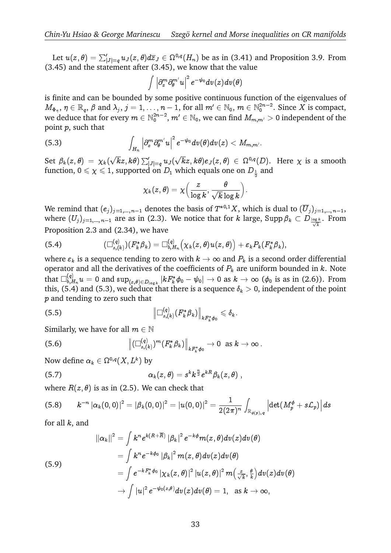in-Yu Hsiao & George Marinescu Szegö kernel and Morse inequalities on CR manifolds<br>Let  $u(z, \theta) = \sum_{|J|=q}^{\prime} u_J(z, \theta) d\overline{z}_J \in \Omega^{0,q}(H_n)$  be as in (3.41) and Proposition 3.9. From (3.45) and the statement after (3.45), we know that the value  $d\overline{z}$  j  $\overline{\left( \cdot \right)}$ 

$$
\int \left|\partial^m_x\partial^{m'}_\theta u\right|^2e^{-\psi_0}dv(z)dv(\theta)
$$

is finite and can be bounded by some positive continuous function of the eigenvalues of  $M_{\Phi_\eta},\, \eta\in\mathbb{R}_q, \,\beta$  and  $\lambda_j,\, j=1,\ldots,n-1,$  for all  $m'\in\mathbb{N}_0, \, m\in\mathbb{N}^{2n-2}_0.$  Since  $X$  is compact, we deduce that for every  $m\in \mathbb{N}_0^{2n-2},$   $m'\in \mathbb{N}_0,$  we can find  $M_{m,m'}>0$  independent of the point  $p$ , such that  $M_{\Phi_{\eta}}, \eta \in \mathbb{R}_q$ ,  $\beta$  and  $\lambda_j$ ,  $j$  is<br>we deduce that for every a<br>point  $p$ , such that<br>(5.3)  $\in \mathbb{N}_0^{2n-2},$ 

(5.3) 
$$
\int_{H_n} \left| \partial_x^m \partial_{\theta}^{m'} u \right|^2 e^{-\psi_0} dv(\theta) dv(z) < M_{m,m'}.
$$

Set  $\beta_k(z,\theta) \, = \, \chi_k($  $(kz,\textit{k}\theta)\sum_{\left\vert J\right\vert =q}^{l}u_{J}($  $\overline{k}z, k\theta$ ) $e_J(z, \theta) \in \Omega^{0,q}(D)$ . Here  $\chi$  is a smooth function,  $0\leqslant\chi\leqslant1,$  supported on  $D_1$  which equals one on  $D_{\frac{1}{2}}$  and

$$
\chi_k(z,\theta)=\chi\Big(\frac{z}{\log k},\frac{\theta}{\sqrt{k}\log k}\Big).
$$

We remind that  $(e_j)_{j=1,\dots,n-1}$  denotes the basis of  $T^{*0,1}X$ , which is dual to  $(\overline{U}_j)_{j=1,\dots,n-1}$ , where  $(U_j)_{j=1,...,\,n-1}$  are as in (2.3). We notice that for  $k$  large,  $\mathrm{Supp}\,\beta_k\subset D_{\frac{\log k}{\sqrt{k}}}$ . From Proposition 2.3 and (2.34), we have

(5.4) 
$$
(\Box_{s,(k)}^{(q)})(F_k^*\beta_k)=\Box_{b,H_n}^{(q)}\big(\chi_k(z,\theta)u(z,\theta)\big)+\varepsilon_kP_k(F_k^*\beta_k),
$$

where  $\varepsilon_k$  is a sequence tending to zero with  $k \to \infty$  and  $P_k$  is a second order differential operator and all the derivatives of the coefficients of  $P_k$  are uniform bounded in k. Note that  $\Box_{b. L}^{(q)}$  $\psi_{b,H_n}^{(q)}u=0$  and  $\sup_{(z,\theta)\in D_{\log k}}|kF_k^*\phi_0-\psi_0|\to 0$  as  $k\to\infty$   $(\phi_0$  is as in (2.6)). From this, (5.4) and (5.3), we deduce that there is a sequence  $\delta_k > 0$ , independent of the point p and tending to zero such that

$$
\left\|\Box_{s,(k)}^{(q)}(F_k^*\beta_k)\right\|_{kF_k^*\phi_0}\leqslant \delta_k.
$$

Similarly, we have for all  $m \in \mathbb{N}$ 

(5.6) 
$$
\left\| (\Box_{s,(k)}^{(q)})^m (F_k^* \beta_k) \right\|_{k F_k^* \phi_0} \to 0 \text{ as } k \to \infty.
$$

Now define  $\alpha_k \in \Omega^{0,q}(X,L^k)$  by

(5.7) 
$$
\alpha_k(z,\theta)=s^kk^{\frac{n}{2}}e^{kR}\beta_k(z,\theta),
$$

where  $R(z, \theta)$  is as in (2.5). We can check that

$$
(5.8) \qquad k^{-n}\left|\alpha_{k}(0,0)\right|^{2}=\left|\beta_{k}(0,0)\right|^{2}=\left|u(0,0)\right|^{2}=\frac{1}{2(2\pi)^{n}}\int_{\mathbb{R}_{\phi(p),q}}\left|\det(M_{p}^{\phi}+s\mathcal{L}_{p})\right|ds
$$

for all  $k$ , and

$$
\begin{aligned}\n\|\alpha_k\|^2 &= \int k^n e^{k(R+\overline{R})} \left|\beta_k\right|^2 e^{-k\phi} m(z,\theta) dv(z) dv(\theta) \\
&= \int k^n e^{-k\phi_0} \left|\beta_k\right|^2 m(z,\theta) dv(z) dv(\theta) \\
&= \int e^{-kF_k^*\phi_0} \left|\chi_k(z,\theta)\right|^2 \left|u(z,\theta)\right|^2 m\left(\frac{z}{\sqrt{k}},\frac{\theta}{k}\right) dv(z) dv(\theta) \\
&\to \int |u|^2 e^{-\psi_0(z,\theta)} dv(z) dv(\theta) = 1, \text{ as } k \to \infty,\n\end{aligned}
$$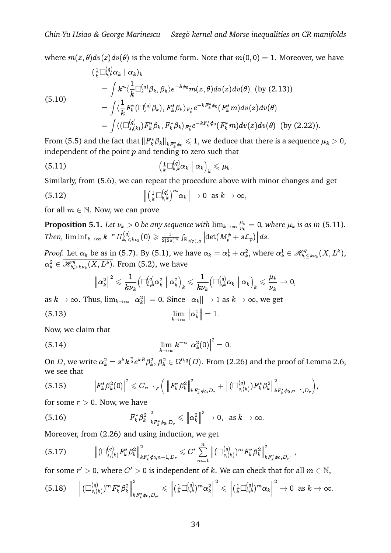where  $m(z, \theta)dv(z)dv(\theta)$  is the volume form. Note that  $m(0, 0) = 1$ . Moreover, we have

$$
\begin{aligned}\n &\left(\frac{1}{k}\Box_{b,k}^{(q)}\alpha_{k}\mid\alpha_{k}\right)_{k} \\
 &= \int k^{n}\langle\frac{1}{k}\Box_{s}^{(q)}\beta_{k},\beta_{k}\rangle e^{-k\phi_{0}}m(z,\theta)dv(z)dv(\theta)\ \left(\text{by (2.13)}\right) \\
 &= \int \langle\frac{1}{k}F_{k}^{*}(\Box_{s}^{(q)}\beta_{k}),F_{k}^{*}\beta_{k}\rangle_{F_{k}^{*}}e^{-kF_{k}^{*}\phi_{0}}(F_{k}^{*}m)dv(z)dv(\theta) \\
 &= \int \langle\left(\Box_{s,(k)}^{(q)}\right)F_{k}^{*}\beta_{k},F_{k}^{*}\beta_{k}\rangle_{F_{k}^{*}}e^{-kF_{k}^{*}\phi_{0}}(F_{k}^{*}m)dv(z)dv(\theta)\ \left(\text{by (2.22)}\right).\n\end{aligned}
$$

From (5.5) and the fact that  $||F_k^* \beta_k||_{kF_k^* \phi_0} \leq 1$ , we deduce that there is a sequence  $\mu_k > 0$ ,<br>independent of the point  $p$  and tending to zero such that<br>(5.11)  $\left(\frac{1}{k}\Box_{b,k}^{(q)}\alpha_k \mid \alpha_k\right)_x \leq \mu_k$ . independent of the point  $p$  and tending to zero such that

(5.11)  
\n
$$
\left(\frac{1}{k}\Box_{b,k}^{(q)}\alpha_k \mid \alpha_k\right)_k \leq \mu_k.
$$
\nSimilarly, from (5.6), we can repeat the procedure above  
\n
$$
\left\|\left(\frac{1}{k}\Box_{b,k}^{(q)}\right)^m \alpha_k\right\| \to 0 \text{ as } k \to \infty
$$

Similarly, from (5.6), we can repeat the procedure above with minor changes and get

(5.12) 
$$
\left\|\left(\frac{1}{k}\Box_{b,k}^{(q)}\right)^m\alpha_k\right\|\to 0 \text{ as } k\to\infty,
$$

for all  $m \in \mathbb{N}$ . Now, we can prove

**Proposition 5.1.** Let  $\nu_k > 0$  be any sequence with  $\lim_{k\to\infty} \frac{\mu_k}{\nu_k}$  $\frac{\mu_k}{\nu_k} = 0$ , where  $\mu_k$  is as in (5.11). Then,  $\liminf_{k\to\infty} k^{-n} \varPi_{k,\,\leqslant k\nu_k}^{(q)}(0)\geqslant \frac{1}{2(2\tau)}$  $\frac{1}{2(2\pi)^n}\int_{\mathbb{R}_{\phi(p),q}}\left|\det(M_p^{\phi}+s{{\cal L}}_p)\right|ds.$ 

*Proof.* Let  $\alpha_k$  be as in (5.7). By (5.1), we have  $\alpha_k = \alpha_k^1 + \alpha_k^2$ , where  $\alpha_k^1 \in \mathscr{H}_{b}^q$ e as in (5.7). By (5.1), we have  $\alpha_k = \alpha_k^1 + \alpha_k^2$ , where  $\alpha_k^1 \in \mathcal{H}_{b,\leq k\nu_k}^q(X,L^k)$ ,  $\alpha^{2}_{k} \in \overline{\mathscr{H}_{b,}^{q}}$  $\mathcal{C}^q_{b,>k\nu_k}(X,L^k).$  From (5.2), we have  $\frac{1}{2}$  $By (5.1)$ re have  $\alpha_k = \alpha_k^1 +$  $\overline{1}$ 

$$
\left\|\alpha_{k}^{2}\right\|^{2} \leqslant \frac{1}{k\nu_{k}}\big(\Box_{b,k}^{(q)}\alpha_{k}^{2}\ \Big|\ \alpha_{k}^{2}\big)_{k} \leqslant \frac{1}{k\nu_{k}}\big(\Box_{b,k}^{(q)}\alpha_{k}\ \Big|\ \alpha_{k}\big)_{k} \leqslant \frac{\mu_{k}}{\nu_{k}} \rightarrow 0,
$$

as  $k\to\infty.$  Thus,  $\lim_{k\to\infty}\|\alpha_k^2\|=0.$  Since  $\|\alpha_k\|\to 1$  as  $k\to\infty,$  we get

$$
\lim_{k\to\infty}\left\|\alpha_k^1\right\|=1.
$$

Now, we claim that

(5.14) 
$$
\lim_{k \to \infty} k^{-n} |\alpha_k^2(0)|^2 = 0.
$$

On  $D$ , we write  $\alpha_k^2=s^kk^{\frac{n}{2}}e^{kR}\beta_k^2,\,\beta_k^2\in\Omega^{0,q}(D).$  From (2.26) and the proof of Lemma 2.6, we see that  $\epsilon$  $\ddot{\phantom{0}}$  $\begin{aligned} \frac{n}{c^2} e^{kR} \beta_k^2, & \beta_k^2 \in \ & \leqslant C_{n-1,r} \Big( \, \Big\| \end{aligned}$  $\overline{6}$ .<br>נ'  $\overline{a}$ lE

(5.15) F k  2 k (0) 2 F k  2 k 2 kF k <sup>0</sup>;D<sup>r</sup> + ( (q) s;(k) )F k  2 k 2 kF k <sup>0</sup>;n1;D<sup>r</sup> ; 

for some  $r > 0$ . Now, we have

(5.16) 
$$
\left\| F_{k}^{*} \beta_{k}^{2} \right\|_{k F_{k}^{*} \phi_{0}, D_{r}}^{2} \leqslant \left\| \alpha_{k}^{2} \right\|^{2} \to 0, \text{ as } k \to \infty.
$$

Moreover, from (2.26) and using induction, we get

$$
\| f^k P_k \|_{k F_k^* \phi_0, D_r} \leq \| \alpha_k \| \quad \text{for some } k \in \mathbb{N}.
$$
  
Moreover, from (2.26) and using induction, we get  
(5.17) 
$$
\left\| (\Box_{s,(k)}^{(q)} F_k^* \beta_k^2 \right\|_{k F_k^* \phi_0, n-1, D_r}^2 \leq C' \sum_{m=1}^n \left\| (\Box_{s,(k)}^{(q)})^m F_k^* \beta_k^2 \right\|_{k F_k^* \phi_0, D_{r'}}^2,
$$

for some  $r' > 0$ , where  $C' > 0$  is independent of k. We can check that for all  $m \in \mathbb{N}$ ,

$$
(5.18) \qquad \left\|(\Box^{(q)}_{s,(k)})^m F_k^* \beta_k^2\right\|_{kF_k^*\phi_0, D_{r'}}^2 \leqslant \left\|(\frac{1}{k}\Box^{(q)}_{b,k})^m \alpha_k^2\right\|^2 \leqslant \left\|(\frac{1}{k}\Box^{(q)}_{b,k})^m \alpha_k\right\|^2 \to 0 \text{ as } k \to \infty.
$$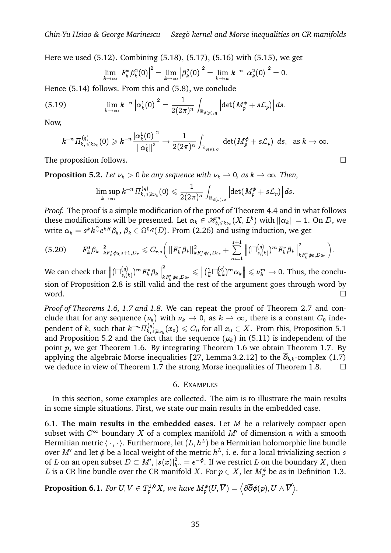Here we used (5.12). Combining (5.18), (5.17), (5.16) with (5.15), we get

$$
\lim_{k\rightarrow\infty}\left|F_k^*\beta_k^2(0)\right|^2=\lim_{k\rightarrow\infty}\left|\beta_k^2(0)\right|^2=\lim_{k\rightarrow\infty}k^{-n}\left|\alpha_k^2(0)\right|^2=0.
$$

Hence (5.14) follows. From this and (5.8), we conclude

(5.19) 
$$
\lim_{k\to\infty} k^{-n} \left|\alpha_k^1(0)\right|^2 = \frac{1}{2(2\pi)^n} \int_{\mathbb{R}_{\phi(p),q}} \left|\det(M_p^{\phi} + s\mathcal{L}_p)\right| ds.
$$

Now,

$$
k^{-n} \varPi_{k,\,\leqslant k\nu_k}^{(q)}(0)\geqslant k^{-n}\frac{\left|\alpha_k^1(0)\right|^2}{\left\|\alpha_k^1\right\|^2}\to \frac{1}{2(2\pi)^n}\int_{\mathbb{R}_{\phi(p),\,q}}\left|\det(M_p^\phi+s\mathcal{L}_p)\right|ds,\;\;\text{as}\;k\to\infty.
$$

The proposition follows.  $\Box$ 

**Proposition 5.2.** Let  $\nu_k > 0$  be any sequence with  $\nu_k \to 0$ , as  $k \to \infty$ . Then,

$$
\limsup_{k\to\infty} k^{-n} \varPi_{k,\,\leqslant k\nu_k}^{(q)}(0)\leqslant \frac{1}{2(2\pi)^n}\int_{\mathbb{R}_{\phi(p),\,q}} \Big|\!\det(M_p^{\phi}+s\mathcal{L}_p)\Big|\,ds.
$$

*Proof.* The proof is a simple modification of the proof of Theorem 4.4 and in what follows these modifications will be presented. Let  $\alpha_k\in \mathscr{H}^q_{b,\leqslant k\nu_k}(X,L^k)$  with  $\|\alpha_k\|=1.$  On  $D,$  we write  $\alpha_k = s^k k^{\frac{n}{2}} e^{kR} \beta_k, \, \beta_k \in \Omega^{0,q}(D).$  From (2.26) and using induction, we get will be presented. Let  $\alpha_k \in \mathscr{H}_{b,\leqslant k\nu_k}^q(X) \to \beta_k, \ \beta_k \in \Omega^{0,q}(D).$  From (2.26) and usit  $\phi_{0,s+1,D_r} \leqslant C_{r,s} \Big( \left\|F_k^*\beta_k\right\|_{kF_k^*\phi_0,D_{2r}}^2 + \sum_{k=1}^{s+1} \frac{1}{kF_k^*\phi_k} \int_{\Omega_{2r}}^{\Omega_{2r}} \left\|F_k^*\beta_k\right\|_{kF_k^*\phi_0,D_{2r}}^2 \Big$  $\frac{1}{2}$   $\frac{1}{2}$   $\frac{1}{2}$   $\frac{1}{2}$   $\frac{1}{2}$   $\frac{1}{2}$  $\overline{ }$ 

$$
(5.20) \t||F_k^*\beta_k||_{kF_k^*\phi_{0,s+1,D_r}}^2 \leq C_{r,s}\Big(\t||F_k^*\beta_k||_{kF_k^*\phi_{0,D_{2r}}}^2 + \sum_{m=1}^{s+1} \left\|(\Box_{s,(k)}^{(q)})^m F_k^*\beta_k\right\|_{kF_k^*\phi_{0,D_{2r}}}^2\Big).
$$

We can check that  $\|(\Box_s^{(q)})$  $_{s,(k)}^{(q)}$  )  $^{m}F_{k}^{\ast}\beta_{k}\Big\Vert \Big\Vert$ 2  $kF_k^*\phi_0$  ,  $D_{2r}$  $\leqslant \left\|(\frac{1}{k}\Box^{(q)}_{b,k})^m\alpha_k\right\|\leqslant \nu_k^m\to 0.$  Thus, the conclusion of Proposition 2.8 is still valid and the rest of the argument goes through word by word.  $\Box$ 

*Proof of Theorems 1.6, 1.7 and 1.8.* We can repeat the proof of Theorem 2.7 and conclude that for any sequence  $(\nu_k)$  with  $\nu_k \to 0$ , as  $k \to \infty$ , there is a constant  $C_0$  independent of  $k,$  such that  $k^{-n} \varPi_{k, \leqslant k\nu_k}^{(q)}(x_0) \leqslant C_0$  for all  $x_0 \in X.$  From this, Proposition 5.1 and Proposition 5.2 and the fact that the sequence  $(\mu_k)$  in (5.11) is independent of the point p, we get Theorem 1.6. By integrating Theorem 1.6 we obtain Theorem 1.7. By applying the algebraic Morse inequalities [27, Lemma 3.2.12] to the  $\overline{\partial}_{b,k}$ -complex (1.7) we deduce in view of Theorem 1.7 the strong Morse inequalities of Theorem 1.8.  $\Box$ 

#### 6. EXAMPLES

In this section, some examples are collected. The aim is to illustrate the main results in some simple situations. First, we state our main results in the embedded case.

6.1. **The main results in the embedded cases.** Let M be a relatively compact open subset with  $C^{\infty}$  boundary X of a complex manifold  $M'$  of dimension n with a smooth Hermitian metric  $\langle\,\cdot\,,\cdot\,\rangle$ . Furthermore, let  $(L, h^L)$  be a Hermitian holomorphic line bundle over M' and let  $\phi$  be a local weight of the metric  $h^L$ , i. e. for a local trivializing section s of  $L$  on an open subset  $D\subset M',\,|s(x)|^2_{h^{\,L}}=e^{-\phi}.$  If we restrict  $L$  on the boundary  $X,$  then  $L$  is a CR line bundle over the CR manifold  $X.$  For  $p\in X,$  let  $M^\phi_p$  be as in Definition 1.3. **Proposition 6.1.** *For*  $U, V \in T_p^{1,0}X$ , we have  $M_p^{\phi}(U, \overline{V}) = \langle \partial \overline{\partial} \phi(p), U \wedge \overline{V} \rangle$ .<br>**Proposition 6.1.** *For*  $U, V \in T_p^{1,0}X$ , we have  $M_p^{\phi}(U, \overline{V}) = \langle \partial \overline{\partial} \phi(p), U \wedge \overline{V} \rangle$ .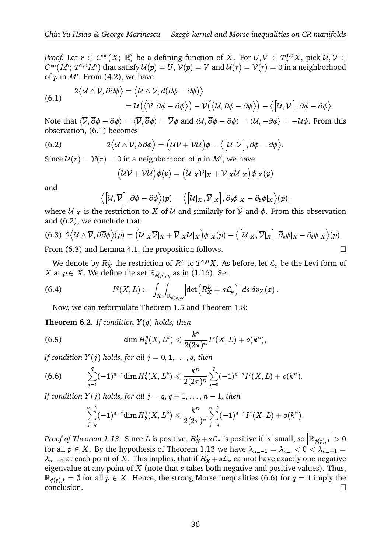*Proof.* Let  $r \in C^\infty(X; \mathbb{R})$  be a defining function of  $X$ . For  $U, V \in T^{1,0}_pX$ , pick  $\mathcal{U}, \mathcal{V} \in T^{1,1}_p$  $C^\infty(M';\, T^{1,0}\,M')$  that satisfy  ${\cal U}(p)=U,$   ${\cal V}(p)=V$  and  ${\cal U}(r)={\cal V}(r)=0$  in a neighborhood of  $p$  in  $M'$ . From (4.2), we have  $\begin{aligned} \n\mathcal{L} &\in C^{\infty}(X; \ \mathcal{L}^{0}(M') &\text{that so} \\ \n\text{From (4.2)}, \n\mathcal{U} &\wedge \overline{\mathcal{V}}, \partial \overline{\partial} \phi \n\end{aligned}$ 

of *p* in *M'*. From (4.2), we have  
\n
$$
2\langle U \wedge \overline{V}, \partial \overline{\partial} \phi \rangle = \langle U \wedge \overline{V}, d(\overline{\partial} \phi - \partial \phi) \rangle
$$
\n
$$
= U(\langle \overline{V}, \overline{\partial} \phi - \partial \phi \rangle) - \overline{V}(\langle U, \overline{\partial} \phi - \partial \phi \rangle) - \langle [U, \overline{V}], \overline{\partial} \phi - \partial \phi \rangle.
$$

Note that  $\langle \overline{\mathcal{V}}, \partial \phi - \partial \phi \rangle = \langle \overline{\mathcal{V}}, \partial \phi \rangle = \overline{\mathcal{V}}\phi$  and  $\langle \mathcal{U}, \partial \phi - \partial \phi \rangle = \langle \mathcal{U}, -\partial \phi \rangle = -\mathcal{U}\phi.$  From this observation, (6.1) becomes  $\langle \phi \rangle = \langle \overline{\mathcal{V}}, \overline{\partial} \phi \rangle = \overline{\mathcal{V}} \phi \text{ and } \langle \mathcal{U}, \overline{\partial} \phi - \partial \phi \rangle = \langle \mathcal{U}, -\partial \phi \rangle.$ <br>ecomes<br> $\mathcal{U} \wedge \overline{\mathcal{V}}, \partial \overline{\partial} \phi \rangle = \big( \mathcal{U} \overline{\mathcal{V}} + \overline{\mathcal{V}} \mathcal{U} \big) \phi - \big\langle \big[ \mathcal{U}, \overline{\mathcal{V}} \big], \overline{\partial} \phi - \partial \phi \big\rangle.$ 

(6.2) 
$$
2\langle \mathcal{U} \wedge \overline{\mathcal{V}}, \partial \overline{\partial} \phi \rangle = (\mathcal{U}\overline{\mathcal{V}} + \overline{\mathcal{V}}\mathcal{U})\phi - \langle [\mathcal{U}, \overline{\mathcal{V}}], \overline{\partial} \phi - \partial \phi \rangle.
$$
  
Since  $\mathcal{U}(r) = \mathcal{V}(r) = 0$  in a neighborhood of  $p$  in  $M'$ , we have  

$$
(\mathcal{U}\overline{\mathcal{V}} + \overline{\mathcal{V}}\mathcal{U})\phi(p) = (\mathcal{U}|_X\overline{\mathcal{V}}|_X + \overline{\mathcal{V}}|_X\mathcal{U}|_X)\phi|_X(p)
$$

Since  $\mathcal{U}(r)=\mathcal{V}(r)=0$  in a neighborhood of  $p$  in  $M',$  we have

$$
\big( \mathcal{U}\overline{\mathcal{V}} + \overline{\mathcal{V}}\mathcal{U} \big) \phi(p) = \big( \mathcal{U}|_X\overline{\mathcal{V}}|_X + \overline{\mathcal{V}}|_X\mathcal{U}|_X \big) \phi|_X(p)
$$
  

$$
\overline{\mathcal{V}} \big|, \overline{\partial}\phi - \partial\phi\big\rangle(p) = \big\langle \big[ \mathcal{U}|_X, \overline{\mathcal{V}}|_X \big], \overline{\partial}_b\phi|_X - \partial_b\phi|_X
$$

and

$$
\left\langle \left[\mathcal{U},\overline{\mathcal{V}}\right],\overline{\partial}\phi-\partial\phi\right\rangle(p)=\left\langle \left[\mathcal{U}|_X,\overline{\mathcal{V}}|_X\right],\overline{\partial}_b\phi|_X-\partial_b\phi|_X\right\rangle(p),
$$

where  $\mathcal{U}|_X$  is the restriction to X of U and similarly for  $\overline{V}$  and  $\phi$ . From this observation and (6.2), we conclude that  $\vert x \vert$  is the restriction<br>
), we conclude that<br>  $\mathcal{U} \wedge \overline{V}, \partial \overline{\partial} \phi$   $\rangle(p) = ($ 

$$
(6.3) 2\langle \mathcal{U} \wedge \overline{\mathcal{V}}, \partial \overline{\partial} \phi \rangle(p) = \big( \mathcal{U}|_{X} \overline{\mathcal{V}}|_{X} + \overline{\mathcal{V}}|_{X} \mathcal{U}|_{X} \big) \phi|_{X}(p) - \big\langle \big[ \mathcal{U}|_{X}, \overline{\mathcal{V}}|_{X} \big], \overline{\partial}_{b} \phi|_{X} - \partial_{b} \phi|_{X} \big\rangle(p).
$$

From  $(6.3)$  and Lemma 4.1, the proposition follows.

We denote by  $R_X^L$  the restriction of  $R^L$  to  $T^{1,0}X.$  As before, let  ${\mathcal L}_p$  be the Levi form of X at  $p \in X$ . We define the set  $\mathbb{R}_{\phi(p),q}$  as in (1.16). Set the restriction of  $R^L$ <br>  $\in$  the set  $\mathbb{R}_{\phi(p), q}$  as in  $(X, L) := \int \int$ to  $T^{1,0}X$ . As be<br>n (1.16). Set<br>det  $\left(R_X^L + s\mathcal{L}_x\right)\Big|$ 

(6.4) 
$$
I^q(X,L):=\int_X\int_{\mathbb{R}_{\phi(x),q}}\left|\det\left(R_X^L+s\mathcal{L}_x\right)\right|ds\,dv_X(x).
$$

Now, we can reformulate Theorem 1.5 and Theorem 1.8:

**Theorem 6.2.** *If condition* Y (q) *holds, then*

(6.5) 
$$
\dim H_b^q(X, L^k) \leqslant \frac{k^n}{2(2\pi)^n} I^q(X, L) + o(k^n),
$$

*If condition Y(j) holds, for all*  $j = 0, 1, \ldots, q$ *, then* 

$$
\text{If condition } Y(j) \text{ holds, for all } j = 0, 1, \ldots, q, \text{ then}
$$
\n
$$
(6.6) \qquad \sum_{j=0}^{q} (-1)^{q-j} \dim H_b^j(X, L^k) \leqslant \frac{k^n}{2(2\pi)^n} \sum_{j=0}^{q} (-1)^{q-j} I^j(X, L) + o(k^n).
$$

*If condition*  $Y(j)$  *holds, for all*  $j = q, q + 1, \ldots, n - 1$ *, then*  $\begin{align} \dot{z}^{j=0} \ \dot{r}(j) \text{ holds, for all } j = q, q+1, \ldots, n-1 \ \dot{r}^{n-1} \end{align}$ 

$$
\sum_{j=q}^{n-1}(-1)^{q-j}\hbox{dim}\,H_b^j(X,L^k)\leqslant \frac{k^n}{2(2\pi)^n}\sum_{j=q}^{n-1}(-1)^{q-j}I^j(X,L)+o(k^n).
$$

*Proof of Theorem 1.13. Since L* is positive,  $R_X^L + s{\cal L}_x$  is positive if  $|s|$  small, so  $\left|{\mathbb{R}}_{\phi(p),0}\right|>0$ for all  $p \in X$ . By the hypothesis of Theorem 1.13 we have  $\lambda_{n-1} = \lambda_{n-} < 0 < \lambda_{n-1} =$  $\lambda_{n_-+2}$  at each point of X. This implies, that if  $R_X^L + s\mathcal{L}_x$  cannot have exactly one negative eigenvalue at any point of  $X$  (note that  $s$  takes both negative and positive values). Thus,  $\mathbb{R}_{\phi(p),1} = \emptyset$  for all  $p \in X$ . Hence, the strong Morse inequalities (6.6) for  $q = 1$  imply the conclusion.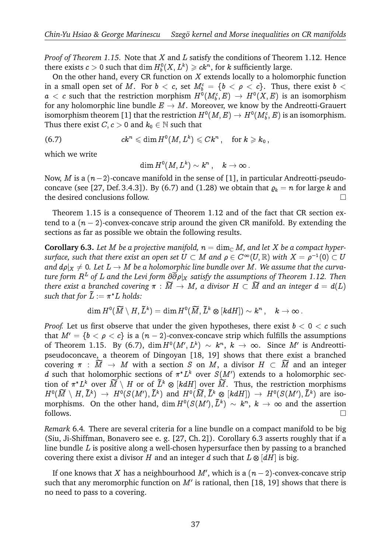*Proof of Theorem 1.15.* Note that X and L satisfy the conditions of Theorem 1.12. Hence there exists  $c > 0$  such that  $\dim H_b^0(X,L^k) \geqslant c k^n,$  for  $k$  sufficiently large.

On the other hand, every CR function on  $X$  extends locally to a holomorphic function in a small open set of  $M.$  For  $b~ < ~c,$  set  $M_b^c ~=~ \{b~ < ~\rho ~< ~c\}.$  Thus, there exist  $b~ <$  $a \ < \ c$  such that the restriction morphism  $H^0(M_b^c, E) \ \to \ H^0(X,E)$  is an isomorphism for any holomorphic line bundle  $E \to M$ . Moreover, we know by the Andreotti-Grauert isomorphism theorem [1] that the restriction  $H^0(M,E) \to H^0(M_b^\mathfrak{c},E)$  is an isomorphism. Thus there exist  $C, c > 0$  and  $k_0 \in \mathbb{N}$  such that

$$
(6.7) \hspace{3.1em} ck^n \leqslant \dim H^0(M,L^k) \leqslant Ck^n \,, \quad \text{for $k \geqslant k_0$} \,,
$$

which we write

$$
\dim H^0(M,L^k)\sim k^n\,,\quad k\to\infty\,.
$$

Now, *M* is a  $(n-2)$ -concave manifold in the sense of [1], in particular Andreotti-pseudoconcave (see [27, Def. 3.4.3]). By (6.7) and (1.28) we obtain that  $\rho_k = n$  for large k and the desired conclusions follow.

Theorem 1.15 is a consequence of Theorem 1.12 and of the fact that CR section extend to a  $(n - 2)$ -convex-concave strip around the given CR manifold. By extending the sections as far as possible we obtain the following results.

**Corollary 6.3.** Let M be a projective manifold,  $n = \dim_{\mathbb{C}} M$ , and let X be a compact hyper- $\mathit{surface},$  such that there exist an open set  $U \subset M$  and  $\rho \in C^\infty(U,\mathbb{R})$  with  $X = \rho^{-1}(0) \subset U$ and  $d\rho|_X \neq 0.$  Let  $L \to M$  be a holomorphic line bundle over  $M.$  We assume that the curva*ture form* R<sup>L</sup> *of* L *and the Levi form* @@j<sup>X</sup> *satisfy the assumptions of Theorem 1.12. Then there exist and there exist and open set*  $\sigma \subset M$  and  $\rho \in C$   $(\sigma, \mathbb{R})$  with  $X = \rho$   $(\sigma) \subset \sigma$  and  $d\rho|_X \neq 0$ . Let  $L \to M$  be a holomorphic line bundle over M. We assume that the curvature form  $R^L$  of L and the Levi  $\begin{array}{l} \hbox{and } ap_{|X} \neq 0. \ \hbox{Let } L \ \hbox{there exist a branch} \ \hbox{such that for } \widetilde{L} := \pi \end{array}$ such that for  $\tilde{L} := \pi^* L$  holds: ed covering  $\pi\,:\,\widetilde M\,\to\,M,$  a divi ${}^*L$  holds: $(\widetilde M\setminus H, \widetilde L^k)=\dim H^0(\widetilde M, \widetilde L^k\otimes$ 

$$
\dim H^0(\widetilde{M}\setminus H, \widetilde{L}^k)=\dim H^0(\widetilde{M}, \widetilde{L}^k\otimes [kdH])\sim k^n\,,\quad k\to\infty\,.
$$

*Proof.* Let us first observe that under the given hypotheses, there exist  $b < 0 < c$  such that  $M' = \{b < \rho < c\}$  is a  $(n-2)$ -convex-concave strip which fulfills the assumptions of Theorem 1.15. By (6.7),  $\dim H^0(M',L^k) \ \sim \ k^n, \ k \ \to \ \infty.$  Since  $M'$  is Andreottipseudoconcave, a theorem of Dingoyan [18, 19] shows that there exist a branched covering  $\pi$  :  $\widetilde{M} \to M$  with a section S on M, a divisor  $H \subset \widetilde{M}$  and an integer d such that holomorphic sections of  $\pi^*L^k$  over  $S(M')$  extends to a holomorphic secpseudoconcave, a theorem of Dingoyan [18, 19] shows that there exist a branched<br>covering  $\pi : \widetilde{M} \to M$  with a section S on M, a divisor  $H \subset \widetilde{M}$  and an integer<br>d such that holomorphic sections of  $\pi^* L^k$  over  $S(M')$ Covering  $\pi : M \to M$  with a section 3 on  $M$ , a divisor  $H \subset M$  and an integer<br>
d such that holomorphic sections of  $\pi^* L^k$  over  $S(M')$  extends to a holomorphic sec-<br>
tion of  $\pi^* L^k$  over  $\widetilde{M} \setminus H$  or of  $\widetilde{L}^k \otimes$ morphisms. On the other hand, dim  $H^0(S(M'), \tilde{L}^k) \, \sim \, k^n, \, k \, \to \, \infty$  and the assertion  $\begin{array}{l} \Gamma \circ \Lambda \ \text{er} \ \tilde{L}^k \circledast \ \tilde{L}^k \circledast \end{array}$  $\Box$  follows.

*Remark* 6.4*.* There are several criteria for a line bundle on a compact manifold to be big (Siu, Ji-Shiffman, Bonavero see e. g. [27, Ch. 2]). Corollary 6.3 asserts roughly that if a line bundle  $L$  is positive along a well-chosen hypersurface then by passing to a branched covering there exist a divisor  $H$  and an integer  $d$  such that  $L\otimes [dH]$  is big.

If one knows that X has a neighbourhood  $M'$ , which is a  $(n-2)$ -convex-concave strip such that any meromorphic function on  $M'$  is rational, then [18, 19] shows that there is no need to pass to a covering.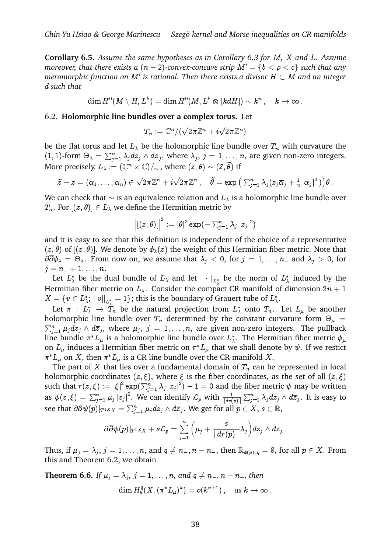**Corollary 6.5.** *Assume the same hypotheses as in Corollary 6.3 for* M*,* X *and* L*. Assume moreover, that there exists a*  $(n - 2)$ *-convex-concave strip*  $M' = \{b < \rho < c\}$  such that any meromorphic function on  $M'$  is rational. Then there exists a divisor  $H\subset M$  and an integer d *such that*

$$
\dim H^0(M\setminus H,L^k)=\dim H^0(M,L^k\otimes [kdH])\sim k^n\,,\quad k\to\infty\,.
$$

6.2. **Holomorphic line bundles over a complex torus.** Let

$$
T_n:=\mathbb{C}^n/(\sqrt{2\pi}\mathbb{Z}^n+i\sqrt{2\pi}\mathbb{Z}^n)
$$

be the flat torus and let  $L_\lambda$  be the holomorphic line bundle over  $T_n$  with curvature the  $(1, 1)$ -form  $\Theta_{\lambda} = \sum_{j=1}^{n} \lambda_j dz_j \wedge d\overline{z}_j$ , where  $\lambda_j$ ,  $j = 1, \ldots, n$ , are given non-zero integers. More precisely,  $L_\lambda:=(\mathbb{C}^n\times\mathbb{C})/{_\sim}$  , where  $(z,\theta)\sim(\tilde{z},\tilde{\theta})$  if be the holomorphic line<br>  $\sum_{j} \wedge d\overline{z}_{j}$ , where  $\lambda_{j}$ ,  $j = 1$ ,<br>  $\mathbb{C}$ / $\sim$ , where  $(z, \theta) \sim (\tilde{z}, \theta)$ e $\begin{aligned} \text{for } &\Theta_{\lambda} = \sum_{j=1}^{n} \lambda_{j}d\ \text{re precisely, } &L_{\lambda} := (\mathbb{C}^{n})\ \tilde{z}-z = (\alpha_{1},\ldots,\alpha_{n}) \in \end{aligned}$ = 1, ..., *n*, are given non-zero int<br>  $\phi \in (\tilde{z}, \tilde{\theta})$  if<br>  $\tilde{\theta} = \exp \left( \sum_{i=1}^n \lambda_i (z_i \overline{\alpha}_i + \frac{1}{2} |\alpha_i|^2) \right)$ 

$$
\widetilde{z}-z=(\alpha_1,\ldots,\alpha_n)\in\sqrt{2\pi}\mathbb{Z}^n+i\sqrt{2\pi}\mathbb{Z}^n\,,\quad \widetilde{\theta}=\exp\left(\textstyle\sum_{j=1}^n\lambda_j(z_j\overline{\alpha}_j+\frac{1}{2}\left|\alpha_j\right|^2)\right)\theta\,.
$$

We can check that  $\sim$  is an equivalence relation and  $L_\lambda$  is a holomorphic line bundle over  $T_n$ . For  $[(z, \theta)] \in L_\lambda$  we define the Hermitian metric by  $l$ ence relation and

$$
\left\vert \left[ \left( z,\theta \right) \right] \right\vert ^{2}:=\left\vert \theta \right\vert ^{2}\exp (-\sum _{j=1}^{n}\lambda _{j}\left\vert z_{j}\right\vert ^{2})
$$

and it is easy to see that this definition is independent of the choice of a representative  $(z, \theta)$  of  $[(z, \theta)]$ . We denote by  $\phi_{\lambda}(z)$  the weight of this Hermitian fiber metric. Note that  $\partial\overline{\partial}\phi_\lambda\,=\,\Theta_\lambda.$  From now on, we assume that  $\lambda_j\,<\,0,$  for  $j\,=\,1,\ldots,n_{-}$  and  $\lambda_j\,>\,0,$  for  $j = n_{-} + 1, \ldots, n$ .

Let  $L^*_\lambda$  be the dual bundle of  $L_\lambda$  and let  $\|\cdot\|_{L^*_\lambda}$  be the norm of  $L^*_\lambda$  induced by the Hermitian fiber metric on  $L_{\lambda}$ . Consider the compact CR manifold of dimension  $2n + 1$  $X=\{v\in L^*_\lambda;\, \|v\|_{L^*_\lambda}=1\};$  this is the boundary of Grauert tube of  $L^*_\lambda.$ 

Let  $\pi$  :  $L^*_{\lambda} \to T_n$  be the natural projection from  $L^*_{\lambda}$  onto  $T_n$ . Let  $L_{\mu}$  be another holomorphic line bundle over  $T_n$  determined by the constant curvature form  $\Theta_{\mu}$  =  $X = \{v \in L_{\lambda}^{*}: ||v||_{L_{\lambda}^{*}} = 1\}$ ; this is the boundary of Grauert tube of  $L_{\lambda}^{*}$ .<br>Let  $\pi : L_{\lambda}^{*} \to T_{n}$  be the natural projection from  $L_{\lambda}^{*}$  onto  $T_{n}$ . Let  $L_{\mu}$  be another holomorphic line bundle over  $T$  $\sum_{j=1}^n \mu_j dz_j \wedge d\overline{z}_j$ , where  $\mu_j$ ,  $j = 1, \ldots, n$ , are given non-zero integers. The pullback line bundle  $\pi^*L_\mu$  is a holomorphic line bundle over  $L^*_\lambda.$  The Hermitian fiber metric  $\phi_\mu$ on  $L_\mu$  induces a Hermitian fiber metric on  $\pi^*L_\mu$  that we shall denote by  $\psi.$  If we restict  $\pi^*L_\mu$  on  $X$ , then  $\pi^*L_\mu$  is a CR line bundle over the CR manifold  $X.$ 

The part of  $X$  that lies over a fundamental domain of  $T_n$  can be represented in local holomorphic coordinates  $(z, \xi)$ , where  $\xi$  is the fiber coordinates, as the set of all  $(z, \xi)$  $\pi^* L_{\mu}$  on *X*, then  $\pi^* L_{\mu}$  is a CR line bundle over the CR manifold *X*.<br>The part of *X* that lies over a fundamental domain of  $T_n$  can be represented in local<br>holomorphic coordinates  $(z, \xi)$ , where  $\xi$  is the The part of X<br>holomorphic coor<br>such that  $r(z,\xi)$ <br>as  $\psi(z,\xi) = \sum_{i=1}^{n}$  $\int_{j=1}^n \mu_j \left| z_j \right|^2$ . We can identify  $\mathcal{L}_p$  with  $\frac{1}{\|d r(p)\|}$ tify  $\mathcal{L}_p$  with  $\frac{1}{\|d r(p)\|}\sum_{j=1}^n \lambda_j dz_j \wedge d\overline{z}_j.$  It is easy to see that  $\partial\overline{\partial} \psi(p)|_{T^{1,0}X}=\sum_{j=1}^n \mu_jdz_j\wedge d\overline{z}_j.$  We get for all  $p\in X,$   $s\in\mathbb{R},$ 

$$
\partial\overline{\partial} \psi(p)|_{T^{1,0}X}+s\mathcal{L}_p=\sum_{j=1}^n\Big(\mu_j+\frac{s}{\|dr(p)\|}\lambda_j\Big)dz_j\wedge d\overline{z}_j\ .
$$

Thus, if  $\mu_j = \lambda_j$ ,  $j = 1, \ldots, n$ , and  $q \neq n_-, n - n_-,$  then  $\mathbb{R}_{\phi(p), q} = \emptyset$ , for all  $p \in X$ . From this and Theorem 6.2, we obtain

**Theorem 6.6.** If  $\mu_j = \lambda_j$ ,  $j = 1, \ldots, n$ , and  $q \neq n_-, n - n_-,$  then dim  $H_b^q$  $b^{\cdot q}_b(X,(\pi^*L_\mu)^k)=o(k^{n+1})\,,\quad\text{as }k\to\infty\,.$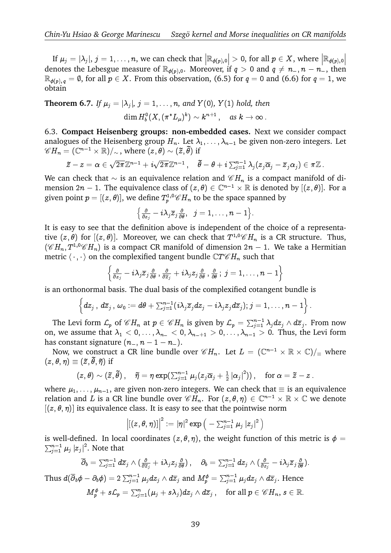If  $\mu_j=|\lambda_j|,$   $j=1,\ldots,n,$  we can check that  $\bigl|\mathbb{R}_{\phi(p),0}\bigr|>0,$  for all  $p\in X,$  where  $\bigl|\mathbb{R}_{\phi(p),0}\bigr|$ denotes the Lebesgue measure of  $\mathbb{R}_{\phi(p),0}$ . Moreover, if  $q > 0$  and  $q \neq n_{-}, n - n_{-}$ , then  $\mathbb{R}_{\phi(p),q} = \emptyset$ , for all  $p \in X$ . From this observation, (6.5) for  $q = 0$  and (6.6) for  $q = 1$ , we obtain

**Theorem 6.7.** If  $\mu_j = |\lambda_j|$ ,  $j = 1, \ldots, n$ , and  $Y(0)$ ,  $Y(1)$  hold, then  $\dim H_b^0(X, (\pi^*L_\mu)^k) \sim k^{n+1} \,, \quad \textit{as } k \to \infty \,.$ 

6.3. **Compact Heisenberg groups: non-embedded cases.** Next we consider compact Panalogues of the Heisenberg group  $H_n$ . Let  $\lambda_1, \dots, \lambda_{n-1}$  be given non-zero integers. Let 6.3. **Compact Heisenberg groups: non-em**<br>analogues of the Heisenberg group  $H_n$ . Let  $\lambda$ <br> $\mathscr{C}H_n = (\mathbb{C}^{n-1} \times \mathbb{R})/\sim$ , where  $(z, \theta) \sim (\tilde{z}, \tilde{\theta})$  if gues of the F<br>=  $(\mathbb{C}^{n-1} \times \mathbb{R})$ <br> $\tilde{z} - z = \alpha \in$ 

$$
\widetilde{z}-z=\alpha\in\sqrt{2\pi}\mathbb{Z}^{n-1}+i\sqrt{2\pi}\mathbb{Z}^{n-1}\,,\quad \widetilde{\theta}-\theta+i\textstyle\sum_{j=1}^{n-1}\lambda_j(z_j\overline{\alpha}_j-\overline{z}_j\alpha_j)\in\pi\mathbb{Z}\,.
$$

We can check that  $\sim$  is an equivalence relation and  $\mathscr{C}H_n$  is a compact manifold of dimension 2n – 1. The equivalence class of  $(z, \theta) \in \mathbb{C}^{n-1} \times \mathbb{R}$  is denoted by  $[(z, \theta)]$ . For a given point  $p=[(z,\theta)],$  we define  $T^{1,0}_{p}{\mathscr C} H_n$  to be the space spanned by

$$
\big\{\tfrac{\partial}{\partial z_j}-i\lambda_j\overline z_j\tfrac{\partial}{\partial\theta},\;\;j=1,\ldots,n-1\big\}.
$$

It is easy to see that the definition above is independent of the choice of a representative  $(z, \theta)$  for  $[(z, \theta)]$ . Moreover, we can check that  $T^{1,0}\mathscr{C}H_n$  is a CR structure. Thus,  $(\mathscr{C} H_n, T^{1,0}\mathscr{C} H_n)$  is a compact CR manifold of dimension  $2n - 1$ . We take a Hermitian metric  $\langle \cdot, \cdot \rangle$  on the complexified tangent bundle  $\mathbb{C}T\mathscr{C}H_n$  such that

$$
\left\{\tfrac{\partial}{\partial z_j}-i\lambda_j\overline z_j\tfrac{\partial}{\partial \theta}\,,\tfrac{\partial}{\partial\overline z_j}+i\lambda_jz_j\tfrac{\partial}{\partial \theta}\,,\tfrac{\partial}{\partial \theta}\,;\,j=1,\dots,n-1\right\}
$$

is an orthonormal basis. The dual basis of the complexified cotangent bundle is P

$$
\left\{ dz_j \, , \, d\overline z_j \, , \, \omega_0 := d\theta + \textstyle \sum_{j=1}^{n-1} \bigl( i\lambda_j \overline z_j dz_j - i\lambda_j z_j d\overline z_j \bigr) ; j=1,\ldots,n-1 \right\}.
$$

The Levi form  $\mathcal{L}_p$  of  $\mathscr{C}H_n$  at  $p\in \mathscr{C}H_n$  is given by  $\mathcal{L}_p=\sum_{j=1}^{n-1}\lambda_jdz_j\wedge d\overline{z}_j.$  From now on, we assume that  $\lambda_1 < 0, \ldots, \lambda_{n-} < 0, \lambda_{n-+1} > 0, \ldots, \lambda_{n-1} > 0$ . Thus, the Levi form

has constant signature  $(n_-, n-1-n_-)$ .<br>Now, we construct a CR line bundle<br> $(z, \theta, \eta) \equiv (\tilde{z}, \tilde{\theta}, \tilde{\eta})$  if Now, we construct a CR line bundle over  $\mathscr{C}H_n$ . Let  $L = (\mathbb{C}^{n-1} \times \mathbb{R} \times \mathbb{C})/_{\equiv}$  where ; e) if  $\begin{array}{l} \text{and }\sinh\pi\text{ is a constant, } \pi\text{ is a constant, } \pi\text{ is a constant.}\ \pi\text{ is a constant.}\ \pi\text{ is a constant.}\ \pi\left(\vec{z},\tilde{\theta},\tilde{\eta}\right) \text{ if }\ \left(z,\theta\right)\sim\left(\tilde{z},\tilde{\theta}\right),\quad\tilde{\eta}=\eta\exp\left(\sum_{j=1}^{n-1}\mu_j\left(z_j\overline{\alpha}_j+\frac{1}{2}\left|\alpha_j\right|^2\right)\right),\quad\text{for }\alpha=\tilde{z}-z\,. \end{array}$ 

$$
(z,\theta)\sim(\widetilde{z},\widetilde{\theta})\,,\quad \widetilde{\eta}=\eta\exp(\textstyle\sum_{j=1}^{n-1}\mu_j(z_j\overline{\alpha}_j+\frac{1}{2}\left|\alpha_j\right|^2))\,,\quad \text{for } \alpha=\widetilde{z}-z
$$

where  $\mu_1, \ldots, \mu_{n-1}$ , are given non-zero integers. We can check that  $\equiv$  is an equivalence relation and L is a CR line bundle over  $\mathscr{C}H_n$ . For  $(z, \theta, \eta) \in \mathbb{C}^{n-1} \times \mathbb{R} \times \mathbb{C}$  we denote  $[(z, \theta, \eta)]$  its equivalence class. It is easy to see that the pointwise norm  ${}^{\circ}H_n.$ see t $\exp\big($ 

$$
\left\vert [(z,\theta,\eta)]\right\vert^2:=\vert\eta\vert^2\exp\big(-\sum_{j=1}^{n-1}\mu_j\,|z_j|^2\,\big)
$$

 $\big| [(z, \theta, \eta)] \big|^2 := |\eta|^2 \exp \big( - \sum_{j=1}^{n-1} \mu_j |z_j|^2 \big)$ <br>is well-defined. In local coordinates  $(z, \theta, \eta)$ , the weight function of this metric is  $\phi =$  $_{j=1}^{n-1}\mu_{j}\left\vert z_{j}\right\vert ^{2}.$  Note that

$$
\sum_{j=1}^{n-1} \mu_j |z_j|^2.
$$
 Note that  
\n
$$
\overline{\partial}_b = \sum_{j=1}^{n-1} d\overline{z}_j \wedge (\frac{\partial}{\partial \overline{z}_j} + i\lambda_j z_j \frac{\partial}{\partial \theta}), \quad \partial_b = \sum_{j=1}^{n-1} dz_j \wedge (\frac{\partial}{\partial z_j} - i\lambda_j \overline{z}_j \frac{\partial}{\partial \theta}).
$$
  
\nThus  $d(\overline{\partial}_b \phi - \partial_b \phi) = 2 \sum_{j=1}^{n-1} \mu_j dz_j \wedge d\overline{z}_j$  and  $M_p^{\phi} = \sum_{j=1}^{n-1} \mu_j dz_j \wedge d\overline{z}_j$ . Hence

 $M_p^{\phi} + s{\cal L}_p = \sum_{j=1}^n (\mu_j + s\lambda_j) dz_j \wedge d\overline z_j \, , \quad \text{for all } p \in {\mathscr C} H_n, \, s \in {\mathbb R}.$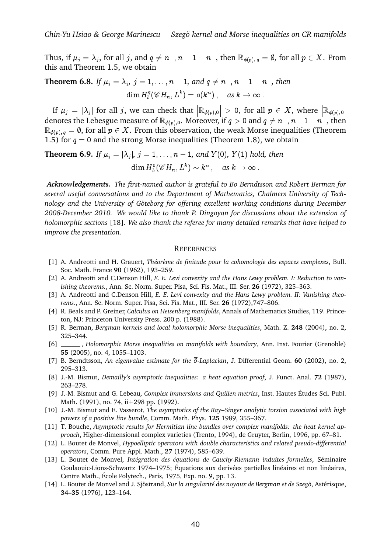Thus, if  $\mu_j = \lambda_j$ , for all  $j$ , and  $q \neq n_-, n-1-n_-,$  then  $\mathbb{R}_{\phi(p), q} = \emptyset$ , for all  $p \in X$ . From this and Theorem 1.5, we obtain

**Theorem 6.8.** If  $\mu_j = \lambda_j$ ,  $j = 1, ..., n - 1$ , and  $q \neq n_-, n - 1 - n_-,$  then dim  $H_b^q$  $b^q_b({\mathscr C} H_n, L^k) = o(k^n)\,, \quad \textit{as } k \to \infty\,.$  $\frac{1}{2}$ 

If  $\mu_j = |\lambda_j|$  for all *j*, we can check that  $\left| \mathbb{R}_{\phi(p),0} \right| > 0$ , for all  $p \in X$ , where  $\left| \mathbb{R}_{\phi(p),0} \right|$  denotes the Lebesgue measure of  $\mathbb{R}_{\phi(p),0}$ . Moreover, if  $q > 0$  and  $q \neq n_-, n-1-n_-,$  then  $\mathbb{R}_{\phi(p), q} = \emptyset$ , for all  $p \in X$ . From this observation, the weak Morse inequalities (Theorem 1.5) for  $q = 0$  and the strong Morse inequalities (Theorem 1.8), we obtain

**Theorem 6.9.** If  $\mu_j = |\lambda_j|$ ,  $j = 1, \ldots, n-1$ , and  $Y(0)$ ,  $Y(1)$  hold, then  $\dim H_b^0(\mathscr{C}H_n,L^k)\sim k^n\ ,\quad \textit{as }k\to\infty\,.$ 

*Acknowledgements. The first-named author is grateful to Bo Berndtsson and Robert Berman for several useful conversations and to the Department of Mathematics, Chalmers University of Technology and the University of Goteborg for offering excellent working conditions during December ¨ 2008-December 2010. We would like to thank P. Dingoyan for discussions about the extension of holomorphic sections* [18]*. We also thank the referee for many detailed remarks that have helped to improve the presentation.*

#### **REFERENCES**

- [1] A. Andreotti and H. Grauert, *Th´eor`eme de finitude pour la cohomologie des espaces complexes*, Bull. Soc. Math. France **90** (1962), 193–259.
- [2] A. Andreotti and C.Denson Hill, *E. E. Levi convexity and the Hans Lewy problem. I: Reduction to vanishing theorems.*, Ann. Sc. Norm. Super. Pisa, Sci. Fis. Mat., III. Ser. **26** (1972), 325–363.
- [3] A. Andreotti and C.Denson Hill, *E. E. Levi convexity and the Hans Lewy problem. II: Vanishing theorems.*, Ann. Sc. Norm. Super. Pisa, Sci. Fis. Mat., III. Ser. **26** (1972),747–806.
- [4] R. Beals and P. Greiner, *Calculus on Heisenberg manifolds*, Annals of Mathematics Studies, 119. Princeton, NJ: Princeton University Press. 200 p. (1988).
- [5] R. Berman, *Bergman kernels and local holomorphic Morse inequalities*, Math. Z. **248** (2004), no. 2, 325–344.
- [6] , *Holomorphic Morse inequalities on manifolds with boundary*, Ann. Inst. Fourier (Grenoble) **55** (2005), no. 4, 1055–1103.
- [7] B. Berndtsson, *An eigenvalue estimate for the* @*-Laplacian*, J. Differential Geom. **60** (2002), no. 2, 295–313.
- [8] J.-M. Bismut, *Demailly's asymptotic inequalities: a heat equation proof*, J. Funct. Anal. **72** (1987), 263–278.
- [9] J.-M. Bismut and G. Lebeau, *Complex immersions and Quillen metrics*, Inst. Hautes Etudes Sci. Publ. ´ Math. (1991), no. 74, ii+298 pp. (1992).
- [10] J.-M. Bismut and E. Vasserot, *The asymptotics of the Ray–Singer analytic torsion associated with high powers of a positive line bundle*, Comm. Math. Phys. **125** 1989, 355–367.
- [11] T. Bouche, *Asymptotic results for Hermitian line bundles over complex manifolds: the heat kernel approach*, Higher-dimensional complex varieties (Trento, 1994), de Gruyter, Berlin, 1996, pp. 67–81.
- [12] L. Boutet de Monvel, *Hypoelliptic operators with double characteristics and related pseudo-differential operators*, Comm. Pure Appl. Math., **27** (1974), 585–639.
- [13] L. Boutet de Monvel, *Int´egration des ´equations de Cauchy-Riemann induites formelles*, S´eminaire Goulaouic-Lions-Schwartz 1974–1975; Équations aux derivées partielles linéaires et non linéaires, Centre Math., Ecole Polytech., Paris, 1975, Exp. no. 9, pp. 13. ´
- [14] L. Boutet de Monvel and J. Sjöstrand, *Sur la singularité des noyaux de Bergman et de Szegö*, Astérisque, **34–35** (1976), 123–164.